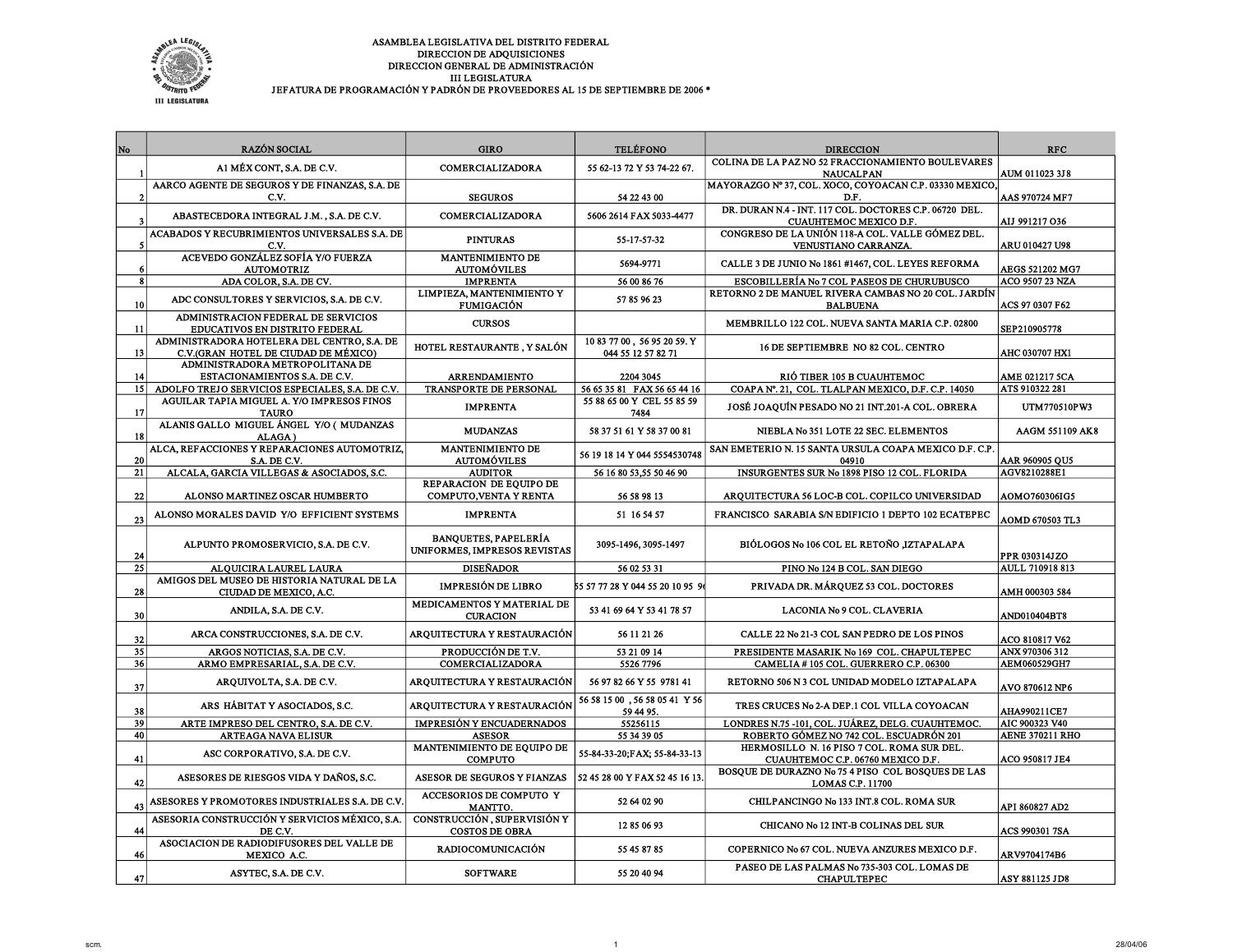

| No              | <b>RAZÓN SOCIAL</b>                                                                 | <b>GIRO</b>                                                 | <b>TELÉFONO</b>                                   | <b>DIRECCION</b>                                                                             | <b>RFC</b>                               |
|-----------------|-------------------------------------------------------------------------------------|-------------------------------------------------------------|---------------------------------------------------|----------------------------------------------------------------------------------------------|------------------------------------------|
|                 | A1 MÉX CONT, S.A. DE C.V.                                                           | <b>COMERCIALIZADORA</b>                                     | 55 62-13 72 Y 53 74-22 67.                        | <b>COLINA DE LA PAZ NO 52 FRACCIONAMIENTO BOULEVARES</b>                                     |                                          |
|                 | AARCO AGENTE DE SEGUROS Y DE FINANZAS, S.A. DE                                      |                                                             |                                                   | <b>NAUCALPAN</b><br>MAYORAZGO Nº 37, COL. XOCO, COYOACAN C.P. 03330 MEXICO,                  | AUM 011023 3J8                           |
| $\overline{2}$  | C.V.                                                                                | <b>SEGUROS</b>                                              | 54 22 43 00                                       | D.F.                                                                                         | AAS 970724 MF7                           |
|                 | ABASTECEDORA INTEGRAL J.M., S.A. DE C.V.                                            | COMERCIALIZADORA                                            | 5606 2614 FAX 5033-4477                           | DR. DURAN N.4 - INT. 117 COL. DOCTORES C.P. 06720 DEL.<br>CUAUHTEMOC MEXICO D.F.             | AIJ 991217 036                           |
| 5               | ACABADOS Y RECUBRIMIENTOS UNIVERSALES S.A. DE<br>C.V.                               | <b>PINTURAS</b>                                             | 55-17-57-32                                       | CONGRESO DE LA UNIÓN 118-A COL. VALLE GÓMEZ DEL.<br>VENUSTIANO CARRANZA.                     | ARU 010427 U98                           |
| 6               | ACEVEDO GONZÁLEZ SOFÍA Y/O FUERZA<br><b>AUTOMOTRIZ</b>                              | <b>MANTENIMIENTO DE</b><br><b>AUTOMÓVILES</b>               | 5694-9771                                         | CALLE 3 DE JUNIO No 1861 #1467, COL. LEYES REFORMA                                           | <b>AEGS 521202 MG7</b>                   |
| 8 <sup>1</sup>  | ADA COLOR, S.A. DE CV.                                                              | <b>IMPRENTA</b>                                             | 56 00 86 76                                       | ESCOBILLERÍA No 7 COL PASEOS DE CHURUBUSCO                                                   | ACO 9507 23 NZA                          |
| 10              | ADC CONSULTORES Y SERVICIOS, S.A. DE C.V.                                           | LIMPIEZA, MANTENIMIENTO Y<br><b>FUMIGACIÓN</b>              | 57 85 96 23                                       | RETORNO 2 DE MANUEL RIVERA CAMBAS NO 20 COL. JARDÍN<br><b>BALBUENA</b>                       | ACS 97 0307 F62                          |
| 11              | ADMINISTRACION FEDERAL DE SERVICIOS<br>EDUCATIVOS EN DISTRITO FEDERAL               | <b>CURSOS</b>                                               |                                                   | MEMBRILLO 122 COL. NUEVA SANTA MARIA C.P. 02800                                              | SEP210905778                             |
| 13              | ADMINISTRADORA HOTELERA DEL CENTRO, S.A. DE<br>C.V.(GRAN HOTEL DE CIUDAD DE MÉXICO) | HOTEL RESTAURANTE, Y SALÓN                                  | 10 83 77 00, 56 95 20 59. Y<br>044 55 12 57 82 71 | 16 DE SEPTIEMBRE NO 82 COL. CENTRO                                                           | <b>AHC 030707 HX1</b>                    |
| 14              | ADMINISTRADORA METROPOLITANA DE<br>ESTACIONAMIENTOS S.A. DE C.V.                    | <b>ARRENDAMIENTO</b>                                        | 2204 3045                                         | RIÓ TIBER 105 B CUAUHTEMOC                                                                   | AME 021217 5CA                           |
| 15 <sup>1</sup> | ADOLFO TREJO SERVICIOS ESPECIALES, S.A. DE C.V.                                     | <b>TRANSPORTE DE PERSONAL</b>                               | 56 65 35 81 FAX 56 65 44 16                       | COAPA Nº. 21, COL. TLALPAN MEXICO, D.F. C.P. 14050                                           | ATS 910322 281                           |
| 17              | AGUILAR TAPIA MIGUEL A. Y/O IMPRESOS FINOS<br><b>TAURO</b>                          | <b>IMPRENTA</b>                                             | 55 88 65 00 Y CEL 55 85 59<br>7484                | JOSÉ JOAQUÍN PESADO NO 21 INT.201-A COL. OBRERA                                              | UTM770510PW3                             |
| <b>18</b>       | ALANIS GALLO MIGUEL ÁNGEL Y/O ( MUDANZAS<br>ALAGA)                                  | <b>MUDANZAS</b>                                             | 58 37 51 61 Y 58 37 00 81                         | NIEBLA No 351 LOTE 22 SEC. ELEMENTOS                                                         | AAGM 551109 AK8                          |
| 20              | ALCA, REFACCIONES Y REPARACIONES AUTOMOTRIZ,<br>S.A. DE C.V.                        | <b>MANTENIMIENTO DE</b><br><b>AUTOMÓVILES</b>               | 56 19 18 14 Y 044 5554530748                      | SAN EMETERIO N. 15 SANTA URSULA COAPA MEXICO D.F. C.P.<br>04910                              | AAR 960905 QU5                           |
| 21              | ALCALA, GARCIA VILLEGAS & ASOCIADOS, S.C.                                           | <b>AUDITOR</b>                                              | 56 16 80 53,55 50 46 90                           | INSURGENTES SUR No 1898 PISO 12 COL. FLORIDA                                                 | AGV8210288E1                             |
| 22              | ALONSO MARTINEZ OSCAR HUMBERTO                                                      | <b>REPARACION DE EQUIPO DE</b><br>COMPUTO, VENTA Y RENTA    | 56 58 98 13                                       | ARQUITECTURA 56 LOC-B COL. COPILCO UNIVERSIDAD                                               | <b>AOMO760306IG5</b>                     |
| 23              | ALONSO MORALES DAVID Y/O EFFICIENT SYSTEMS                                          | <b>IMPRENTA</b>                                             | 51 16 54 57                                       | FRANCISCO SARABIA S/N EDIFICIO 1 DEPTO 102 ECATEPEC                                          | <b>AOMD 670503 TL3</b>                   |
| 24              | ALPUNTO PROMOSERVICIO, S.A. DE C.V.                                                 | <b>BANQUETES, PAPELERÍA</b><br>UNIFORMES, IMPRESOS REVISTAS | 3095-1496, 3095-1497                              | BIÓLOGOS No 106 COL EL RETOÑO JZTAPALAPA                                                     | PPR 030314JZO                            |
| 25              | ALQUICIRA LAUREL LAURA                                                              | <b>DISEÑADOR</b>                                            | 56 02 53 31                                       | PINO No 124 B COL. SAN DIEGO                                                                 | AULL 710918 813                          |
| 28              | AMIGOS DEL MUSEO DE HISTORIA NATURAL DE LA<br>CIUDAD DE MEXICO, A.C.                | <b>IMPRESIÓN DE LIBRO</b>                                   | 55 57 77 28 Y 044 55 20 10 95 9                   | PRIVADA DR. MÁRQUEZ 53 COL. DOCTORES                                                         | AMH 000303 584                           |
| 30              | ANDILA, S.A. DE C.V.                                                                | MEDICAMENTOS Y MATERIAL DE<br><b>CURACION</b>               | 53 41 69 64 Y 53 41 78 57                         | LACONIA No 9 COL. CLAVERIA                                                                   | <b>AND010404BT8</b>                      |
| 32              | ARCA CONSTRUCCIONES, S.A. DE C.V.                                                   | <b>ARQUITECTURA Y RESTAURACIÓN</b>                          | 56 11 21 26                                       | CALLE 22 No 21-3 COL SAN PEDRO DE LOS PINOS                                                  | <b>ACO 810817 V62</b>                    |
| 35              | ARGOS NOTICIAS, S.A. DE C.V.                                                        | PRODUCCIÓN DE T.V.                                          | 53 21 09 14                                       | PRESIDENTE MASARIK No 169 COL. CHAPULTEPEC                                                   | ANX 970306 312                           |
| 36              | ARMO EMPRESARIAL, S.A. DE C.V.                                                      | COMERCIALIZADORA                                            | 5526 7796                                         | CAMELIA #105 COL. GUERRERO C.P. 06300                                                        | AEM060529GH7                             |
| 37              | ARQUIVOLTA, S.A. DE C.V.                                                            | <b>ARQUITECTURA Y RESTAURACIÓN</b>                          | 56 97 82 66 Y 55 9781 41                          | RETORNO 506 N 3 COL UNIDAD MODELO IZTAPALAPA                                                 | AVO 870612 NP6                           |
| 38              | ARS HÁBITAT Y ASOCIADOS, S.C.                                                       | <b>ARQUITECTURA Y RESTAURACIÓN</b>                          | 56 58 15 00, 56 58 05 41 Y 56<br>59 44 95.        | TRES CRUCES No 2-A DEP.1 COL VILLA COYOACAN                                                  | AHA990211CE7                             |
| 39<br>40        | ARTE IMPRESO DEL CENTRO, S.A. DE C.V.<br><b>ARTEAGA NAVA ELISUR</b>                 | <b>IMPRESIÓN Y ENCUADERNADOS</b><br><b>ASESOR</b>           | 55256115<br>55 34 39 05                           | LONDRES N.75 -101, COL. JUÁREZ, DELG. CUAUHTEMOC.<br>ROBERTO GÓMEZ NO 742 COL. ESCUADRÓN 201 | AIC 900323 V40<br><b>AENE 370211 RHO</b> |
| 41              | ASC CORPORATIVO, S.A. DE C.V.                                                       | MANTENIMIENTO DE EQUIPO DE<br><b>COMPUTO</b>                | 55-84-33-20;FAX; 55-84-33-13                      | HERMOSILLO N. 16 PISO 7 COL. ROMA SUR DEL.<br>CUAUHTEMOC C.P. 06760 MEXICO D.F.              | ACO 950817 JE4                           |
| 42              | ASESORES DE RIESGOS VIDA Y DAÑOS, S.C.                                              | ASESOR DE SEGUROS Y FIANZAS                                 | 52 45 28 00 Y FAX 52 45 16 13                     | BOSQUE DE DURAZNO No 75 4 PISO COL BOSQUES DE LAS<br><b>LOMAS C.P. 11700</b>                 |                                          |
| 43              | ASESORES Y PROMOTORES INDUSTRIALES S.A. DE C.V                                      | ACCESORIOS DE COMPUTO Y<br>MANTTO.                          | 52 64 02 90                                       | CHILPANCINGO No 133 INT.8 COL. ROMA SUR                                                      | API 860827 AD2                           |
| 44              | ASESORIA CONSTRUCCIÓN Y SERVICIOS MÉXICO, S.A.<br>DE C.V.                           | CONSTRUCCIÓN, SUPERVISIÓN Y<br><b>COSTOS DE OBRA</b>        | 12 85 06 93                                       | CHICANO No 12 INT-B COLINAS DEL SUR                                                          | <b>ACS 990301 7SA</b>                    |
| 46              | ASOCIACION DE RADIODIFUSORES DEL VALLE DE<br>MEXICO A.C.                            | <b>RADIOCOMUNICACIÓN</b>                                    | 55 45 87 85                                       | COPERNICO No 67 COL. NUEVA ANZURES MEXICO D.F.                                               | <b>ARV9704174B6</b>                      |
| 47              | ASYTEC, S.A. DE C.V.                                                                | <b>SOFTWARE</b>                                             | 55 20 40 94                                       | PASEO DE LAS PALMAS No 735-303 COL. LOMAS DE<br><b>CHAPULTEPEC</b>                           | ASY 881125 JD8                           |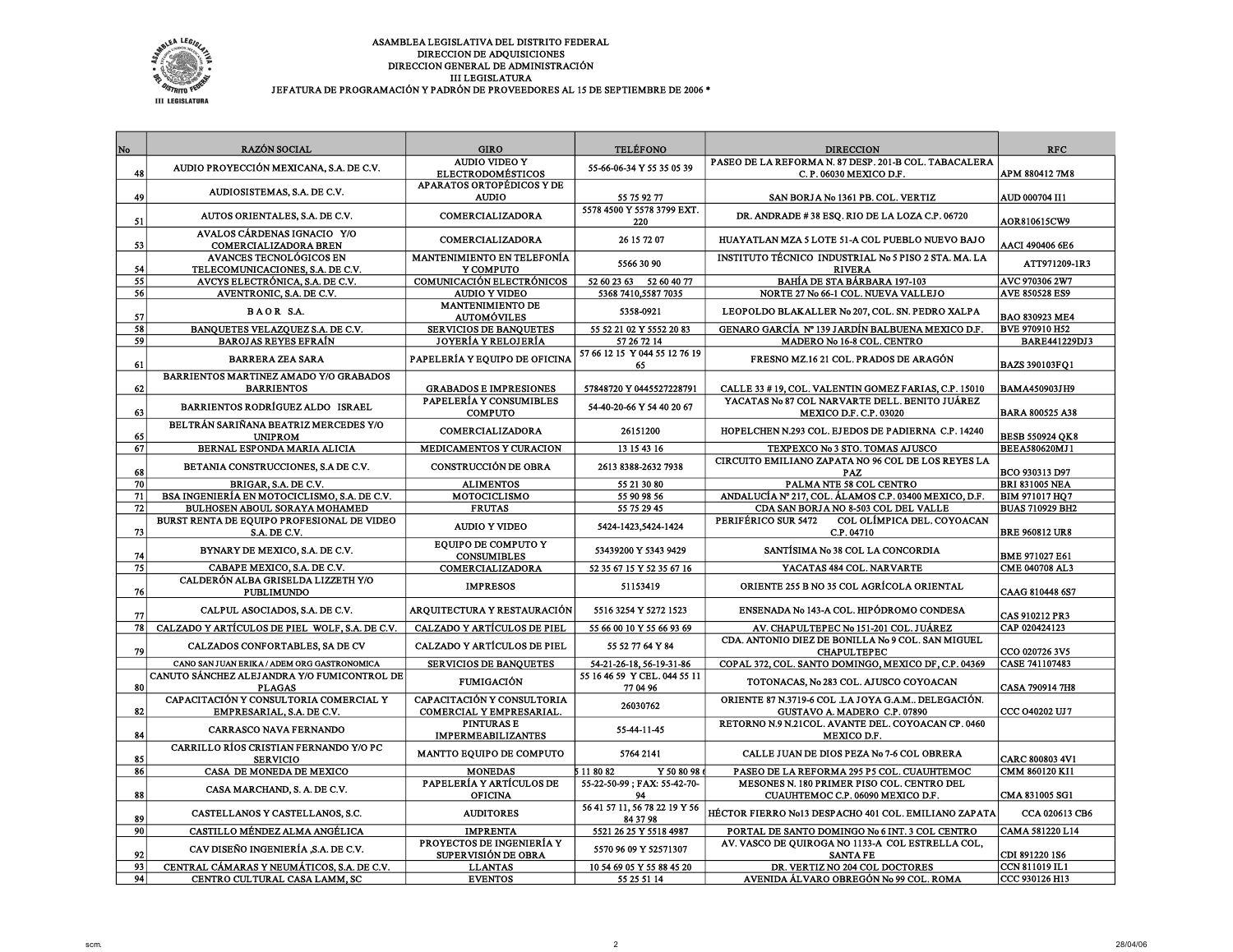

| JEFATURA DE PROGRAMACIÓN Y PADRÓN DE PROVEEDORES AL 15 DE SEPTIEMBRE DE 2006 * |  |
|--------------------------------------------------------------------------------|--|
|--------------------------------------------------------------------------------|--|

| No              | <b>RAZÓN SOCIAL</b>                                                 | <b>GIRO</b>                                                  | <b>TELÉFONO</b>                           | <b>DIRECCION</b>                                                                     | <b>RFC</b>             |
|-----------------|---------------------------------------------------------------------|--------------------------------------------------------------|-------------------------------------------|--------------------------------------------------------------------------------------|------------------------|
|                 |                                                                     | <b>AUDIO VIDEO Y</b>                                         |                                           | PASEO DE LA REFORMA N. 87 DESP. 201-B COL. TABACALERA                                |                        |
| 48              | AUDIO PROYECCIÓN MEXICANA, S.A. DE C.V.                             | <b>ELECTRODOMÉSTICOS</b>                                     | 55-66-06-34 Y 55 35 05 39                 | C.P. 06030 MEXICO D.F.                                                               | APM 880412 7M8         |
|                 | AUDIOSISTEMAS, S.A. DE C.V.                                         | APARATOS ORTOPÉDICOS Y DE                                    |                                           |                                                                                      |                        |
| 49              |                                                                     | <b>AUDIO</b>                                                 | 55 75 92 77                               | SAN BORJA No 1361 PB. COL. VERTIZ                                                    | AUD 000704 II1         |
| 51              | AUTOS ORIENTALES, S.A. DE C.V.                                      | <b>COMERCIALIZADORA</b>                                      | 5578 4500 Y 5578 3799 EXT.<br>220         | DR. ANDRADE #38 ESQ. RIO DE LA LOZA C.P. 06720                                       | <b>AOR810615CW9</b>    |
| 53              | AVALOS CÁRDENAS IGNACIO Y/O<br>COMERCIALIZADORA BREN                | COMERCIALIZADORA                                             | 26 15 72 07                               | HUAYATLAN MZA 5 LOTE 51-A COL PUEBLO NUEVO BAJO                                      | AACI 490406 6E6        |
|                 | AVANCES TECNOLÓGICOS EN                                             | <b>MANTENIMIENTO EN TELEFONÍA</b>                            | 5566 30 90                                | INSTITUTO TÉCNICO INDUSTRIAL No 5 PISO 2 STA. MA. LA                                 | ATT971209-1R3          |
| 54<br>55        | TELECOMUNICACIONES, S.A. DE C.V.<br>AVCYS ELECTRÓNICA, S.A. DE C.V. | Y COMPUTO<br><b>COMUNICACIÓN ELECTRÓNICOS</b>                | 52 60 23 63<br>52 60 40 77                | <b>RIVERA</b><br><b>BAHÍA DE STA BÁRBARA 197-103</b>                                 | AVC 970306 2W7         |
| 56              | AVENTRONIC, S.A. DE C.V.                                            | <b>AUDIO Y VIDEO</b>                                         | 5368 7410,5587 7035                       | NORTE 27 No 66-1 COL. NUEVA VALLEJO                                                  | AVE 850528 ES9         |
|                 |                                                                     | <b>MANTENIMIENTO DE</b>                                      |                                           |                                                                                      |                        |
| 57              | <b>BAOR S.A.</b>                                                    | <b>AUTOMÓVILES</b>                                           | 5358-0921                                 | LEOPOLDO BLAKALLER No 207, COL. SN. PEDRO XALPA                                      | <b>BAO 830923 ME4</b>  |
| 58              | BANOUETES VELAZOUEZ S.A. DE C.V.                                    | <b>SERVICIOS DE BANQUETES</b>                                | 55 52 21 02 Y 5552 20 83                  | GENARO GARCÍA Nº 139 JARDÍN BALBUENA MEXICO D.F.                                     | <b>BVE 970910 H52</b>  |
| 59              | <b>BAROJAS REYES EFRAÍN</b>                                         | JOYERÍA Y RELOJERÍA                                          | 57 26 72 14                               | MADERO No 16-8 COL. CENTRO                                                           | <b>BARE441229DJ3</b>   |
| 61              | <b>BARRERA ZEA SARA</b>                                             | PAPELERÍA Y EQUIPO DE OFICINA                                | 57 66 12 15 Y 044 55 12 76 19<br>65       | FRESNO MZ.16 21 COL. PRADOS DE ARAGÓN                                                | <b>BAZS 390103FO1</b>  |
|                 | BARRIENTOS MARTINEZ AMADO Y/O GRABADOS                              |                                                              |                                           |                                                                                      |                        |
| 62              | <b>BARRIENTOS</b>                                                   | <b>GRABADOS E IMPRESIONES</b>                                | 57848720 Y 0445527228791                  | CALLE 33 #19, COL. VALENTIN GOMEZ FARIAS, C.P. 15010                                 | <b>BAMA450903JH9</b>   |
| 63              | BARRIENTOS RODRÍGUEZ ALDO ISRAEL                                    | PAPELERÍA Y CONSUMIBLES<br><b>COMPUTO</b>                    | 54-40-20-66 Y 54 40 20 67                 | YACATAS No 87 COL NARVARTE DELL. BENITO JUÁREZ<br><b>MEXICO D.F. C.P. 03020</b>      | <b>BARA 800525 A38</b> |
| 65              | BELTRÁN SARIÑANA BEATRIZ MERCEDES Y/O<br><b>UNIPROM</b>             | COMERCIALIZADORA                                             | 26151200                                  | HOPELCHEN N.293 COL. EJEDOS DE PADIERNA C.P. 14240                                   | <b>BESB 550924 QK8</b> |
| 67              | BERNAL ESPONDA MARIA ALICIA                                         | MEDICAMENTOS Y CURACION                                      | 13 15 43 16                               | TEXPEXCO No 3 STO. TOMAS AJUSCO                                                      | <b>BEEA580620MJ1</b>   |
|                 |                                                                     |                                                              |                                           | CIRCUITO EMILIANO ZAPATA NO 96 COL DE LOS REYES LA                                   |                        |
| 68              | BETANIA CONSTRUCCIONES, S.A DE C.V.                                 | CONSTRUCCIÓN DE OBRA                                         | 2613 8388-2632 7938                       | <b>PAZ</b>                                                                           | BCO 930313 D97         |
| 70              | BRIGAR, S.A. DE C.V.                                                | <b>ALIMENTOS</b>                                             | 55 21 30 80                               | PALMA NTE 58 COL CENTRO                                                              | <b>BRI 831005 NEA</b>  |
| 71              | BSA INGENIERÍA EN MOTOCICLISMO, S.A. DE C.V.                        | MOTOCICLISMO                                                 | 55 90 98 56                               | ANDALUCÍA Nº 217, COL. ÁLAMOS C.P. 03400 MEXICO, D.F.                                | <b>BIM 971017 HQ7</b>  |
| $\overline{72}$ | BULHOSEN ABOUL SORAYA MOHAMED                                       | <b>FRUTAS</b>                                                | 55 75 29 45                               | CDA SAN BORJA NO 8-503 COL DEL VALLE                                                 | <b>BUAS 710929 BH2</b> |
| 73              | BURST RENTA DE EOUIPO PROFESIONAL DE VIDEO<br>S.A. DE C.V.          | <b>AUDIO Y VIDEO</b>                                         | 5424-1423,5424-1424                       | PERIFÉRICO SUR 5472<br>COL OLÍMPICA DEL. COYOACAN<br>C.P. 04710                      | <b>BRE 960812 UR8</b>  |
| 74              | BYNARY DE MEXICO, S.A. DE C.V.                                      | <b>EQUIPO DE COMPUTO Y</b><br><b>CONSUMIBLES</b>             | 53439200 Y 5343 9429                      | SANTÍSIMA No 38 COL LA CONCORDIA                                                     | <b>BME 971027 E61</b>  |
| 75              | CABAPE MEXICO, S.A. DE C.V.                                         | COMERCIALIZADORA                                             | 52 35 67 15 Y 52 35 67 16                 | YACATAS 484 COL. NARVARTE                                                            | CME 040708 AL3         |
| 76              | CALDERÓN ALBA GRISELDA LIZZETH Y/O<br><b>PUBLIMUNDO</b>             | <b>IMPRESOS</b>                                              | 51153419                                  | ORIENTE 255 B NO 35 COL AGRÍCOLA ORIENTAL                                            | CAAG 810448 6S7        |
| 77              | CALPUL ASOCIADOS, S.A. DE C.V.                                      | ARQUITECTURA Y RESTAURACIÓN                                  | 5516 3254 Y 5272 1523                     | ENSENADA No 143-A COL. HIPÓDROMO CONDESA                                             | CAS 910212 PR3         |
| 78              | CALZADO Y ARTÍCULOS DE PIEL WOLF, S.A. DE C.V.                      | CALZADO Y ARTÍCULOS DE PIEL                                  | 55 66 00 10 Y 55 66 93 69                 | AV. CHAPULTEPEC No 151-201 COL. JUÁREZ                                               | CAP 020424123          |
| 79              | CALZADOS CONFORTABLES, SA DE CV                                     | CALZADO Y ARTÍCULOS DE PIEL                                  | 55 52 77 64 Y 84                          | CDA. ANTONIO DIEZ DE BONILLA No 9 COL. SAN MIGUEL<br><b>CHAPULTEPEC</b>              | CCO 020726 3V5         |
|                 | CANO SAN JUAN ERIKA / ADEM ORG GASTRONOMICA                         | <b>SERVICIOS DE BANQUETES</b>                                | 54-21-26-18, 56-19-31-86                  | COPAL 372, COL. SANTO DOMINGO, MEXICO DF, C.P. 04369                                 | CASE 741107483         |
| 80              | CANUTO SÁNCHEZ ALEJANDRA Y/O FUMICONTROL DE<br><b>PLAGAS</b>        | <b>FUMIGACIÓN</b>                                            | 55 16 46 59 Y CEL. 044 55 11<br>77 04 96  | TOTONACAS, No 283 COL. AJUSCO COYOACAN                                               | CASA 790914 7H8        |
| 82              | CAPACITACIÓN Y CONSULTORIA COMERCIAL Y<br>EMPRESARIAL, S.A. DE C.V. | CAPACITACIÓN Y CONSULTORIA<br><b>COMERCIAL Y EMPRESARIAL</b> | 26030762                                  | ORIENTE 87 N.3719-6 COL .LA JOYA G.A.M., DELEGACIÓN.<br>GUSTAVO A. MADERO C.P. 07890 | CCC 040202 UJ7         |
| 84              | <b>CARRASCO NAVA FERNANDO</b>                                       | <b>PINTURAS E</b><br><b>IMPERMEABILIZANTES</b>               | 55-44-11-45                               | RETORNO N.9 N.21COL. AVANTE DEL. COYOACAN CP. 0460<br>MEXICO D.F.                    |                        |
| 85              | CARRILLO RÍOS CRISTIAN FERNANDO Y/O PC<br><b>SERVICIO</b>           | MANTTO EQUIPO DE COMPUTO                                     | 5764 2141                                 | CALLE JUAN DE DIOS PEZA No 7-6 COL OBRERA                                            | <b>CARC 800803 4V1</b> |
| 86              | CASA DE MONEDA DE MEXICO                                            | <b>MONEDAS</b>                                               | 5 11 80 82<br>Y 50 80 98                  | PASEO DE LA REFORMA 295 P5 COL. CUAUHTEMOC                                           | CMM 860120 KI1         |
| 88              | CASA MARCHAND, S. A. DE C.V.                                        | PAPELERÍA Y ARTÍCULOS DE<br><b>OFICINA</b>                   | 55-22-50-99; FAX: 55-42-70-<br>94         | MESONES N. 180 PRIMER PISO COL. CENTRO DEL<br>CUAUHTEMOC C.P. 06090 MEXICO D.F.      | CMA 831005 SG1         |
| 89              | CASTELLANOS Y CASTELLANOS, S.C.                                     | <b>AUDITORES</b>                                             | 56 41 57 11, 56 78 22 19 Y 56<br>84 37 98 | HÉCTOR FIERRO No13 DESPACHO 401 COL. EMILIANO ZAPATA                                 | CCA 020613 CB6         |
| 90              | CASTILLO MÉNDEZ ALMA ANGÉLICA                                       | <b>IMPRENTA</b>                                              | 5521 26 25 Y 5518 4987                    | PORTAL DE SANTO DOMINGO No 6 INT. 3 COL CENTRO                                       | CAMA 581220 L14        |
| 92              | CAV DISEÑO INGENIERÍA ,S.A. DE C.V.                                 | PROYECTOS DE INGENIERÍA Y<br><b>SUPERVISIÓN DE OBRA</b>      | 5570 96 09 Y 52571307                     | AV. VASCO DE OUIROGA NO 1133-A COL ESTRELLA COL.<br><b>SANTA FE</b>                  | CDI 891220 1S6         |
| 93              | CENTRAL CÁMARAS Y NEUMÁTICOS, S.A. DE C.V.                          | <b>LLANTAS</b>                                               | 10 54 69 05 Y 55 88 45 20                 | DR. VERTIZ NO 204 COL DOCTORES                                                       | CCN 811019 IL1         |
| 94              | CENTRO CULTURAL CASA LAMM, SC                                       | <b>EVENTOS</b>                                               | 55 25 51 14                               | AVENIDA ÁL VARO OBREGÓN No 99 COL. ROMA                                              | CCC 930126 H13         |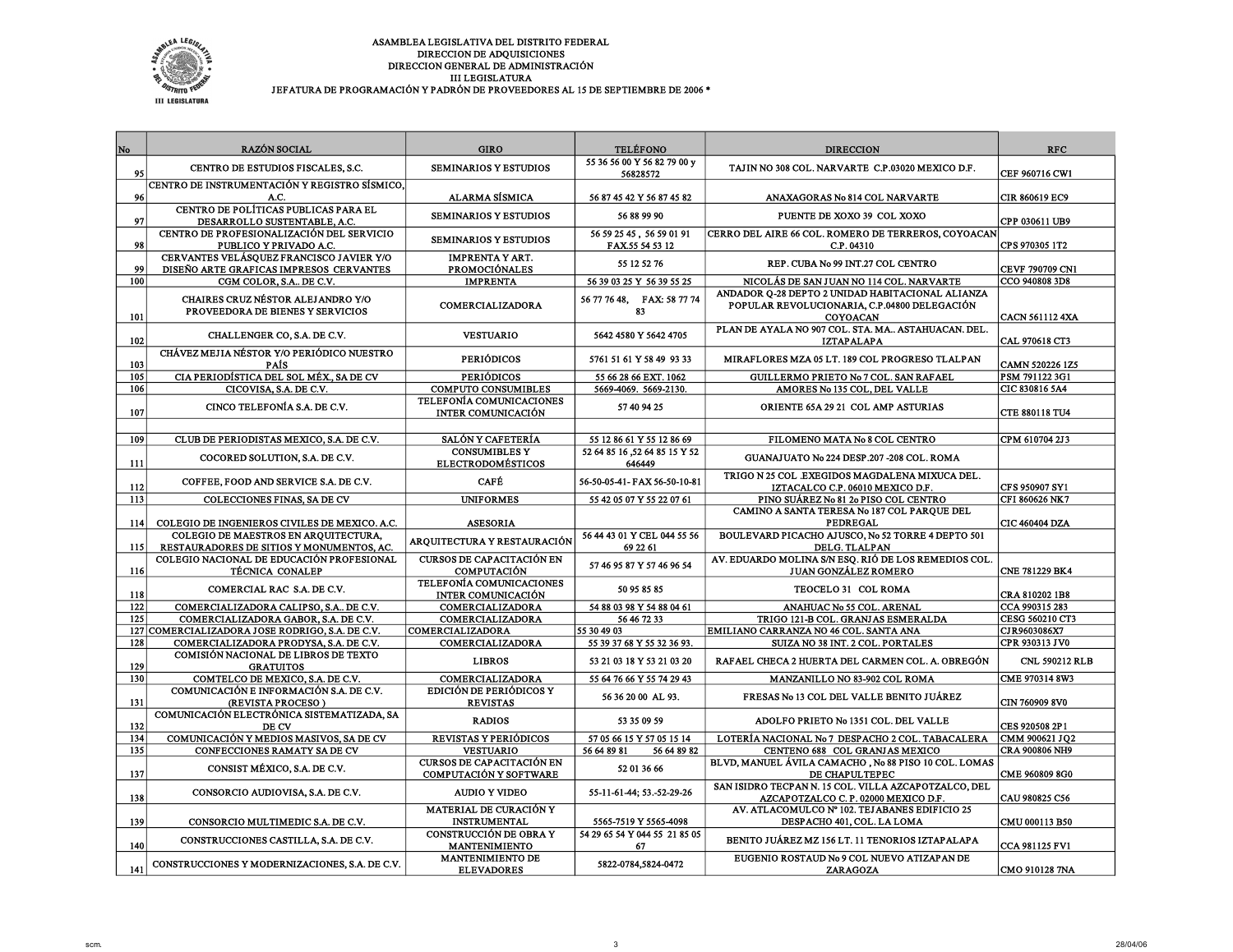

| No         | <b>RAZÓN SOCIAL</b>                                                                       | <b>GIRO</b>                                                                         | <b>TELÉFONO</b>                             | <b>DIRECCION</b>                                                                                                    | <b>RFC</b>                       |
|------------|-------------------------------------------------------------------------------------------|-------------------------------------------------------------------------------------|---------------------------------------------|---------------------------------------------------------------------------------------------------------------------|----------------------------------|
|            | CENTRO DE ESTUDIOS FISCALES, S.C.                                                         | <b>SEMINARIOS Y ESTUDIOS</b>                                                        | 55 36 56 00 Y 56 82 79 00 y                 | TAJIN NO 308 COL. NARVARTE C.P.03020 MEXICO D.F.                                                                    |                                  |
| 95         | CENTRO DE INSTRUMENTACIÓN Y REGISTRO SÍSMICO.                                             |                                                                                     | 56828572                                    |                                                                                                                     | CEF 960716 CW1                   |
| 96         | A.C.                                                                                      | ALARMA SÍSMICA                                                                      | 56 87 45 42 Y 56 87 45 82                   | ANAXAGORAS No 814 COL NARVARTE                                                                                      | CIR 860619 EC9                   |
| 97         | CENTRO DE POLÍTICAS PUBLICAS PARA EL<br>DESARROLLO SUSTENTABLE, A.C.                      | <b>SEMINARIOS Y ESTUDIOS</b>                                                        | 56 88 99 90                                 | PUENTE DE XOXO 39 COL XOXO                                                                                          | CPP 030611 UB9                   |
| 98         | <b>CENTRO DE PROFESIONALIZACIÓN DEL SERVICIO</b><br>PUBLICO Y PRIVADO A.C.                | <b>SEMINARIOS Y ESTUDIOS</b>                                                        | 56 59 25 45, 56 59 01 91<br>FAX.55 54 53 12 | CERRO DEL AIRE 66 COL. ROMERO DE TERREROS, COYOACAN<br>C.P. 04310                                                   | CPS 970305 1T2                   |
| 99         | CERVANTES VELÁSQUEZ FRANCISCO JAVIER Y/O<br>DISEÑO ARTE GRAFICAS IMPRESOS CERVANTES       | <b>IMPRENTA Y ART.</b><br><b>PROMOCIÓNALES</b>                                      | 55 12 52 76                                 | REP. CUBA No 99 INT.27 COL CENTRO                                                                                   | CEVF 790709 CN1                  |
| 100        | CGM COLOR, S.A., DE C.V.                                                                  | <b>IMPRENTA</b>                                                                     | 56 39 03 25 Y 56 39 55 25                   | NICOLÁS DE SAN JUAN NO 114 COL. NARVARTE                                                                            | CCO 940808 3D8                   |
| 101        | CHAIRES CRUZ NÉSTOR ALEJANDRO Y/O<br>PROVEEDORA DE BIENES Y SERVICIOS                     | <b>COMERCIALIZADORA</b>                                                             | 56 77 76 48, FAX: 58 77 74<br>83            | ANDADOR Q-28 DEPTO 2 UNIDAD HABITACIONAL ALIANZA<br>POPULAR REVOLUCIONARIA, C.P.04800 DELEGACIÓN<br><b>COYOACAN</b> | CACN 561112 4XA                  |
| 102        | CHALLENGER CO, S.A. DE C.V.                                                               | <b>VESTUARIO</b>                                                                    | 5642 4580 Y 5642 4705                       | PLAN DE AYALA NO 907 COL. STA. MA., ASTAHUACAN, DEL.<br><b>IZTAPALAPA</b>                                           | CAL 970618 CT3                   |
| 103        | CHÁVEZ MEJIA NÉSTOR Y/O PERIÓDICO NUESTRO<br><b>PAÍS</b>                                  | <b>PERIÓDICOS</b>                                                                   | 5761 51 61 Y 58 49 93 33                    | MIRAFLORES MZA 05 LT. 189 COL PROGRESO TLALPAN                                                                      | CAMN 520226 1Z5                  |
| 105        | CIA PERIODÍSTICA DEL SOL MÉX., SA DE CV                                                   | <b>PERIÓDICOS</b>                                                                   | 55 66 28 66 EXT. 1062                       | GUILLERMO PRIETO No 7 COL. SAN RAFAEL                                                                               | PSM 791122 3G1                   |
| 106<br>107 | CICOVISA, S.A. DE C.V.<br>CINCO TELEFONÍA S.A. DE C.V.                                    | <b>COMPUTO CONSUMIBLES</b><br>TELEFONÍA COMUNICACIONES<br><b>INTER COMUNICACIÓN</b> | 5669-4069. 5669-2130.<br>57 40 94 25        | AMORES No 135 COL, DEL VALLE<br>ORIENTE 65A 29 21 COL AMP ASTURIAS                                                  | CIC 830816 5A4<br>CTE 880118 TU4 |
|            |                                                                                           |                                                                                     |                                             |                                                                                                                     |                                  |
| 109        | CLUB DE PERIODISTAS MEXICO, S.A. DE C.V.                                                  | <b>SALÓN Y CAFETERÍA</b>                                                            | 55 12 86 61 Y 55 12 86 69                   | FILOMENO MATA No 8 COL CENTRO                                                                                       | CPM 610704 2J3                   |
| 111        | COCORED SOLUTION, S.A. DE C.V.                                                            | <b>CONSUMIBLES Y</b><br><b>ELECTRODOMÉSTICOS</b>                                    | 52 64 85 16 ,52 64 85 15 Y 52<br>646449     | GUANAJUATO No 224 DESP.207 -208 COL. ROMA                                                                           |                                  |
| 112        | COFFEE, FOOD AND SERVICE S.A. DE C.V.                                                     | CAFÉ                                                                                | 56-50-05-41- FAX 56-50-10-81                | TRIGO N 25 COL .EXEGIDOS MAGDALENA MIXUCA DEL.<br>IZTACALCO C.P. 06010 MEXICO D.F.                                  | CFS 950907 SY1                   |
| 113        | COLECCIONES FINAS, SA DE CV                                                               | <b>UNIFORMES</b>                                                                    | 55 42 05 07 Y 55 22 07 61                   | PINO SUÁREZ No 81 2o PISO COL CENTRO                                                                                | CFI 860626 NK7                   |
| 114        | COLEGIO DE INGENIEROS CIVILES DE MEXICO. A.C.                                             | <b>ASESORIA</b>                                                                     |                                             | CAMINO A SANTA TERESA No 187 COL PARQUE DEL<br>PEDREGAL                                                             | CIC 460404 DZA                   |
| 115        | COLEGIO DE MAESTROS EN AROUITECTURA.<br>RESTAURADORES DE SITIOS Y MONUMENTOS, AC.         | ARQUITECTURA Y RESTAURACIÓN                                                         | 56 44 43 01 Y CEL 044 55 56<br>69 22 61     | BOULEVARD PICACHO AJUSCO, No 52 TORRE 4 DEPTO 501<br>DELG. TLALPAN                                                  |                                  |
| 116        | COLEGIO NACIONAL DE EDUCACIÓN PROFESIONAL<br>TÉCNICA CONALEP                              | CURSOS DE CAPACITACIÓN EN<br><b>COMPUTACIÓN</b>                                     | 57 46 95 87 Y 57 46 96 54                   | AV. EDUARDO MOLINA S/N ESQ. RIÓ DE LOS REMEDIOS COL.<br><b>JUAN GONZÁLEZ ROMERO</b>                                 | CNE 781229 BK4                   |
| 118        | COMERCIAL RAC S.A. DE C.V.                                                                | TELEFONÍA COMUNICACIONES<br><b>INTER COMUNICACIÓN</b>                               | 50 95 85 85                                 | TEOCELO 31 COL ROMA                                                                                                 | CRA 810202 1B8                   |
| 122        | COMERCIALIZADORA CALIPSO, S.A., DE C.V.                                                   | COMERCIALIZADORA                                                                    | 54 88 03 98 Y 54 88 04 61                   | ANAHUAC No 55 COL. ARENAL                                                                                           | CCA 990315 283                   |
| 125        | COMERCIALIZADORA GABOR, S.A. DE C.V.                                                      | COMERCIALIZADORA                                                                    | 56 46 72 33                                 | TRIGO 121-B COL. GRANJAS ESMERALDA                                                                                  | CESG 560210 CT3                  |
| 128        | 127 COMERCIALIZADORA JOSE RODRIGO, S.A. DE C.V.<br>COMERCIALIZADORA PRODYSA, S.A. DE C.V. | COMERCIALIZADORA<br>COMERCIALIZADORA                                                | 55 30 49 03<br>55 39 37 68 Y 55 32 36 93.   | EMILIANO CARRANZA NO 46 COL. SANTA ANA<br>SUIZA NO 38 INT. 2 COL. PORTALES                                          | CJR9603086X7<br>CPR 930313 JV0   |
| 129        | COMISIÓN NACIONAL DE LIBROS DE TEXTO<br><b>GRATUITOS</b>                                  | <b>LIBROS</b>                                                                       | 53 21 03 18 Y 53 21 03 20                   | RAFAEL CHECA 2 HUERTA DEL CARMEN COL. A. OBREGÓN                                                                    | CNL 590212 RLB                   |
| 130        | COMTELCO DE MEXICO, S.A. DE C.V.                                                          | COMERCIALIZADORA                                                                    | 55 64 76 66 Y 55 74 29 43                   | MANZANILLO NO 83-902 COL ROMA                                                                                       | CME 970314 8W3                   |
| 131        | COMUNICACIÓN E INFORMACIÓN S.A. DE C.V.<br>(REVISTA PROCESO)                              | <b>EDICIÓN DE PERIÓDICOS Y</b><br><b>REVISTAS</b>                                   | 56 36 20 00 AL 93.                          | FRESAS No 13 COL DEL VALLE BENITO JUÁREZ                                                                            | <b>CIN 760909 8V0</b>            |
| 132        | COMUNICACIÓN ELECTRÓNICA SISTEMATIZADA, SA<br>DE CV                                       | <b>RADIOS</b>                                                                       | 53 35 09 59                                 | ADOLFO PRIETO No 1351 COL. DEL VALLE                                                                                | CES 920508 2P1                   |
| 134        | COMUNICACIÓN Y MEDIOS MASIVOS, SA DE CV                                                   | REVISTAS Y PERIÓDICOS                                                               | 57 05 66 15 Y 57 05 15 14                   | LOTERÍA NACIONAL No 7 DESPACHO 2 COL. TABACALERA                                                                    | CMM 900621 JO2                   |
| 135        | CONFECCIONES RAMATY SA DE CV                                                              | <b>VESTUARIO</b>                                                                    | 56 64 89 81<br>56 64 89 82                  | CENTENO 688 COL GRANJAS MEXICO                                                                                      | <b>CRA 900806 NH9</b>            |
| 137        | CONSIST MÉXICO, S.A. DE C.V.                                                              | <b>CURSOS DE CAPACITACIÓN EN</b><br>COMPUTACIÓN Y SOFTWARE                          | 52 01 36 66                                 | BLVD, MANUEL ÁVILA CAMACHO, No 88 PISO 10 COL. LOMAS<br>DE CHAPULTEPEC                                              | CME 960809 8G0                   |
| 138        | CONSORCIO AUDIOVISA, S.A. DE C.V.                                                         | <b>AUDIO Y VIDEO</b>                                                                | 55-11-61-44; 53.-52-29-26                   | SAN ISIDRO TECPAN N. 15 COL. VILLA AZCAPOTZALCO, DEL<br>AZCAPOTZALCO C.P. 02000 MEXICO D.F.                         | CAU 980825 C56                   |
| 139        | CONSORCIO MULTIMEDIC S.A. DE C.V.                                                         | MATERIAL DE CURACIÓN Y<br><b>INSTRUMENTAL</b>                                       | 5565-7519 Y 5565-4098                       | AV. ATLACOMULCO Nº 102. TEJABANES EDIFICIO 25<br>DESPACHO 401, COL. LA LOMA                                         | CMU 000113 B50                   |
| 140        | CONSTRUCCIONES CASTILLA, S.A. DE C.V.                                                     | CONSTRUCCIÓN DE OBRA Y<br><b>MANTENIMIENTO</b>                                      | 54 29 65 54 Y 044 55 21 85 05<br>67         | BENITO JUÁREZ MZ 156 LT. 11 TENORIOS IZTAPALAPA                                                                     | CCA 981125 FV1                   |
| 141        | CONSTRUCCIONES Y MODERNIZACIONES, S.A. DE C.V.                                            | MANTENIMIENTO DE<br><b>ELEVADORES</b>                                               | 5822-0784,5824-0472                         | EUGENIO ROSTAUD No 9 COL NUEVO ATIZAPAN DE<br><b>ZARAGOZA</b>                                                       | CMO 910128 7NA                   |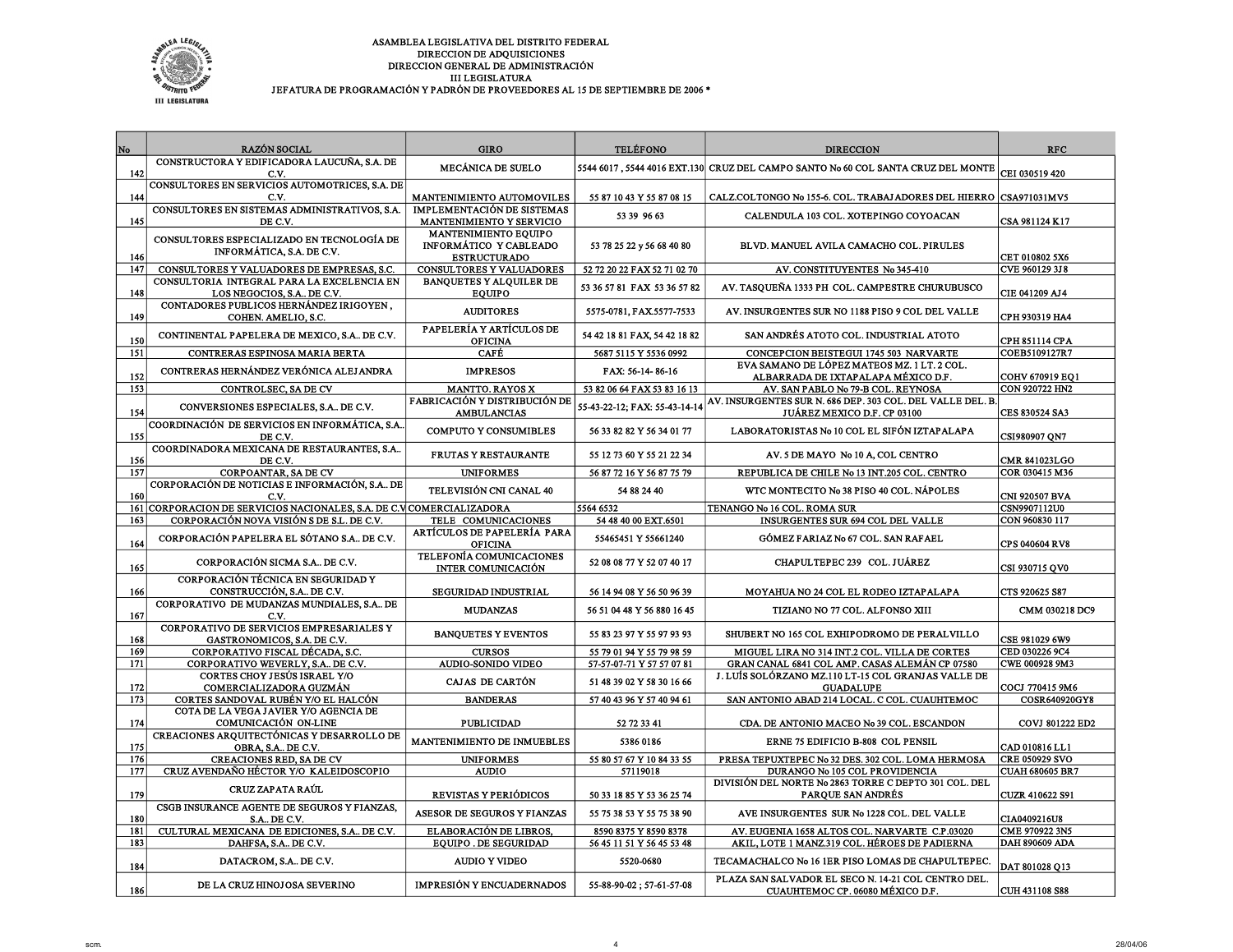

| No  | <b>RAZÓN SOCIAL</b>                                                       | <b>GIRO</b>                                                           | <b>TELÉFONO</b>               | <b>DIRECCION</b>                                                                         | <b>RFC</b>            |
|-----|---------------------------------------------------------------------------|-----------------------------------------------------------------------|-------------------------------|------------------------------------------------------------------------------------------|-----------------------|
| 142 | CONSTRUCTORA Y EDIFICADORA LAUCUÑA, S.A. DE<br>C.V.                       | <b>MECÁNICA DE SUELO</b>                                              |                               | 5544 6017, 5544 4016 EXT.130 CRUZ DEL CAMPO SANTO No 60 COL SANTA CRUZ DEL MONTE         | CEI 030519 420        |
| 144 | CONSULTORES EN SERVICIOS AUTOMOTRICES, S.A. DE<br>C.V.                    | MANTENIMIENTO AUTOMOVILES                                             | 55 87 10 43 Y 55 87 08 15     | CALZ.COLTONGO No 155-6. COL. TRABAJ ADORES DEL HIERRO CSA971031MV5                       |                       |
| 145 | CONSULTORES EN SISTEMAS ADMINISTRATIVOS, S.A.<br>DE C.V.                  | <b>IMPLEMENTACIÓN DE SISTEMAS</b><br><b>MANTENIMIENTO Y SERVICIO</b>  | 53 39 96 63                   | CALENDULA 103 COL. XOTEPINGO COYOACAN                                                    | CSA 981124 K17        |
| 146 | CONSULTORES ESPECIALIZADO EN TECNOLOGÍA DE<br>INFORMÁTICA, S.A. DE C.V.   | MANTENIMIENTO EQUIPO<br>INFORMÁTICO Y CABLEADO<br><b>ESTRUCTURADO</b> | 53 78 25 22 y 56 68 40 80     | BLVD. MANUEL AVILA CAMACHO COL. PIRULES                                                  | CET 010802 5X6        |
| 147 | CONSULTORES Y VALUADORES DE EMPRESAS, S.C.                                | CONSULTORES Y VALUADORES                                              | 52 72 20 22 FAX 52 71 02 70   | AV. CONSTITUYENTES No 345-410                                                            | CVE 960129 3J8        |
| 148 | CONSULTORIA INTEGRAL PARA LA EXCELENCIA EN<br>LOS NEGOCIOS, S.A., DE C.V. | <b>BANQUETES Y ALQUILER DE</b><br><b>EQUIPO</b>                       | 53 36 57 81 FAX 53 36 57 82   | AV. TASQUEÑA 1333 PH COL. CAMPESTRE CHURUBUSCO                                           | CIE 041209 AJ4        |
| 149 | CONTADORES PUBLICOS HERNÁNDEZ IRIGOYEN,<br>COHEN. AMELIO, S.C.            | <b>AUDITORES</b>                                                      | 5575-0781, FAX.5577-7533      | AV. INSURGENTES SUR NO 1188 PISO 9 COL DEL VALLE                                         | CPH 930319 HA4        |
| 150 | CONTINENTAL PAPELERA DE MEXICO, S.A DE C.V.                               | PAPELERÍA Y ARTÍCULOS DE<br><b>OFICINA</b>                            | 54 42 18 81 FAX, 54 42 18 82  | SAN ANDRÉS ATOTO COL. INDUSTRIAL ATOTO                                                   | CPH 851114 CPA        |
| 151 | CONTRERAS ESPINOSA MARIA BERTA                                            | <b>CAFÉ</b>                                                           | 5687 5115 Y 5536 0992         | CONCEPCION BEISTEGUI 1745 503 NARVARTE                                                   | COEB5109127R7         |
| 152 | CONTRERAS HERNÁNDEZ VERÓNICA ALEJANDRA                                    | <b>IMPRESOS</b>                                                       | FAX: 56-14-86-16              | EVA SAMANO DE LÓPEZ MATEOS MZ. 1 LT. 2 COL.<br>ALBARRADA DE IXTAPALAPA MÉXICO D.F.       | COHV 670919 EQ1       |
| 153 | CONTROLSEC, SA DE CV                                                      | <b>MANTTO. RAYOS X</b>                                                | 53 82 06 64 FAX 53 83 16 13   | AV. SAN PABLO No 79-B COL. REYNOSA                                                       | CON 920722 HN2        |
| 154 | CONVERSIONES ESPECIALES, S.A DE C.V.                                      | FABRICACIÓN Y DISTRIBUCIÓN DE<br><b>AMBULANCIAS</b>                   | 55-43-22-12; FAX: 55-43-14-14 | AV. INSURGENTES SUR N. 686 DEP. 303 COL. DEL VALLE DEL. B<br>JUÁREZ MEXICO D.F. CP 03100 | CES 830524 SA3        |
| 155 | COORDINACIÓN DE SERVICIOS EN INFORMÁTICA, S.A.<br>DE C.V.                 | <b>COMPUTO Y CONSUMIBLES</b>                                          | 56 33 82 82 Y 56 34 01 77     | LABORATORISTAS No 10 COL EL SIFÓN IZTAPALAPA                                             | CSI980907 QN7         |
| 156 | COORDINADORA MEXICANA DE RESTAURANTES, S.A.<br>DE C.V.                    | <b>FRUTAS Y RESTAURANTE</b>                                           | 55 12 73 60 Y 55 21 22 34     | AV. 5 DE MAYO No 10 A, COL CENTRO                                                        | <b>CMR 841023LGO</b>  |
| 157 | CORPOANTAR, SA DE CV                                                      | <b>UNIFORMES</b>                                                      | 56 87 72 16 Y 56 87 75 79     | REPUBLICA DE CHILE No 13 INT.205 COL. CENTRO                                             | COR 030415 M36        |
| 160 | CORPORACIÓN DE NOTICIAS E INFORMACIÓN, S.A DE<br>C.V.                     | TELEVISIÓN CNI CANAL 40                                               | 54 88 24 40                   | WTC MONTECITO No 38 PISO 40 COL. NÁPOLES                                                 | <b>CNI 920507 BVA</b> |
| 161 | CORPORACION DE SERVICIOS NACIONALES, S.A. DE C.V COMERCIALIZADORA         |                                                                       | 5564 6532                     | TENANGO No 16 COL. ROMA SUR                                                              | CSN9907112U0          |
| 163 | CORPORACIÓN NOVA VISIÓN S DE S.L. DE C.V.                                 | TELE COMUNICACIONES                                                   | 54 48 40 00 EXT.6501          | INSURGENTES SUR 694 COL DEL VALLE                                                        | CON 960830 117        |
| 164 | CORPORACIÓN PAPELERA EL SÓTANO S.A., DE C.V.                              | ARTÍCULOS DE PAPELERÍA PARA<br><b>OFICINA</b>                         | 55465451 Y 55661240           | <b>GÓMEZ FARIAZ No 67 COL. SAN RAFAEL</b>                                                | <b>CPS 040604 RV8</b> |
| 165 | CORPORACIÓN SICMA S.A., DE C.V.                                           | TELEFONÍA COMUNICACIONES<br><b>INTER COMUNICACIÓN</b>                 | 52 08 08 77 Y 52 07 40 17     | CHAPULTEPEC 239 COL. JUÁREZ                                                              | CSI 930715 QV0        |
| 166 | CORPORACIÓN TÉCNICA EN SEGURIDAD Y<br>CONSTRUCCIÓN, S.A., DE C.V.         | SEGURIDAD INDUSTRIAL                                                  | 56 14 94 08 Y 56 50 96 39     | MOYAHUA NO 24 COL EL RODEO IZTAPALAPA                                                    | CTS 920625 S87        |
| 167 | CORPORATIVO DE MUDANZAS MUNDIALES, S.A., DE<br>C.V.                       | <b>MUDANZAS</b>                                                       | 56 51 04 48 Y 56 880 16 45    | TIZIANO NO 77 COL. ALFONSO XIII                                                          | CMM 030218 DC9        |
| 168 | CORPORATIVO DE SERVICIOS EMPRESARIALES Y<br>GASTRONOMICOS, S.A. DE C.V.   | <b>BANQUETES Y EVENTOS</b>                                            | 55 83 23 97 Y 55 97 93 93     | SHUBERT NO 165 COL EXHIPODROMO DE PERALVILLO                                             | CSE 981029 6W9        |
| 169 | CORPORATIVO FISCAL DÉCADA, S.C.                                           | <b>CURSOS</b>                                                         | 55 79 01 94 Y 55 79 98 59     | MIGUEL LIRA NO 314 INT.2 COL. VILLA DE CORTES                                            | CED 030226 9C4        |
| 171 | CORPORATIVO WEVERLY, S.A., DE C.V.                                        | AUDIO-SONIDO VIDEO                                                    | 57-57-07-71 Y 57 57 07 81     | GRAN CANAL 6841 COL AMP. CASAS ALEMÁN CP 07580                                           | CWE 000928 9M3        |
| 172 | <b>CORTES CHOY JESÚS ISRAEL Y/O</b><br>COMERCIALIZADORA GUZMÁN            | CAJAS DE CARTÓN                                                       | 51 48 39 02 Y 58 30 16 66     | J. LUÍS SOLÓRZANO MZ.110 LT-15 COL GRANJAS VALLE DE<br><b>GUADALUPE</b>                  | COCJ 770415 9M6       |
| 173 | CORTES SANDOVAL RUBÉN Y/O EL HALCÓN                                       | <b>BANDERAS</b>                                                       | 57 40 43 96 Y 57 40 94 61     | SAN ANTONIO ABAD 214 LOCAL. C COL. CUAUHTEMOC                                            | COSR640920GY8         |
| 174 | COTA DE LA VEGA JAVIER Y/O AGENCIA DE<br>COMUNICACIÓN ON-LINE             | <b>PUBLICIDAD</b>                                                     | 52 72 33 41                   | CDA. DE ANTONIO MACEO No 39 COL. ESCANDON                                                | COVJ 801222 ED2       |
| 175 | <b>CREACIONES ARQUITECTÓNICAS Y DESARROLLO DE</b><br>OBRA, S.A DE C.V.    | MANTENIMIENTO DE INMUEBLES                                            | 5386 0186                     | <b>ERNE 75 EDIFICIO B-808 COL PENSIL</b>                                                 | CAD 010816 LL1        |
| 176 | <b>CREACIONES RED. SA DE CV</b>                                           | <b>UNIFORMES</b>                                                      | 55 80 57 67 Y 10 84 33 55     | PRESA TEPUXTEPEC No 32 DES. 302 COL. LOMA HERMOSA                                        | <b>CRE 050929 SVO</b> |
| 177 | CRUZ AVENDAÑO HÉCTOR Y/O KALEIDOSCOPIO                                    | <b>AUDIO</b>                                                          | 57119018                      | DURANGO No 105 COL PROVIDENCIA                                                           | CUAH 680605 BR7       |
| 179 | <b>CRUZ ZAPATA RAÚL</b>                                                   | REVISTAS Y PERIÓDICOS                                                 | 50 33 18 85 Y 53 36 25 74     | DIVISIÓN DEL NORTE No 2863 TORRE C DEPTO 301 COL. DEL<br>PARQUE SAN ANDRÉS               | CUZR 410622 S91       |
| 180 | CSGB INSURANCE AGENTE DE SEGUROS Y FIANZAS,<br><b>S.A., DE C.V.</b>       | ASESOR DE SEGUROS Y FIANZAS                                           | 55 75 38 53 Y 55 75 38 90     | AVE INSURGENTES SUR No 1228 COL. DEL VALLE                                               | CIA0409216U8          |
| 181 | CULTURAL MEXICANA DE EDICIONES, S.A DE C.V.                               | ELABORACIÓN DE LIBROS,                                                | 8590 8375 Y 8590 8378         | AV. EUGENIA 1658 ALTOS COL. NARVARTE C.P.03020                                           | CME 970922 3N5        |
| 183 | DAHFSA, S.A., DE C.V.                                                     | <b>EQUIPO. DE SEGURIDAD</b>                                           | 56 45 11 51 Y 56 45 53 48     | AKIL, LOTE 1 MANZ.319 COL. HÉROES DE PADIERNA                                            | <b>DAH 890609 ADA</b> |
| 184 | DATACROM, S.A DE C.V.                                                     | <b>AUDIO Y VIDEO</b>                                                  | 5520-0680                     | TECAMACHALCO No 16 1ER PISO LOMAS DE CHAPULTEPEC.                                        | DAT 801028 Q13        |
| 186 | DE LA CRUZ HINOJOSA SEVERINO                                              | <b>IMPRESIÓN Y ENCUADERNADOS</b>                                      | 55-88-90-02; 57-61-57-08      | PLAZA SAN SALVADOR EL SECO N. 14-21 COL CENTRO DEL.<br>CUAUHTEMOC CP. 06080 MÉXICO D.F.  | CUH 431108 S88        |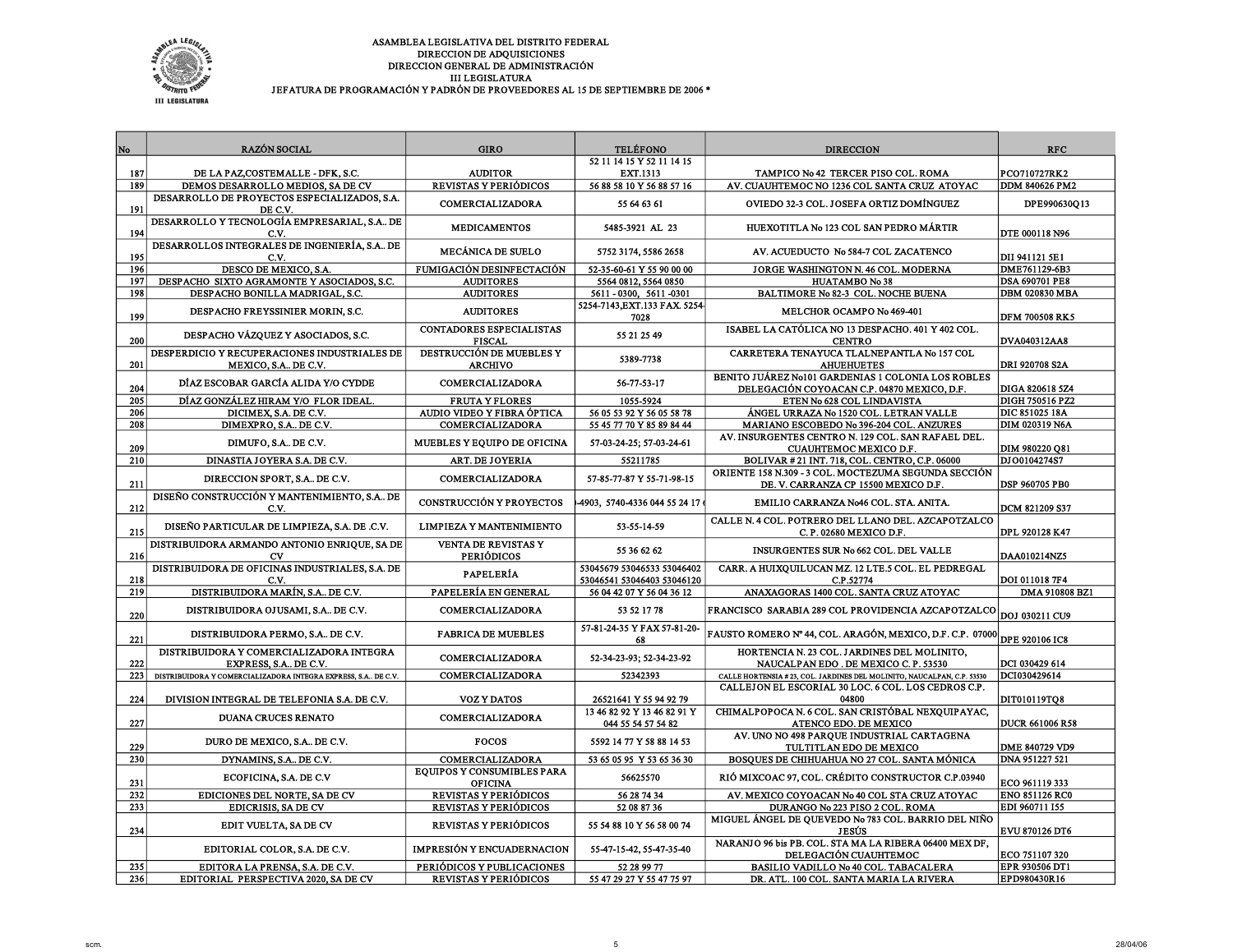

| No  | <b>RAZÓN SOCIAL</b>                                                 | <b>GIRO</b>                                     | <b>TELÉFONO</b>                                          | <b>DIRECCION</b>                                                                                  | <b>RFC</b>             |
|-----|---------------------------------------------------------------------|-------------------------------------------------|----------------------------------------------------------|---------------------------------------------------------------------------------------------------|------------------------|
|     |                                                                     |                                                 | 52 11 14 15 Y 52 11 14 15                                |                                                                                                   |                        |
| 187 | DE LA PAZ, COSTEMALLE - DFK, S.C.                                   | <b>AUDITOR</b>                                  | <b>EXT.1313</b>                                          | TAMPICO No 42 TERCER PISO COL. ROMA                                                               | PCO710727RK2           |
| 189 | DEMOS DESARROLLO MEDIOS, SA DE CV                                   | REVISTAS Y PERIÓDICOS                           | 56 88 58 10 Y 56 88 57 16                                | AV. CUAUHTEMOC NO 1236 COL SANTA CRUZ ATOYAC                                                      | <b>DDM 840626 PM2</b>  |
| 191 | DESARROLLO DE PROYECTOS ESPECIALIZADOS, S.A.<br>DE C.V.             | COMERCIALIZADORA                                | 55 64 63 61                                              | OVIEDO 32-3 COL. JOSEFA ORTIZ DOMÍNGUEZ                                                           | DPE990630Q13           |
| 194 | DESARROLLO Y TECNOLOGÍA EMPRESARIAL, S.A DE<br>C.V.                 | <b>MEDICAMENTOS</b>                             | 5485 3921 AL 23                                          | HUEXOTITLA No 123 COL SAN PEDRO MÁRTIR                                                            | DTE 000118 N96         |
| 195 | DESARROLLOS INTEGRALES DE INGENIERÍA, S.A., DE<br>C.V.              | <b>MECÁNICA DE SUELO</b>                        | 5752 3174, 5586 2658                                     | AV. ACUEDUCTO No 584-7 COL ZACATENCO                                                              | DII 941121 5E1         |
| 196 | DESCO DE MEXICO, S.A.                                               | FUMIGACIÓN DESINFECTACIÓN                       | 52-35-60-61 Y 55 90 00 00                                | JORGE WASHINGTON N. 46 COL. MODERNA                                                               | DME761129-6B3          |
| 197 | DESPACHO SIXTO AGRAMONTE Y ASOCIADOS, S.C.                          | <b>AUDITORES</b>                                | 5564 0812, 5564 0850                                     | <b>HUATAMBO No 38</b>                                                                             | <b>DSA 690701 PE8</b>  |
| 198 | DESPACHO BONILLA MADRIGAL, S.C.                                     | <b>AUDITORES</b>                                | 5611 - 0300, 5611 -0301<br>5254-7143, EXT.133 FAX. 5254  | BALTIMORE No 82-3 COL. NOCHE BUENA                                                                | <b>DBM 020830 MBA</b>  |
| 199 | DESPACHO FREYSSINIER MORIN, S.C.                                    | <b>AUDITORES</b>                                | 7028                                                     | MELCHOR OCAMPO No 469-401                                                                         | <b>DFM 700508 RK5</b>  |
| 200 | DESPACHO VÁZQUEZ Y ASOCIADOS, S.C.                                  | CONTADORES ESPECIALISTAS<br><b>FISCAL</b>       | 55 21 25 49                                              | ISABEL LA CATÓLICA NO 13 DESPACHO. 401 Y 402 COL.<br><b>CENTRO</b>                                | DVA040312AA8           |
| 201 | DESPERDICIO Y RECUPERACIONES INDUSTRIALES DE<br>MEXICO, S.A DE C.V. | DESTRUCCIÓN DE MUEBLES Y<br><b>ARCHIVO</b>      | 5389-7738                                                | CARRETERA TENAYUCA TLALNEPANTLA No 157 COL<br><b>AHUEHUETES</b>                                   | DRI 920708 S2A         |
| 204 | DÍAZ ESCOBAR GARCÍA ALIDA Y/O CYDDE                                 | COMERCIALIZADORA                                | 56-77-53-17                                              | BENITO JUÁREZ No101 GARDENIAS 1 COLONIA LOS ROBLES<br>DELEGACIÓN COYOACAN C.P. 04870 MEXICO, D.F. | DIGA 820618 5Z4        |
| 205 | DÍAZ GONZÁLEZ HIRAM Y/O FLOR IDEAL.                                 | <b>FRUTA Y FLORES</b>                           | 1055-5924                                                | ETEN No 628 COL LINDAVISTA                                                                        | DIGH 750516 PZ2        |
| 206 | DICIMEX, S.A. DE C.V.                                               | AUDIO VIDEO Y FIBRA ÓPTICA                      | 56 05 53 92 Y 56 05 58 78                                | ÁNGEL URRAZA No 1520 COL. LETRAN VALLE                                                            | DIC 851025 18A         |
| 208 | DIMEXPRO, S.A., DE C.V.                                             | <b>COMERCIALIZADORA</b>                         | 55 45 77 70 Y 85 89 84 44                                | MARIANO ESCOBEDO No 396-204 COL. ANZURES                                                          | DIM 020319 N6A         |
| 209 | DIMUFO, S.A., DE C.V.                                               | MUEBLES Y EQUIPO DE OFICINA                     | 57-03-24-25; 57-03-24-61                                 | AV. INSURGENTES CENTRO N. 129 COL. SAN RAFAEL DEL.<br>CUAUHTEMOC MEXICO D.F.                      | DIM 980220 Q81         |
| 210 | DINASTIA JOYERA S.A. DE C.V.                                        | ART. DE JOYERIA                                 | 55211785                                                 | BOLIVAR #21 INT. 718, COL. CENTRO, C.P. 06000                                                     | DJ00104274S7           |
| 211 | DIRECCION SPORT, S.A., DE C.V.                                      | <b>COMERCIALIZADORA</b>                         | 57-85-77-87 Y 55-71-98-15                                | ORIENTE 158 N.309 - 3 COL. MOCTEZUMA SEGUNDA SECCIÓN<br>DE. V. CARRANZA CP 15500 MEXICO D.F       | <b>DSP 960705 PB0</b>  |
| 212 | DISEÑO CONSTRUCCIÓN Y MANTENIMIENTO, S.A DE<br>C.V.                 | <b>CONSTRUCCIÓN Y PROYECTOS</b>                 | -4903, 5740-4336 044 55 24 17                            | EMILIO CARRANZA No46 COL. STA. ANITA.                                                             | <b>DCM 821209 S37</b>  |
| 215 | DISEÑO PARTICULAR DE LIMPIEZA, S.A. DE .C.V.                        | LIMPIEZA Y MANTENIMIENTO                        | 53-55-14-59                                              | CALLE N. 4 COL. POTRERO DEL LLANO DEL. AZCAPOTZALCO<br>C.P. 02680 MEXICO D.F.                     | DPL 920128 K47         |
| 216 | DISTRIBUIDORA ARMANDO ANTONIO ENRIQUE, SA DE<br>CV                  | <b>VENTA DE REVISTAS Y</b><br><b>PERIÓDICOS</b> | 55 36 62 62                                              | INSURGENTES SUR No 662 COL. DEL VALLE                                                             | DAA010214NZ5           |
| 218 | DISTRIBUIDORA DE OFICINAS INDUSTRIALES, S.A. DE<br>C.V.             | PAPELERÍA                                       | 53045679 53046533 53046402<br>53046541 53046403 53046120 | CARR. A HUIXQUILUCAN MZ. 12 LTE.5 COL. EL PEDREGAL<br>C.P.52774                                   | DOI 011018 7F4         |
| 219 | DISTRIBUIDORA MARÍN, S.A., DE C.V.                                  | PAPELERÍA EN GENERAL                            | 56 04 42 07 Y 56 04 36 12                                | ANAXAGORAS 1400 COL. SANTA CRUZ ATOYAC                                                            | DMA 910808 BZ1         |
| 220 | DISTRIBUIDORA OJUSAMI, S.A., DE C.V.                                | COMERCIALIZADORA                                | 53 52 17 78                                              | FRANCISCO SARABIA 289 COL PROVIDENCIA AZCAPOTZALCO                                                | DOJ 030211 CU9         |
| 221 | DISTRIBUIDORA PERMO, S.A DE C.V.                                    | <b>FABRICA DE MUEBLES</b>                       | 57-81-24-35 Y FAX 57-81-20-<br>68                        | FAUSTO ROMERO Nº 44, COL. ARAGÓN, MEXICO, D.F. C.P. 07000                                         | <b>DPE 920106 IC8</b>  |
| 222 | DISTRIBUIDORA Y COMERCIALIZADORA INTEGRA<br>EXPRESS, S.A., DE C.V.  | COMERCIALIZADORA                                | 52-34-23-93; 52-34-23-92                                 | HORTENCIA N. 23 COL. JARDINES DEL MOLINITO,<br>NAUCALPAN EDO. DE MEXICO C.P. 53530                | DCI 030429 614         |
| 223 | DISTRIBUIDORA Y COMERCIALIZADORA INTEGRA EXPRESS, S.A DE C.V.       | COMERCIALIZADORA                                | 52342393                                                 | CALLE HORTENSIA # 23, COL. JARDINES DEL MOLINITO, NAUCALPAN, C.P. 53530                           | DCI030429614           |
| 224 | DIVISION INTEGRAL DE TELEFONIA S.A. DE C.V.                         | <b>VOZ Y DATOS</b>                              | 26521641 Y 55 94 92 79                                   | CALLEJON EL ESCORIAL 30 LOC. 6 COL. LOS CEDROS C.P.<br>04800                                      | DIT010119TQ8           |
| 227 | <b>DUANA CRUCES RENATO</b>                                          | COMERCIALIZADORA                                | 13 46 82 92 Y 13 46 82 91 Y<br>044 55 54 57 54 82        | CHIMALPOPOCA N. 6 COL. SAN CRISTÓBAL NEXQUIPAYAC,<br>ATENCO EDO. DE MEXICO                        | <b>DUCR 661006 R58</b> |
| 229 | DURO DE MEXICO, S.A DE C.V.                                         | <b>FOCOS</b>                                    | 5592 14 77 Y 58 88 14 53                                 | AV. UNO NO 498 PARQUE INDUSTRIAL CARTAGENA<br>TULTITLAN EDO DE MEXICO                             | DME 840729 VD9         |
| 230 | DYNAMINS, S.A DE C.V.                                               | <b>COMERCIALIZADORA</b>                         | 53 65 05 95 Y 53 65 36 30                                | BOSQUES DE CHIHUAHUA NO 27 COL. SANTA MÓNICA                                                      | DNA 951227 521         |
| 231 | ECOFICINA, S.A. DE C.V                                              | EQUIPOS Y CONSUMIBLES PARA<br><b>OFICINA</b>    | 56625570                                                 | RIÓ MIXCOAC 97, COL. CRÉDITO CONSTRUCTOR C.P.03940                                                | ECO 961119 333         |
| 232 | <b>EDICIONES DEL NORTE, SA DE CV</b>                                | REVISTAS Y PERIÓDICOS                           | 56 28 74 34                                              | AV. MEXICO COYOACAN No 40 COL STA CRUZ ATOYAC                                                     | <b>ENO 851126 RC0</b>  |
| 233 | EDICRISIS, SA DE CV                                                 | REVISTAS Y PERIÓDICOS                           | 52 08 87 36                                              | DURANGO No 223 PISO 2 COL. ROMA                                                                   | EDI 960711 155         |
| 234 | EDIT VUELTA, SA DE CV                                               | REVISTAS Y PERIÓDICOS                           | 55 54 88 10 Y 56 58 00 74                                | MIGUEL ÁNGEL DE QUEVEDO No 783 COL. BARRIO DEL NIÑO<br><b>JESÚS</b>                               | EVU 870126 DT6         |
|     | EDITORIAL COLOR, S.A. DE C.V.                                       | IMPRESIÓN Y ENCUADERNACION                      | 55-47-15-42, 55-47-35-40                                 | NARANJO 96 bis PB. COL. STA MA LA RIBERA 06400 MEX DF,<br>DELEGACIÓN CUAUHTEMOC                   | ECO 751107 320         |
| 235 | EDITORA LA PRENSA, S.A. DE C.V.                                     | PERIÓDICOS Y PUBLICACIONES                      | 52 28 99 77                                              | BASILIO VADILLO No 40 COL. TABACALERA                                                             | EPR 930506 DT1         |
| 236 | EDITORIAL PERSPECTIVA 2020, SA DE CV                                | REVISTAS Y PERIÓDICOS                           | 55 47 29 27 Y 55 47 75 97                                | DR. ATL. 100 COL. SANTA MARIA LA RIVERA                                                           | EPD980430R16           |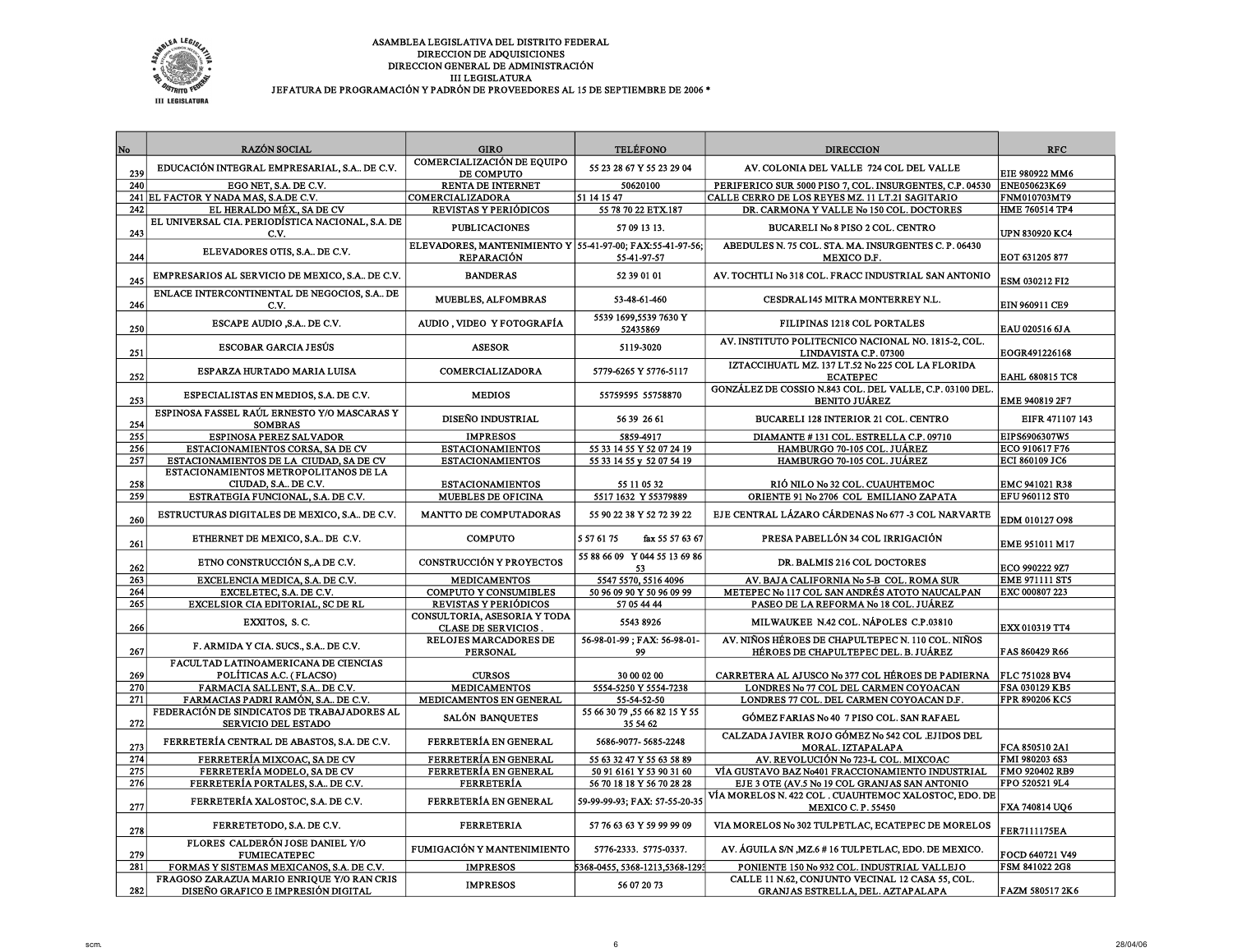

| No  | <b>RAZÓN SOCIAL</b>                                                | <b>GIRO</b>                                                                    | <b>TELÉFONO</b>                           | <b>DIRECCION</b>                                                                  | <b>RFC</b>             |
|-----|--------------------------------------------------------------------|--------------------------------------------------------------------------------|-------------------------------------------|-----------------------------------------------------------------------------------|------------------------|
|     |                                                                    | COMERCIALIZACIÓN DE EOUIPO                                                     |                                           |                                                                                   |                        |
| 239 | EDUCACIÓN INTEGRAL EMPRESARIAL, S.A., DE C.V.                      | DE COMPUTO                                                                     | 55 23 28 67 Y 55 23 29 04                 | AV. COLONIA DEL VALLE 724 COL DEL VALLE                                           | <b>EIE 980922 MM6</b>  |
| 240 | EGO NET. S.A. DE C.V.                                              | RENTA DE INTERNET                                                              | 50620100                                  | PERIFERICO SUR 5000 PISO 7, COL. INSURGENTES, C.P. 04530                          | ENE050623K69           |
| 241 | EL FACTOR Y NADA MAS, S.A.DE C.V.                                  | <b>COMERCIALIZADORA</b>                                                        | 51 14 15 47                               | CALLE CERRO DE LOS REYES MZ. 11 LT.21 SAGITARIO                                   | <b>FNM010703MT9</b>    |
| 242 | EL HERALDO MÉX., SA DE CV                                          | REVISTAS Y PERIÓDICOS                                                          | 55 78 70 22 ETX.187                       | DR. CARMONA Y VALLE No 150 COL. DOCTORES                                          | <b>HME 760514 TP4</b>  |
|     | EL UNIVERSAL CIA. PERIODÍSTICA NACIONAL, S.A. DE                   |                                                                                |                                           |                                                                                   |                        |
| 243 | C.V.                                                               | <b>PUBLICACIONES</b>                                                           | 57 09 13 13.                              | BUCARELI No 8 PISO 2 COL. CENTRO                                                  | <b>UPN 830920 KC4</b>  |
| 244 | ELEVADORES OTIS, S.A DE C.V.                                       | ELEVADORES, MANTENIMIENTO Y 55-41-97-00; FAX:55-41-97-56;<br><b>REPARACIÓN</b> | 55-41-97-57                               | ABEDULES N. 75 COL. STA. MA. INSURGENTES C. P. 06430<br>MEXICO D.F.               | EOT 631205 877         |
| 245 | EMPRESARIOS AL SERVICIO DE MEXICO, S.A DE C.V.                     | <b>BANDERAS</b>                                                                | 52 39 01 01                               | AV. TOCHTLI No 318 COL. FRACC INDUSTRIAL SAN ANTONIO                              | <b>ESM 030212 FI2</b>  |
| 246 | ENLACE INTERCONTINENTAL DE NEGOCIOS, S.A., DE<br>C.V.              | MUEBLES, ALFOMBRAS                                                             | 53-48-61-460                              | CESDRAL145 MITRA MONTERREY N.L.                                                   | <b>EIN 960911 CE9</b>  |
| 250 | ESCAPE AUDIO , S.A., DE C.V.                                       | AUDIO, VIDEO Y FOTOGRAFÍA                                                      | 5539 1699,5539 7630 Y<br>52435869         | FILIPINAS 1218 COL PORTALES                                                       | EAU 020516 6J A        |
| 251 | <b>ESCOBAR GARCIA JESÚS</b>                                        | <b>ASESOR</b>                                                                  | 5119-3020                                 | AV. INSTITUTO POLITECNICO NACIONAL NO. 1815-2, COL.<br>LINDAVISTA C.P. 07300      | EOGR491226168          |
| 252 | ESPARZA HURTADO MARIA LUISA                                        | COMERCIALIZADORA                                                               | 5779-6265 Y 5776-5117                     | IZTACCIHUATL MZ. 137 LT.52 No 225 COL LA FLORIDA<br><b>ECATEPEC</b>               | <b>EAHL 680815 TC8</b> |
| 253 | ESPECIALISTAS EN MEDIOS, S.A. DE C.V.                              | <b>MEDIOS</b>                                                                  | 55759595 55758870                         | GONZÁLEZ DE COSSIO N.843 COL. DEL VALLE, C.P. 03100 DEL.<br><b>BENITO JUÁREZ</b>  | EME 940819 2F7         |
| 254 | ESPINOSA FASSEL RAÚL ERNESTO Y/O MASCARAS Y<br><b>SOMBRAS</b>      | DISEÑO INDUSTRIAL                                                              | 56 39 26 61                               | BUCARELI 128 INTERIOR 21 COL. CENTRO                                              | EIFR 471107 143        |
| 255 | ESPINOSA PEREZ SALVADOR                                            | <b>IMPRESOS</b>                                                                | 5859-4917                                 | DIAMANTE #131 COL. ESTRELLA C.P. 09710                                            | EIPS6906307W5          |
| 256 | ESTACIONAMIENTOS CORSA, SA DE CV                                   | <b>ESTACIONAMIENTOS</b>                                                        | 55 33 14 55 Y 52 07 24 19                 | HAMBURGO 70-105 COL. JUÁREZ                                                       | ECO 910617 F76         |
| 257 | ESTACIONAMIENTOS DE LA CIUDAD, SA DE CV                            | <b>ESTACIONAMIENTOS</b>                                                        | 55 33 14 55 y 52 07 54 19                 | HAMBURGO 70-105 COL. JUÁREZ                                                       | ECI 860109 JC6         |
| 258 | ESTACIONAMIENTOS METROPOLITANOS DE LA<br>CIUDAD, S.A DE C.V.       | <b>ESTACIONAMIENTOS</b>                                                        | 55 11 05 32                               | RIÓ NILO Nº 32 COL. CUAUHTEMOC                                                    | <b>EMC 941021 R38</b>  |
| 259 | ESTRATEGIA FUNCIONAL, S.A. DE C.V.                                 | <b>MUEBLES DE OFICINA</b>                                                      | 5517 1632 Y 55379889                      | ORIENTE 91 No 2706 COL EMILIANO ZAPATA                                            | <b>EFU 960112 ST0</b>  |
| 260 | ESTRUCTURAS DIGITALES DE MEXICO, S.A., DE C.V.                     | MANTTO DE COMPUTADORAS                                                         | 55 90 22 38 Y 52 72 39 22                 | EJE CENTRAL LÁZARO CÁRDENAS No 677 -3 COL NARVARTE                                | EDM 010127 O98         |
| 261 | ETHERNET DE MEXICO, S.A DE C.V.                                    | <b>COMPUTO</b>                                                                 | 5 57 61 75<br>fax 55 57 63 67             | PRESA PABELLÓN 34 COL IRRIGACIÓN                                                  | <b>EME 951011 M17</b>  |
| 262 | ETNO CONSTRUCCIÓN S. A DE C.V.                                     | <b>CONSTRUCCIÓN Y PROYECTOS</b>                                                | 55 88 66 09 Y 044 55 13 69 86<br>53       | DR. BALMIS 216 COL DOCTORES                                                       | <b>ECO 990222 9Z7</b>  |
| 263 | EXCELENCIA MEDICA, S.A. DE C.V.                                    | <b>MEDICAMENTOS</b>                                                            | 5547 5570, 5516 4096                      | AV. BAJA CALIFORNIA No 5-B COL. ROMA SUR                                          | EME 971111 ST5         |
| 264 | EXCELETEC, S.A. DE C.V.                                            | <b>COMPUTO Y CONSUMIBLES</b>                                                   | 50 96 09 90 Y 50 96 09 99                 | METEPEC No 117 COL SAN ANDRÉS ATOTO NAUCALPAN                                     | EXC 000807 223         |
| 265 | EXCELSIOR CIA EDITORIAL, SC DE RL                                  | REVISTAS Y PERIÓDICOS                                                          | 57 05 44 44                               | PASEO DE LA REFORMA No 18 COL. JUÁREZ                                             |                        |
| 266 | EXXITOS, S.C.                                                      | CONSULTORIA, ASESORIA Y TODA<br><b>CLASE DE SERVICIOS</b>                      | 5543 8926                                 | MILWAUKEE N.42 COL. NÁPOLES C.P.03810                                             | EXX 010319 TT4         |
|     |                                                                    | <b>RELOJES MARCADORES DE</b>                                                   | 56-98-01-99; FAX: 56-98-01-               | AV. NIÑOS HÉROES DE CHAPULTEPEC N. 110 COL. NIÑOS                                 |                        |
| 267 | F. ARMIDA Y CIA. SUCS., S.A DE C.V.                                | <b>PERSONAL</b>                                                                | 99                                        | HÉROES DE CHAPULTEPEC DEL. B. JUÁREZ                                              | FAS 860429 R66         |
| 269 | FACULTAD LATINOAMERICANA DE CIENCIAS<br>POLÍTICAS A.C. (FLACSO)    | <b>CURSOS</b>                                                                  | 30 00 02 00                               | CARRETERA AL AJUSCO No 377 COL HÉROES DE PADIERNA                                 | FLC 751028 BV4         |
| 270 | FARMACIA SALLENT, S.A., DE C.V.                                    | <b>MEDICAMENTOS</b>                                                            | 5554-5250 Y 5554-7238                     | LONDRES No 77 COL DEL CARMEN COYOACAN                                             | FSA 030129 KB5         |
| 271 | FARMACIAS PADRI RAMÓN, S.A DE C.V.                                 | MEDICAMENTOS EN GENERAL                                                        | 55-54-52-50                               | LONDRES 77 COL. DEL CARMEN COYOACAN D.F                                           | FPR 890206 KC5         |
| 272 | FEDERACIÓN DE SINDICATOS DE TRABAJADORES AL<br>SERVICIO DEL ESTADO | SALÓN BANQUETES                                                                | 55 66 30 79 ,55 66 82 15 Y 55<br>35 54 62 | GÓMEZ FARIAS No 40 7 PISO COL. SAN RAFAEL                                         |                        |
| 273 | FERRETERÍA CENTRAL DE ABASTOS, S.A. DE C.V.                        | FERRETERÍA EN GENERAL                                                          | 5686-9077-5685-2248                       | CALZADA JAVIER ROJO GÓMEZ No 542 COL .EJIDOS DEL<br>MORAL. IZTAPALAPA             | FCA 850510 2A1         |
| 274 | FERRETERÍA MIXCOAC. SA DE CV                                       | FERRETERÍA EN GENERAL                                                          | 55 63 32 47 Y 55 63 58 89                 | AV. REVOLUCIÓN No 723-L COL. MIXCOAC                                              | FMI 980203 6S3         |
| 275 | FERRETERÍA MODELO, SA DE CV                                        | FERRETERÍA EN GENERAL                                                          | 50 91 6161 Y 53 90 31 60                  | VÍA GUSTAVO BAZ No401 FRACCIONAMIENTO INDUSTRIAL                                  | FMO 920402 RB9         |
| 276 | FERRETERÍA PORTALES, S.A DE C.V.                                   | <b>FERRETERÍA</b>                                                              | 56 70 18 18 Y 56 70 28 28                 | EJE 3 OTE (AV.5 No 19 COL GRANJAS SAN ANTONIO                                     | FPO 520521 9L4         |
| 277 | FERRETERÍA XALOSTOC, S.A. DE C.V.                                  | FERRETERÍA EN GENERAL                                                          | 59-99-99-93; FAX: 57-55-20-35             | VÍA MORELOS N. 422 COL . CUAUHTEMOC XALOSTOC, EDO. DE<br><b>MEXICO C.P. 55450</b> | FXA 740814 UO6         |
| 278 | FERRETETODO, S.A. DE C.V.                                          | <b>FERRETERIA</b>                                                              | 57 76 63 63 Y 59 99 99 09                 | VIA MORELOS No 302 TULPETLAC, ECATEPEC DE MORELOS                                 | <b>FER7111175EA</b>    |
| 279 | FLORES CALDERÓN JOSE DANIEL Y/O<br><b>FUMIECATEPEC</b>             | FUMIGACIÓN Y MANTENIMIENTO                                                     | 5776-2333. 5775-0337.                     | AV. ÁGUILA S/N ,MZ.6 # 16 TULPETLAC, EDO. DE MEXICO.                              | FOCD 640721 V49        |
| 281 | FORMAS Y SISTEMAS MEXICANOS, S.A. DE C.V.                          | <b>IMPRESOS</b>                                                                | 5368-0455, 5368-1213,5368-1293            | PONIENTE 150 No 932 COL. INDUSTRIAL VALLEJO                                       | FSM 841022 2G8         |
|     | FRAGOSO ZARAZUA MARIO ENRIQUE Y/O RAN CRIS                         |                                                                                |                                           | CALLE 11 N.62, CONJUNTO VECINAL 12 CASA 55, COL.                                  |                        |
| 282 | DISEÑO GRAFICO E IMPRESIÓN DIGITAL                                 | <b>IMPRESOS</b>                                                                | 56 07 20 73                               | GRANJAS ESTRELLA, DEL. AZTAPALAPA                                                 | FAZM 580517 2K6        |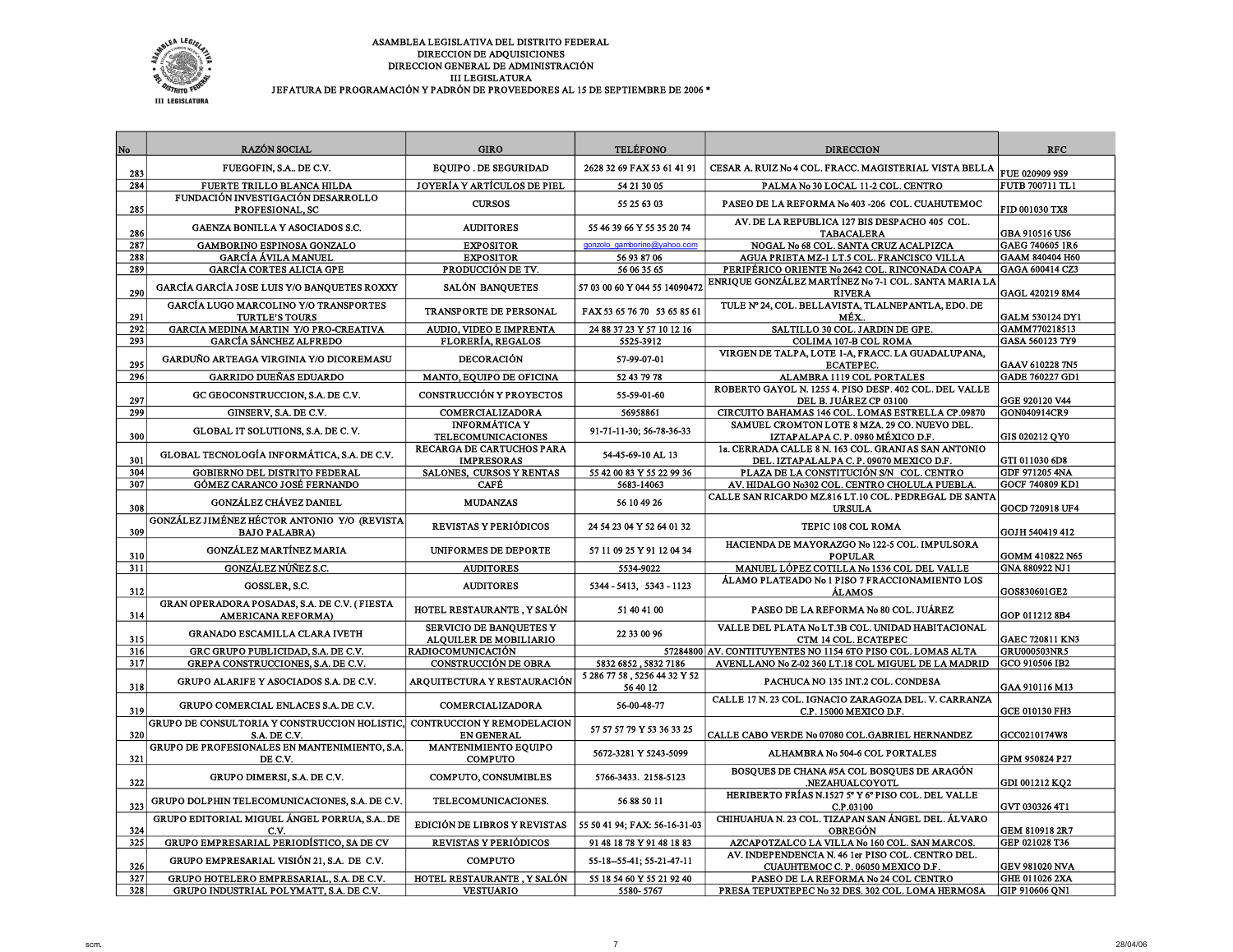

| No  | RAZÓN SOCIAL                                                          | <b>GIRO</b>                                            | <b>TELÉFONO</b>                          | <b>DIRECCION</b>                                                                               | <b>RFC</b>             |
|-----|-----------------------------------------------------------------------|--------------------------------------------------------|------------------------------------------|------------------------------------------------------------------------------------------------|------------------------|
| 283 | FUEGOFIN, S.A., DE C.V.                                               | <b>EQUIPO. DE SEGURIDAD</b>                            | 2628 32 69 FAX 53 61 41 91               | CESAR A. RUIZ No 4 COL. FRACC. MAGISTERIAL VISTA BELLA                                         | <b>FUE 020909 9S9</b>  |
| 284 | FUERTE TRILLO BLANCA HILDA                                            | JOYERÍA Y ARTÍCULOS DE PIEL                            | 54 21 30 05                              | PALMA No 30 LOCAL 11-2 COL. CENTRO                                                             | FUTB 700711 TL1        |
| 285 | FUNDACIÓN INVESTIGACIÓN DESARROLLO<br>PROFESIONAL, SC                 | <b>CURSOS</b>                                          | 55 25 63 03                              | PASEO DE LA REFORMA No 403 -206 COL. CUAHUTEMOC                                                | FID 001030 TX8         |
| 286 | GAENZA BONILLA Y ASOCIADOS S.C.                                       | <b>AUDITORES</b>                                       | 55 46 39 66 Y 55 35 20 74                | AV. DE LA REPUBLICA 127 BIS DESPACHO 405 COL.<br><b>TABACALERA</b>                             | GBA 910516 US6         |
| 287 | <b>GAMBORINO ESPINOSA GONZALO</b>                                     | <b>EXPOSITOR</b>                                       | gonzolo gamborino@vahoo.com              | NOGAL No 68 COL. SANTA CRUZ ACALPIZCA                                                          | GAEG 740605 1R6        |
| 288 | <b>GARCÍA ÁVILA MANUEL</b>                                            | <b>EXPOSITOR</b>                                       | 56 93 87 06                              | AGUA PRIETA MZ-1 LT.5 COL. FRANCISCO VILLA                                                     | GAAM 840404 H60        |
| 289 | <b>GARCÍA CORTES ALICIA GPE</b>                                       | PRODUCCIÓN DE TV.                                      | 56 06 35 65                              | PERIFÉRICO ORIENTE No 2642 COL. RINCONADA COAPA                                                | GAGA 600414 CZ3        |
| 290 | GARCÍA GARCÍA JOSE LUIS Y/O BANQUETES ROXXY                           | SALÓN BANQUETES                                        | 57 03 00 60 Y 044 55 14090472            | ENRIQUE GONZÁLEZ MARTÍNEZ Nº 7-1 COL. SANTA MARIA LA<br><b>RIVERA</b>                          | GAGL 420219 8M4        |
| 291 | <b>GARCÍA LUGO MARCOLINO Y/O TRANSPORTES</b><br><b>TURTLE'S TOURS</b> | TRANSPORTE DE PERSONAL                                 | FAX 53 65 76 70 53 65 85 61              | TULE Nº 24, COL. BELLAVISTA, TLALNEPANTLA, EDO. DE<br>MÉX.                                     | GALM 530124 DY1        |
| 292 | <b>GARCIA MEDINA MARTIN Y/O PRO-CREATIVA</b>                          | <b>AUDIO, VIDEO E IMPRENTA</b>                         | 24 88 37 23 Y 57 10 12 16                | SALTILLO 30 COL. JARDIN DE GPE.                                                                | GAMM770218513          |
| 293 | <b>GARCÍA SÁNCHEZ ALFREDO</b>                                         | <b>FLORERÍA, REGALOS</b>                               | 5525-3912                                | COLIMA 107-B COL ROMA                                                                          | GASA 560123 7Y9        |
| 295 | GARDUÑO ARTEAGA VIRGINIA Y/O DICOREMASU                               | <b>DECORACIÓN</b>                                      | 57-99-07-01                              | VIRGEN DE TALPA, LOTE 1-A, FRACC. LA GUADALUPANA,<br><b>ECATEPEC.</b>                          | GAAV 610228 7N5        |
| 296 | <b>GARRIDO DUEÑAS EDUARDO</b>                                         | MANTO, EQUIPO DE OFICINA                               | 52 43 79 78                              | ALAMBRA 1119 COL PORTALES                                                                      | GADE 760227 GD1        |
| 297 | GC GEOCONSTRUCCION, S.A. DE C.V.                                      | <b>CONSTRUCCIÓN Y PROYECTOS</b>                        | 55-59-01-60                              | ROBERTO GAYOL N. 1255 4. PISO DESP. 402 COL. DEL VALLE<br>DEL B. JUÁREZ CP 03100               | GGE 920120 V44         |
| 299 | GINSERV, S.A. DE C.V.                                                 | <b>COMERCIALIZADORA</b>                                | 56958861                                 | CIRCUITO BAHAMAS 146 COL. LOMAS ESTRELLA CP.09870                                              | GON040914CR9           |
| 300 | GLOBAL IT SOLUTIONS, S.A. DE C.V.                                     | <b>INFORMÁTICA Y</b><br>TELECOMUNICACIONES             | 91-71-11-30; 56-78-36-33                 | SAMUEL CROMTON LOTE 8 MZA. 29 CO. NUEVO DEL.<br>IZTAPALAPA C.P. 0980 MÉXICO D.F.               | GIS 020212 QY0         |
| 301 | GLOBAL TECNOLOGÍA INFORMÁTICA, S.A. DE C.V.                           | RECARGA DE CARTUCHOS PARA<br><b>IMPRESORAS</b>         | 54-45-69-10 AL 13                        | 1a. CERRADA CALLE 8 N. 163 COL. GRANJAS SAN ANTONIO<br>DEL. IZTAPALALPA C.P. 09070 MEXICO D.F. | GTI 011030 6D8         |
| 304 | GOBIERNO DEL DISTRITO FEDERAL                                         | SALONES, CURSOS Y RENTAS                               | 55 42 00 83 Y 55 22 99 36                | PLAZA DE LA CONSTITUCIÓN S/N COL. CENTRO                                                       | GDF 971205 4NA         |
| 307 | <b>GÓMEZ CARANCO JOSÉ FERNANDO</b>                                    | <b>CAFÉ</b>                                            | 5683-14063                               | AV. HIDALGO No302 COL. CENTRO CHOLULA PUEBLA.                                                  | <b>GOCF 740809 KD1</b> |
| 308 | <b>GONZÁLEZ CHÁVEZ DANIEL</b>                                         | <b>MUDANZAS</b>                                        | 56 10 49 26                              | CALLE SAN RICARDO MZ.816 LT.10 COL. PEDREGAL DE SANTA<br><b>URSULA</b>                         | GOCD 720918 UF4        |
| 309 | GONZÁLEZ JIMÉNEZ HÉCTOR ANTONIO Y/O (REVISTA<br><b>BAJO PALABRA)</b>  | REVISTAS Y PERIÓDICOS                                  | 24 54 23 04 Y 52 64 01 32                | TEPIC 108 COL ROMA                                                                             | GOJH 540419 412        |
| 310 | <b>GONZÁLEZ MARTÍNEZ MARIA</b>                                        | <b>UNIFORMES DE DEPORTE</b>                            | 57 11 09 25 Y 91 12 04 34                | HACIENDA DE MAYORAZGO No 122-5 COL. IMPULSORA<br><b>POPULAR</b>                                | GOMM 410822 N65        |
| 311 | <b>GONZÁLEZ NÚÑEZ S.C.</b>                                            | <b>AUDITORES</b>                                       | 5534-9022                                | MANUEL LÓPEZ COTILLA No 1536 COL DEL VALLE                                                     | GNA 880922 NJ1         |
| 312 | GOSSLER, S.C.                                                         | <b>AUDITORES</b>                                       | 5344 - 5413, 5343 - 1123                 | ÁLAMO PLATEADO No 1 PISO 7 FRACCIONAMIENTO LOS<br><b>ÁLAMOS</b>                                | GOS830601GE2           |
| 314 | GRAN OPERADORA POSADAS, S.A. DE C.V. (FIESTA<br>AMERICANA REFORMA)    | HOTEL RESTAURANTE, Y SALÓN                             | 51 40 41 00                              | PASEO DE LA REFORMA No 80 COL. JUÁREZ                                                          | GOP 011212 8B4         |
| 315 | <b>GRANADO ESCAMILLA CLARA IVETH</b>                                  | SERVICIO DE BANQUETES Y<br>ALOUILER DE MOBILIARIO      | 22 33 00 96                              | VALLE DEL PLATA No LT.3B COL. UNIDAD HABITACIONAL<br>CTM 14 COL. ECATEPEC                      | GAEC 720811 KN3        |
| 316 | GRC GRUPO PUBLICIDAD, S.A. DE C.V.                                    | RADIOCOMUNICACIÓN                                      |                                          | 57284800 AV. CONTITUYENTES NO 1154 6TO PISO COL. LOMAS ALTA                                    | <b>GRU000503NR5</b>    |
| 317 | GREPA CONSTRUCCIONES, S.A. DE C.V.                                    | CONSTRUCCIÓN DE OBRA                                   | 5832 6852, 5832 7186                     | AVENLLANO No Z-02 360 LT.18 COL MIGUEL DE LA MADRID                                            | GCO 910506 IB2         |
| 318 | GRUPO ALARIFE Y ASOCIADOS S.A. DE C.V.                                | ARQUITECTURA Y RESTAURACIÓN                            | 5 286 77 58, 5256 44 32 Y 52<br>56 40 12 | PACHUCA NO 135 INT.2 COL. CONDESA                                                              | GAA 910116 M13         |
| 319 | GRUPO COMERCIAL ENLACES S.A. DE C.V.                                  | COMERCIALIZADORA                                       | 56-00-48-77                              | CALLE 17 N. 23 COL. IGNACIO ZARAGOZA DEL. V. CARRANZA<br>C.P. 15000 MEXICO D.F.                | GCE 010130 FH3         |
| 320 | GRUPO DE CONSULTORIA Y CONSTRUCCION HOLISTIC.<br>S.A. DE C.V.         | <b>CONTRUCCION Y REMODELACION</b><br><b>EN GENERAL</b> | 57 57 57 79 Y 53 36 33 25                | CALLE CABO VERDE No 07080 COL.GABRIEL HERNANDEZ                                                | GCC0210174W8           |
| 321 | GRUPO DE PROFESIONALES EN MANTENIMIENTO, S.A.<br>DE C.V.              | <b>MANTENIMIENTO EQUIPO</b><br><b>COMPUTO</b>          | 5672-3281 Y 5243-5099                    | ALHAMBRA No 504-6 COL PORTALES                                                                 | GPM 950824 P27         |
| 322 | GRUPO DIMERSI, S.A. DE C.V.                                           | COMPUTO, CONSUMIBLES                                   | 5766-3433. 2158-5123                     | BOSQUES DE CHANA #5A COL BOSQUES DE ARAGÓN<br><b>NEZAHUALCOYOTL</b>                            | GDI 001212 KQ2         |
| 323 | GRUPO DOLPHIN TELECOMUNICACIONES, S.A. DE C.V.                        | TELECOMUNICACIONES.                                    | 56 88 50 11                              | HERIBERTO FRÍAS N.1527 5° Y 6° PISO COL. DEL VALLE<br>C.P.03100                                | GVT 030326 4T1         |
| 324 | GRUPO EDITORIAL MIGUEL ÁNGEL PORRUA, S.A DE<br>C.V.                   | EDICIÓN DE LIBROS Y REVISTAS                           | 55 50 41 94; FAX: 56-16-31-03            | CHIHUAHUA N. 23 COL. TIZAPAN SAN ÁNGEL DEL. ÁLVARO<br>OBREGÓN                                  | GEM 810918 2R7         |
| 325 | GRUPO EMPRESARIAL PERIODÍSTICO, SA DE CV                              | REVISTAS Y PERIÓDICOS                                  | 91 48 18 78 Y 91 48 18 83                | AZCAPOTZALCO LA VILLA No 160 COL. SAN MARCOS.                                                  | GEP 021028 T36         |
| 326 | GRUPO EMPRESARIAL VISIÓN 21, S.A. DE C.V.                             | COMPUTO                                                | 55-18-55-41; 55-21-47-11                 | AV. INDEPENDENCIA N. 46 1er PISO COL. CENTRO DEL.<br>CUAUHTEMOC C.P. 06050 MEXICO D.F.         | GEV 981020 NVA         |
| 327 | GRUPO HOTELERO EMPRESARIAL, S.A. DE C.V.                              | HOTEL RESTAURANTE, Y SALÓN                             | 55 18 54 60 Y 55 21 92 40                | PASEO DE LA REFORMA No 24 COL CENTRO                                                           | GHE 011026 2XA         |
| 328 | GRUPO INDUSTRIAL POLYMATT, S.A. DE C.V.                               | <b>VESTUARIO</b>                                       | 5580-5767                                | PRESA TEPUXTEPEC No 32 DES. 302 COL. LOMA HERMOSA                                              | GIP 910606 QN1         |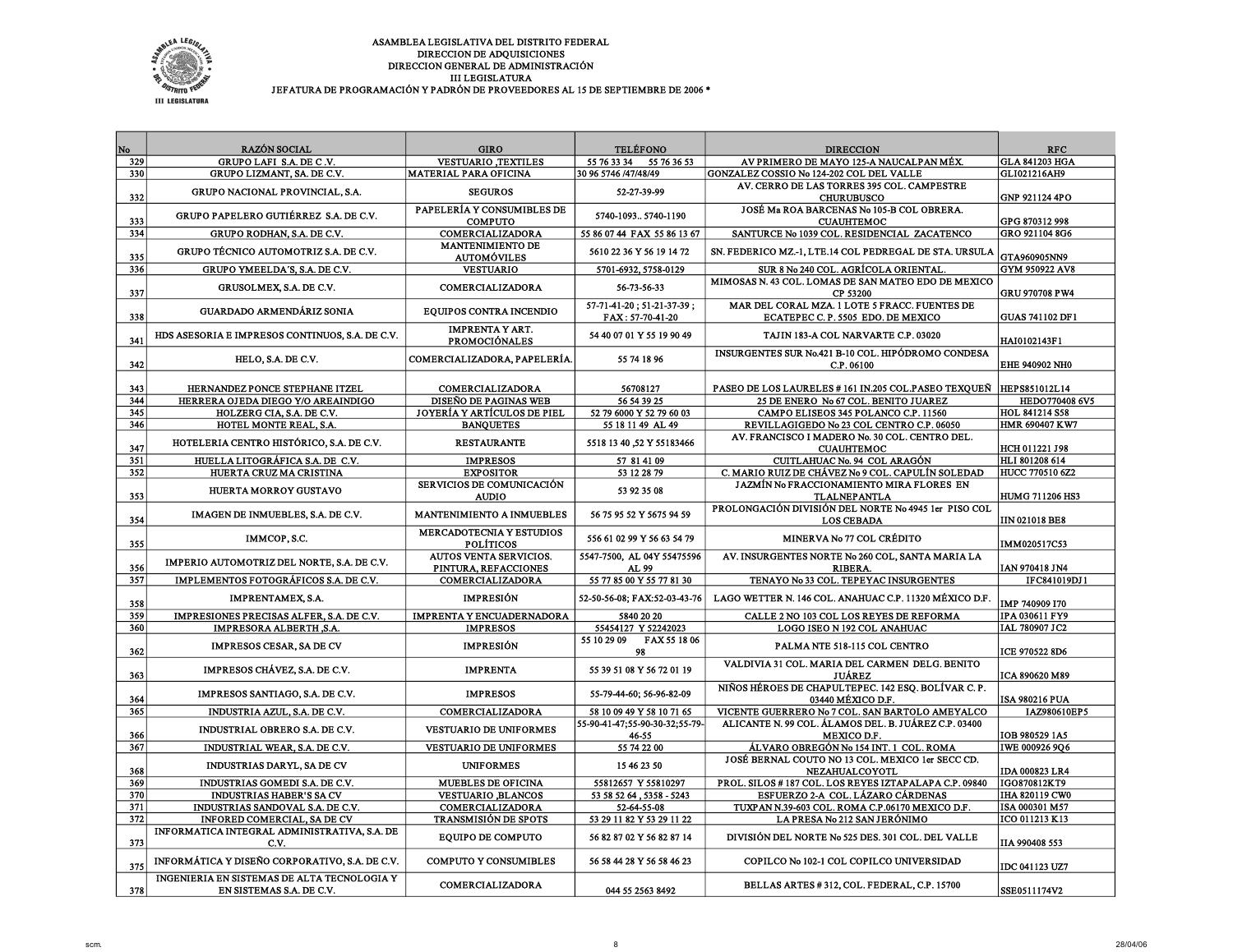

| No         | <b>RAZÓN SOCIAL</b>                                                                           | <b>GIRO</b>                                         | <b>TELÉFONO</b>                                    | <b>DIRECCION</b>                                                                   | <b>RFC</b>                       |
|------------|-----------------------------------------------------------------------------------------------|-----------------------------------------------------|----------------------------------------------------|------------------------------------------------------------------------------------|----------------------------------|
| 329        | GRUPO LAFI S.A. DE C.V.                                                                       | <b>VESTUARIO, TEXTILES</b>                          | 55 76 33 34<br>55 76 36 53                         | AV PRIMERO DE MAYO 125-A NAUCALPAN MÉX.                                            | <b>GLA 841203 HGA</b>            |
| 330        | GRUPO LIZMANT, SA. DE C.V.                                                                    | <b>MATERIAL PARA OFICINA</b>                        | 30 96 5746 /47/48/49                               | GONZALEZ COSSIO No 124-202 COL DEL VALLE                                           | GLI021216AH9                     |
| 332        | GRUPO NACIONAL PROVINCIAL, S.A.                                                               | <b>SEGUROS</b>                                      | 52-27-39-99                                        | AV. CERRO DE LAS TORRES 395 COL. CAMPESTRE<br><b>CHURUBUSCO</b>                    | GNP 921124 4PO                   |
| 333        | GRUPO PAPELERO GUTIÉRREZ S.A. DE C.V.                                                         | PAPELERÍA Y CONSUMIBLES DE<br><b>COMPUTO</b>        | 5740-1093 5740-1190                                | JOSÉ Ma ROA BARCENAS No 105-B COL OBRERA.<br><b>CUAUHTEMOC</b>                     | GPG 870312 998                   |
| 334        | GRUPO RODHAN, S.A. DE C.V.                                                                    | <b>COMERCIALIZADORA</b>                             | 55 86 07 44 FAX 55 86 13 67                        | SANTURCE No 1039 COL. RESIDENCIAL ZACATENCO                                        | GRO 921104 8G6                   |
| 335        | GRUPO TÉCNICO AUTOMOTRIZ S.A. DE C.V.                                                         | MANTENIMIENTO DE<br><b>AUTOMÓVILES</b>              | 5610 22 36 Y 56 19 14 72                           | SN. FEDERICO MZ.-1, LTE.14 COL PEDREGAL DE STA. URSULA                             | GTA960905NN9                     |
| 336        | GRUPO YMEELDA'S, S.A. DE C.V.                                                                 | <b>VESTUARIO</b>                                    | 5701-6932, 5758-0129                               | SUR 8 No 240 COL. AGRÍCOLA ORIENTAL                                                | GYM 950922 AV8                   |
| 337        | GRUSOLMEX, S.A. DE C.V.                                                                       | COMERCIALIZADORA                                    | 56-73-56-33                                        | MIMOSAS N. 43 COL. LOMAS DE SAN MATEO EDO DE MEXICO<br>CP 53200                    | <b>GRU 970708 PW4</b>            |
| 338        | <b>GUARDADO ARMENDÁRIZ SONIA</b>                                                              | <b>EOUIPOS CONTRA INCENDIO</b>                      | 57-71-41-20; 51-21-37-39;<br>FAX: 57-70-41-20      | MAR DEL CORAL MZA. 1 LOTE 5 FRACC. FUENTES DE<br>ECATEPEC C.P. 5505 EDO. DE MEXICO | <b>GUAS 741102 DF1</b>           |
| 341        | HDS ASESORIA E IMPRESOS CONTINUOS, S.A. DE C.V.                                               | <b>IMPRENTA Y ART.</b><br><b>PROMOCIÓNALES</b>      | 54 40 07 01 Y 55 19 90 49                          | TAJIN 183-A COL NARVARTE C.P. 03020                                                | HAI0102143F1                     |
| 342        | HELO, S.A. DE C.V.                                                                            | COMERCIALIZADORA, PAPELERÍA.                        | 55 74 18 96                                        | INSURGENTES SUR No.421 B-10 COL. HIPÓDROMO CONDESA<br>C.P. 06100                   | <b>EHE 940902 NHO</b>            |
| 343        | HERNANDEZ PONCE STEPHANE ITZEL                                                                | COMERCIALIZADORA                                    | 56708127                                           | PASEO DE LOS LAURELES # 161 IN.205 COL.PASEO TEXQUEÑ   HEPS851012L14               |                                  |
| 344        | HERRERA OJEDA DIEGO Y/O AREAINDIGO                                                            | <b>DISEÑO DE PAGINAS WEB</b>                        | 56 54 39 25                                        | 25 DE ENERO No 67 COL. BENITO JUAREZ                                               | HEDO770408 6V5                   |
| 345        | HOLZERG CIA, S.A. DE C.V.                                                                     | JOYERÍA Y ARTÍCULOS DE PIEL                         | 52 79 6000 Y 52 79 60 03                           | CAMPO ELISEOS 345 POLANCO C.P. 11560                                               | HOL 841214 S58                   |
| 346        | HOTEL MONTE REAL, S.A.                                                                        | <b>BANOUETES</b>                                    | 55 18 11 49 AL 49                                  | REVILLAGIGEDO No 23 COL CENTRO C.P. 06050                                          | HMR 690407 KW7                   |
| 347        | HOTELERIA CENTRO HISTÓRICO, S.A. DE C.V.                                                      | <b>RESTAURANTE</b>                                  | 55183466 Y 55183466                                | AV. FRANCISCO I MADERO No. 30 COL. CENTRO DEL.<br><b>CUAUHTEMOC</b>                | HCH 011221 J98                   |
| 351        | HUELLA LITOGRÁFICA S.A. DE C.V.                                                               | <b>IMPRESOS</b>                                     | 57 81 41 09                                        | CUITLAHUAC No. 94 COL ARAGÓN                                                       | HLI 801208 614                   |
| 352        | HUERTA CRUZ MA CRISTINA                                                                       | <b>EXPOSITOR</b>                                    | 53 12 28 79                                        | C. MARIO RUIZ DE CHÁVEZ No 9 COL. CAPULÍN SOLEDAD                                  | HUCC 770510 6Z2                  |
| 353        | <b>HUERTA MORROY GUSTAVO</b>                                                                  | <b>SERVICIOS DE COMUNICACIÓN</b><br><b>AUDIO</b>    | 53 92 35 08                                        | JAZMÍN No FRACCIONAMIENTO MIRA FLORES EN<br><b>TLALNEPANTLA</b>                    | HUMG 711206 HS3                  |
| 354        | IMAGEN DE INMUEBLES, S.A. DE C.V.                                                             | <b>MANTENIMIENTO A INMUEBLES</b>                    | 56 75 95 52 Y 5675 94 59                           | PROLONGACIÓN DIVISIÓN DEL NORTE No 4945 1er PISO COL<br><b>LOS CEBADA</b>          | <b>IIN 021018 BE8</b>            |
| 355        | IMMCOP, S.C.                                                                                  | <b>MERCADOTECNIA Y ESTUDIOS</b><br><b>POLÍTICOS</b> | 556 61 02 99 Y 56 63 54 79                         | MINERVA No 77 COL CRÉDITO                                                          | IMM020517C53                     |
| 356        | IMPERIO AUTOMOTRIZ DEL NORTE, S.A. DE C.V.                                                    | AUTOS VENTA SERVICIOS.<br>PINTURA, REFACCIONES      | 5547-7500, AL 04Y 55475596<br>AL 99                | AV. INSURGENTES NORTE No 260 COL, SANTA MARIA LA<br><b>RIBERA</b>                  | IAN 970418 JN4                   |
| 357        | IMPLEMENTOS FOTOGRÁFICOS S.A. DE C.V.                                                         | <b>COMERCIALIZADORA</b>                             | 55 77 85 00 Y 55 77 81 30                          | TENAYO No 33 COL. TEPEYAC INSURGENTES                                              | IFC841019DJ1                     |
| 358        | <b>IMPRENTAMEX, S.A.</b>                                                                      | <b>IMPRESIÓN</b>                                    | 52-50-56-08; FAX:52-03-43-76                       | LAGO WETTER N. 146 COL. ANAHUAC C.P. 11320 MÉXICO D.F.                             | IMP 740909 I70                   |
| 359        | IMPRESIONES PRECISAS ALFER, S.A. DE C.V.                                                      | <b>IMPRENTA Y ENCUADERNADORA</b>                    | 5840 20 20                                         | CALLE 2 NO 103 COL LOS REYES DE REFORMA                                            | IPA 030611 FY9                   |
| 360        | IMPRESORA ALBERTH, S.A.                                                                       | <b>IMPRESOS</b>                                     | 55454127 Y 52242023<br>55 10 29 09<br>FAX 55 18 06 | LOGO ISEO N 192 COL ANAHUAC                                                        | IAL 780907 JC2                   |
| 362        | <b>IMPRESOS CESAR, SA DE CV</b>                                                               | <b>IMPRESIÓN</b>                                    | 98                                                 | PALMA NTE 518-115 COL CENTRO                                                       | ICE 970522 8D6                   |
| 363        | IMPRESOS CHÁVEZ, S.A. DE C.V.                                                                 | <b>IMPRENTA</b>                                     | 55 39 51 08 Y 56 72 01 19                          | VALDIVIA 31 COL. MARIA DEL CARMEN DELG. BENITO<br><b>JUÁREZ</b>                    | ICA 890620 M89                   |
| 364        | IMPRESOS SANTIAGO, S.A. DE C.V.                                                               | <b>IMPRESOS</b>                                     | 55-79-44-60; 56-96-82-09                           | NIÑOS HÉROES DE CHAPULTEPEC. 142 ESQ. BOLÍVAR C.P.<br>03440 MÉXICO D.F.            | <b>ISA 980216 PUA</b>            |
| 365        | INDUSTRIA AZUL, S.A. DE C.V.                                                                  | COMERCIALIZADORA                                    | 58 10 09 49 Y 58 10 71 65                          | VICENTE GUERRERO No 7 COL. SAN BARTOLO AMEYALCO                                    | IAZ980610EP5                     |
| 366        | INDUSTRIAL OBRERO S.A. DE C.V.                                                                | VESTUARIO DE UNIFORMES                              | 55-90-41-47;55-90-30-32;55-79-<br>$46 - 55$        | ALICANTE N. 99 COL. ÁLAMOS DEL. B. JUÁREZ C.P. 03400<br>MEXICO D.F.                | IOB 980529 1A5                   |
| 367        | INDUSTRIAL WEAR, S.A. DE C.V.                                                                 | <b>VESTUARIO DE UNIFORMES</b>                       | 55 74 22 00                                        | ÁLVARO OBREGÓN Nº 154 INT. 1  COL. ROMA                                            | IWE 000926 9Q6                   |
| 368        | INDUSTRIAS DARYL, SA DE CV                                                                    | <b>UNIFORMES</b>                                    | 15 46 23 50                                        | JOSÉ BERNAL COUTO NO 13 COL. MEXICO 1er SECC CD.<br><b>NEZAHUALCOYOTL</b>          | IDA 000823 LR4                   |
| 369        | INDUSTRIAS GOMEDI S.A. DE C.V.                                                                | <b>MUEBLES DE OFICINA</b>                           | 55812657 Y 55810297                                | PROL. SILOS #187 COL. LOS REYES IZTAPALAPA C.P. 09840                              | IGO870812KT9                     |
| 370        | <b>INDUSTRIAS HABER'S SA CV</b>                                                               | <b>VESTUARIO BLANCOS</b>                            | 53 58 52 64, 5358 - 5243                           | ESFUERZO 2-A COL. LÁZARO CÁRDENAS                                                  | IHA 820119 CW0                   |
| 371<br>372 | INDUSTRIAS SANDOVAL S.A. DE C.V.<br>INFORED COMERCIAL, SA DE CV                               | COMERCIALIZADORA<br><b>TRANSMISIÓN DE SPOTS</b>     | 52-64-55-08                                        | TUXPAN N.39-603 COL. ROMA C.P.06170 MEXICO D.F.                                    | ISA 000301 M57<br>ICO 011213 K13 |
|            | INFORMATICA INTEGRAL ADMINISTRATIVA, S.A. DE                                                  |                                                     | 53 29 11 82 Y 53 29 11 22                          | LA PRESA No 212 SAN JERÓNIMO                                                       |                                  |
| 373        | C.V.                                                                                          | <b>EQUIPO DE COMPUTO</b>                            | 56 82 87 02 Y 56 82 87 14                          | DIVISIÓN DEL NORTE No 525 DES. 301 COL. DEL VALLE                                  | IIA 990408 553                   |
| 375        | INFORMÁTICA Y DISEÑO CORPORATIVO, S.A. DE C.V.<br>INGENIERIA EN SISTEMAS DE ALTA TECNOLOGIA Y | <b>COMPUTO Y CONSUMIBLES</b>                        | 56 58 44 28 Y 56 58 46 23                          | COPILCO No 102-1 COL COPILCO UNIVERSIDAD                                           | IDC 041123 UZ7                   |
| 378        | EN SISTEMAS S.A. DE C.V.                                                                      | COMERCIALIZADORA                                    | 044 55 2563 8492                                   | BELLAS ARTES #312, COL. FEDERAL, C.P. 15700                                        | SSE0511174V2                     |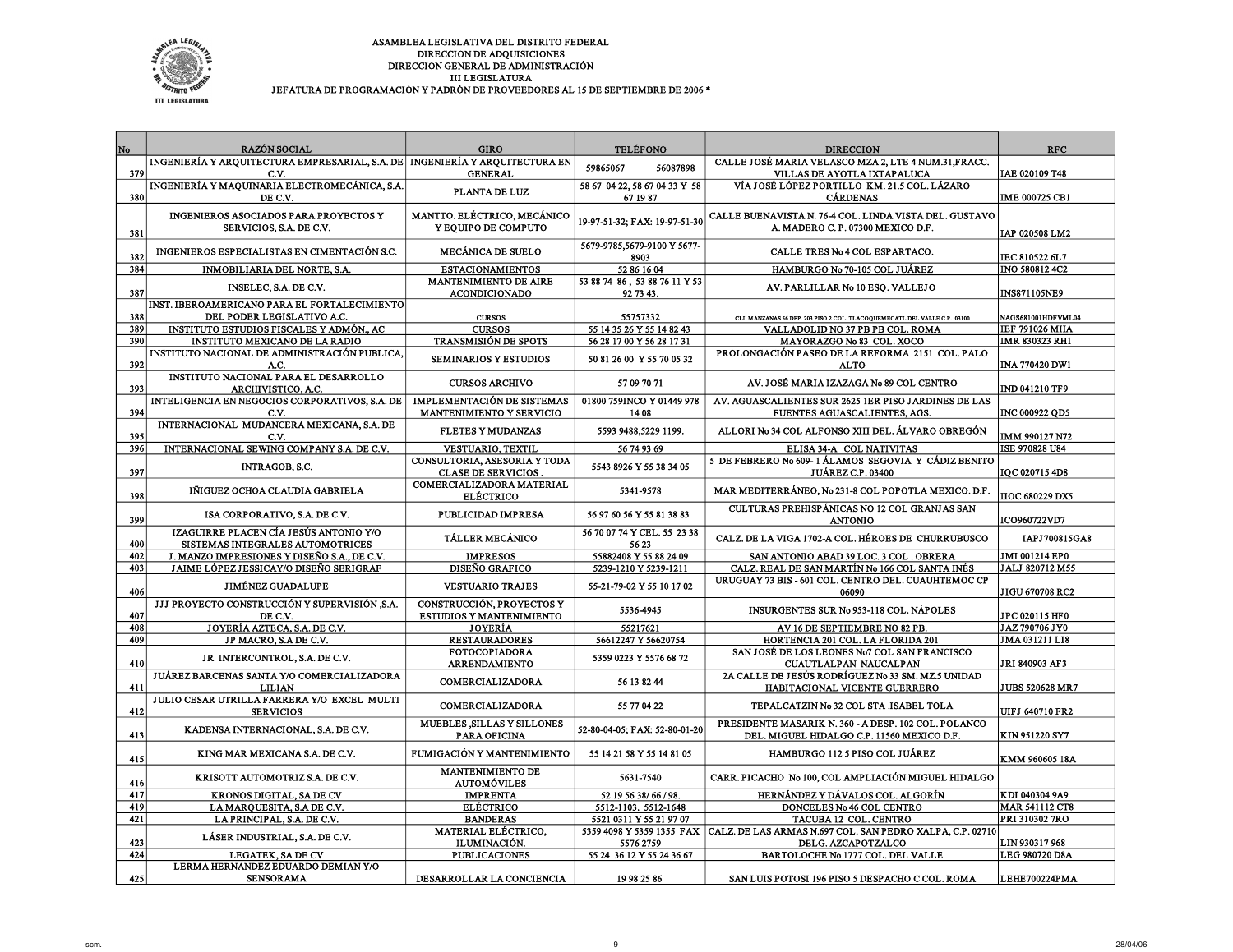

| No  | <b>RAZÓN SOCIAL</b>                                                           | <b>GIRO</b>                       | <b>TELÉFONO</b>               | <b>DIRECCION</b>                                                                   | <b>RFC</b>             |
|-----|-------------------------------------------------------------------------------|-----------------------------------|-------------------------------|------------------------------------------------------------------------------------|------------------------|
|     | INGENIERÍA Y ARQUITECTURA EMPRESARIAL, S.A. DE   INGENIERÍA Y ARQUITECTURA EN |                                   |                               | CALLE JOSÉ MARIA VELASCO MZA 2, LTE 4 NUM.31, FRACC.                               |                        |
| 379 | C.V.                                                                          | <b>GENERAL</b>                    | 59865067<br>56087898          | VILLAS DE AYOTLA IXTAPALUCA                                                        | IAE 020109 T48         |
|     | INGENIERÍA Y MAQUINARIA ELECTROMECÁNICA, S.A.                                 | PLANTA DE LUZ                     | 58 67 04 22, 58 67 04 33 Y 58 | VÍA JOSÉ LÓPEZ PORTILLO KM. 21.5 COL. LÁZARO                                       |                        |
| 380 | DE C.V.                                                                       |                                   | 67 19 87                      | <b>CÁRDENAS</b>                                                                    | IME 000725 CB1         |
|     | INGENIEROS ASOCIADOS PARA PROYECTOS Y                                         | MANTTO. ELÉCTRICO, MECÁNICO       |                               | CALLE BUENAVISTA N. 76-4 COL. LINDA VISTA DEL. GUSTAVO                             |                        |
|     | SERVICIOS, S.A. DE C.V.                                                       | Y EQUIPO DE COMPUTO               | 19-97-51-32; FAX: 19-97-51-30 | A. MADERO C.P. 07300 MEXICO D.F.                                                   |                        |
| 381 |                                                                               |                                   |                               |                                                                                    | IAP 020508 LM2         |
|     | INGENIEROS ESPECIALISTAS EN CIMENTACIÓN S.C.                                  | MECÁNICA DE SUELO                 | 5679-9785,5679-9100 Y 5677-   | CALLE TRES No 4 COL ESPARTACO.                                                     |                        |
| 382 |                                                                               |                                   | 8903                          |                                                                                    | IEC 810522 6L7         |
| 384 | INMOBILIARIA DEL NORTE, S.A.                                                  | <b>ESTACIONAMIENTOS</b>           | 52 86 16 04                   | HAMBURGO No 70-105 COL JUÁREZ                                                      | INO 580812 4C2         |
| 387 | INSELEC, S.A. DE C.V.                                                         | MANTENIMIENTO DE AIRE             | 53 88 74 86, 53 88 76 11 Y 53 | AV. PARLILLAR No 10 ESQ. VALLEJO                                                   |                        |
|     | INST. IBEROAMERICANO PARA EL FORTALECIMIENTO                                  | <b>ACONDICIONADO</b>              | 92 73 43.                     |                                                                                    | INS871105NE9           |
| 388 | DEL PODER LEGISLATIVO A.C.                                                    | <b>CURSOS</b>                     | 55757332                      | CLL MANZANAS 56 DBP. 203 PISO 2 COL. TLACOQUEMECATL DEL VALLE C.P. 03100           | NAGS681001HDFVML04     |
| 389 | INSTITUTO ESTUDIOS FISCALES Y ADMÓN., AC                                      | <b>CURSOS</b>                     | 55 14 35 26 Y 55 14 82 43     | VALLADOLID NO 37 PB PB COL. ROMA                                                   | IEF 791026 MHA         |
| 390 | INSTITUTO MEXICANO DE LA RADIO                                                | <b>TRANSMISIÓN DE SPOTS</b>       | 56 28 17 00 Y 56 28 17 31     | MAYORAZGO No 83 COL. XOCO                                                          | IMR 830323 RH1         |
|     | INSTITUTO NACIONAL DE ADMINISTRACIÓN PUBLICA.                                 |                                   |                               | PROLONGACIÓN PASEO DE LA REFORMA 2151 COL. PALO                                    |                        |
| 392 | A.C.                                                                          | <b>SEMINARIOS Y ESTUDIOS</b>      | 50 81 26 00 Y 55 70 05 32     | <b>ALTO</b>                                                                        | <b>INA 770420 DW1</b>  |
|     | INSTITUTO NACIONAL PARA EL DESARROLLO                                         |                                   |                               |                                                                                    |                        |
| 393 | ARCHIVISTICO, A.C.                                                            | <b>CURSOS ARCHIVO</b>             | 57 09 70 71                   | AV. JOSÉ MARIA IZAZAGA No 89 COL CENTRO                                            | IND 041210 TF9         |
|     | INTELIGENCIA EN NEGOCIOS CORPORATIVOS, S.A. DE                                | <b>IMPLEMENTACIÓN DE SISTEMAS</b> | 01800 759INCO Y 01449 978     | AV. AGUASCALIENTES SUR 2625 IER PISO JARDINES DE LAS                               |                        |
| 394 | C.V.                                                                          | MANTENIMIENTO Y SERVICIO          | 14 08                         | FUENTES AGUASCALIENTES, AGS.                                                       | INC 000922 QD5         |
|     | INTERNACIONAL MUDANCERA MEXICANA, S.A. DE                                     | <b>FLETES Y MUDANZAS</b>          | 5593 9488,5229 1199.          | ALLORI No 34 COL ALFONSO XIII DEL. ÁLVARO OBREGÓN                                  |                        |
| 395 | C.V.                                                                          |                                   |                               |                                                                                    | IMM 990127 N72         |
| 396 | INTERNACIONAL SEWING COMPANY S.A. DE C.V.                                     | VESTUARIO, TEXTIL                 | 56 74 93 69                   | ELISA 34-A COL NATIVITAS                                                           | ISE 970828 U84         |
|     | INTRAGOB, S.C.                                                                | CONSULTORIA, ASESORIA Y TODA      | 5543 8926 Y 55 38 34 05       | 5 DE FEBRERO No 609-1 ÁLAMOS SEGOVIA Y CÁDIZ BENITO                                |                        |
| 397 |                                                                               | <b>CLASE DE SERVICIOS</b>         |                               | <b>JUÁREZ C.P. 03400</b>                                                           | IQC 020715 4D8         |
|     | IÑIGUEZ OCHOA CLAUDIA GABRIELA                                                | COMERCIALIZADORA MATERIAL         | 5341-9578                     | MAR MEDITERRÁNEO, No 231-8 COL POPOTLA MEXICO. D.F.                                |                        |
| 398 |                                                                               | <b>ELÉCTRICO</b>                  |                               |                                                                                    | <b>IIOC 680229 DX5</b> |
| 399 | ISA CORPORATIVO, S.A. DE C.V.                                                 | PUBLICIDAD IMPRESA                | 56 97 60 56 Y 55 81 38 83     | CULTURAS PREHISPÁNICAS NO 12 COL GRANJAS SAN<br><b>ANTONIO</b>                     | ICO960722VD7           |
|     | IZAGUIRRE PLACEN CÍA JESÚS ANTONIO Y/O                                        |                                   | 56 70 07 74 Y CEL. 55 23 38   |                                                                                    |                        |
| 400 | SISTEMAS INTEGRALES AUTOMOTRICES                                              | <b>TÁLLER MECÁNICO</b>            | 56 23                         | CALZ. DE LA VIGA 1702-A COL. HÉROES DE CHURRUBUSCO                                 | IAPJ700815GA8          |
| 402 | J. MANZO IMPRESIONES Y DISEÑO S.A., DE C.V.                                   | <b>IMPRESOS</b>                   | 55882408 Y 55 88 24 09        | SAN ANTONIO ABAD 39 LOC. 3 COL. OBRERA                                             | JMI 001214 EP0         |
| 403 | JAIME LÓPEZ JESSICAY/O DISEÑO SERIGRAF                                        | <b>DISEÑO GRAFICO</b>             | 5239-1210 Y 5239-1211         | CALZ. REAL DE SAN MARTÍN No 166 COL SANTA INÉS                                     | JALJ 820712 M55        |
|     |                                                                               |                                   |                               | URUGUAY 73 BIS - 601 COL. CENTRO DEL. CUAUHTEMOC CP                                |                        |
| 406 | <b>JIMÉNEZ GUADALUPE</b>                                                      | <b>VESTUARIO TRAJES</b>           | 55-21-79-02 Y 55 10 17 02     | 06090                                                                              | JIGU 670708 RC2        |
|     | JJJ PROYECTO CONSTRUCCIÓN Y SUPERVISIÓN S.A.                                  | CONSTRUCCIÓN, PROYECTOS Y         | 5536-4945                     | INSURGENTES SUR No 953-118 COL. NÁPOLES                                            |                        |
| 407 | DE C.V.                                                                       | <b>ESTUDIOS Y MANTENIMIENTO</b>   |                               |                                                                                    | JPC 020115 HF0         |
| 408 | JOYERÍA AZTECA, S.A. DE C.V.                                                  | JOYERÍA                           | 55217621                      | AV 16 DE SEPTIEMBRE NO 82 PB.                                                      | JAZ 790706 JY0         |
| 409 | JP MACRO, S.A DE C.V.                                                         | <b>RESTAURADORES</b>              | 56612247 Y 56620754           | HORTENCIA 201 COL. LA FLORIDA 201                                                  | JMA 031211 LI8         |
|     | JR INTERCONTROL, S.A. DE C.V.                                                 | <b>FOTOCOPIADORA</b>              | 5359 0223 Y 5576 68 72        | SAN JOSÉ DE LOS LEONES No7 COL SAN FRANCISCO                                       |                        |
| 410 |                                                                               | <b>ARRENDAMIENTO</b>              |                               | CUAUTLALPAN NAUCALPAN                                                              | JRI 840903 AF3         |
| 411 | JUÁREZ BARCENAS SANTA Y/O COMERCIALIZADORA                                    | COMERCIALIZADORA                  | 56 13 82 44                   | 2A CALLE DE JESÚS RODRÍGUEZ No 33 SM. MZ.5 UNIDAD<br>HABITACIONAL VICENTE GUERRERO | <b>JUBS 520628 MR7</b> |
|     | <b>LILIAN</b><br>JULIO CESAR UTRILLA FARRERA Y/O EXCEL MULTI                  |                                   |                               |                                                                                    |                        |
| 412 | <b>SERVICIOS</b>                                                              | COMERCIALIZADORA                  | 55 77 04 22                   | TEPALCATZIN No 32 COL STA JSABEL TOLA                                              | <b>UIFJ 640710 FR2</b> |
|     |                                                                               | MUEBLES SILLAS Y SILLONES         |                               | PRESIDENTE MASARIK N. 360 - A DESP. 102 COL. POLANCO                               |                        |
| 413 | KADENSA INTERNACIONAL, S.A. DE C.V.                                           | PARA OFICINA                      | 52-80-04-05; FAX: 52-80-01-20 | DEL. MIGUEL HIDALGO C.P. 11560 MEXICO D.F.                                         | KIN 951220 SY7         |
|     |                                                                               |                                   |                               |                                                                                    |                        |
| 415 | KING MAR MEXICANA S.A. DE C.V.                                                | FUMIGACIÓN Y MANTENIMIENTO        | 55 14 21 58 Y 55 14 81 05     | HAMBURGO 112 5 PISO COL JUÁREZ                                                     | KMM 960605 18A         |
|     |                                                                               | <b>MANTENIMIENTO DE</b>           |                               |                                                                                    |                        |
| 416 | KRISOTT AUTOMOTRIZ S.A. DE C.V.                                               | <b>AUTOMÓVILES</b>                | 5631-7540                     | CARR. PICACHO No 100, COL AMPLIACIÓN MIGUEL HIDALGO                                |                        |
| 417 | KRONOS DIGITAL, SA DE CV                                                      | <b>IMPRENTA</b>                   | 52 19 56 38/66 / 98.          | HERNÁNDEZ Y DÁVALOS COL. ALGORÍN                                                   | KDI 040304 9A9         |
| 419 | LA MARQUESITA, S.A DE C.V.                                                    | <b>ELÉCTRICO</b>                  | 5512-1103. 5512-1648          | DONCELES No 46 COL CENTRO                                                          | <b>MAR 541112 CT8</b>  |
| 421 | LA PRINCIPAL, S.A. DE C.V.                                                    | <b>BANDERAS</b>                   | 5521 0311 Y 55 21 97 07       | TACUBA 12 COL. CENTRO                                                              | PRI 310302 7RO         |
|     | LÁSER INDUSTRIAL, S.A. DE C.V.                                                | MATERIAL ELÉCTRICO,               | 5359 4098 Y 5359 1355 FAX     | CALZ. DE LAS ARMAS N.697 COL. SAN PEDRO XALPA, C.P. 02710                          |                        |
| 423 |                                                                               | ILUMINACIÓN.                      | 5576 2759                     | DELG. AZCAPOTZALCO                                                                 | LIN 930317 968         |
| 424 | LEGATEK, SA DE CV                                                             | <b>PUBLICACIONES</b>              | 55 24 36 12 Y 55 24 36 67     | BARTOLOCHE No 1777 COL. DEL VALLE                                                  | LEG 980720 D8A         |
| 425 | LERMA HERNANDEZ EDUARDO DEMIAN Y/O<br><b>SENSORAMA</b>                        |                                   | 19 98 25 86                   |                                                                                    |                        |
|     |                                                                               | DESARROLLAR LA CONCIENCIA         |                               | SAN LUIS POTOSI 196 PISO 5 DESPACHO C COL. ROMA                                    | LEHE700224PMA          |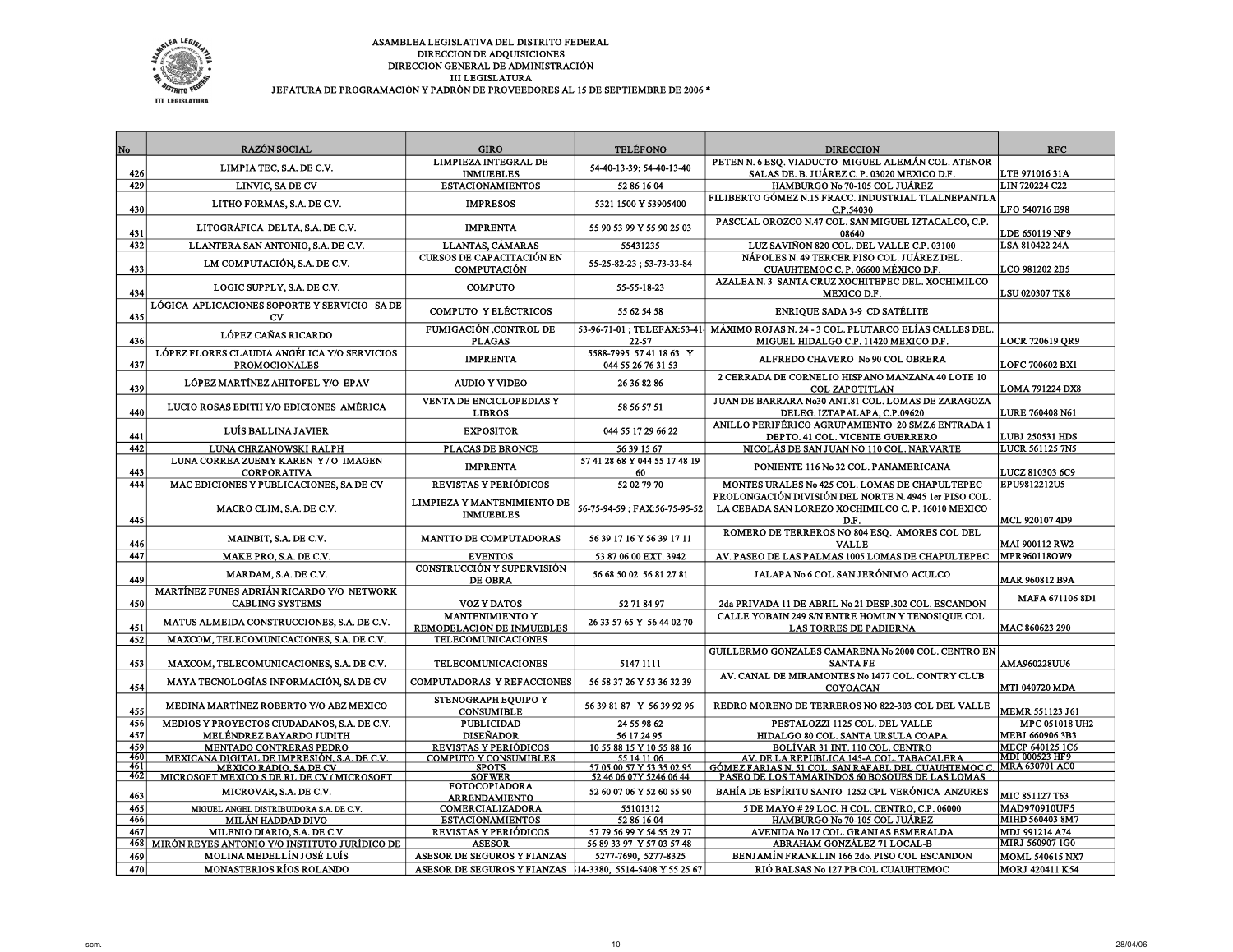

| No         | <b>RAZÓN SOCIAL</b>                                                                                                | <b>GIRO</b>                                               | <b>TELÉFONO</b>                                        | <b>DIRECCION</b>                                                                                                                                            | <b>RFC</b>                                      |
|------------|--------------------------------------------------------------------------------------------------------------------|-----------------------------------------------------------|--------------------------------------------------------|-------------------------------------------------------------------------------------------------------------------------------------------------------------|-------------------------------------------------|
|            |                                                                                                                    | LIMPIEZA INTEGRAL DE                                      |                                                        | PETENN. 6 ESQ. VIADUCTO MIGUEL ALEMÁN COL. ATENOR                                                                                                           |                                                 |
| 426        | LIMPIA TEC, S.A. DE C.V.                                                                                           | <b>INMUEBLES</b>                                          | 54-40-13-39; 54-40-13-40                               | SALAS DE. B. JUÁREZ C. P. 03020 MEXICO D.F.                                                                                                                 | <b>LTE 971016 31A</b>                           |
| 429        | LINVIC, SA DE CV                                                                                                   | <b>ESTACIONAMIENTOS</b>                                   | 52 86 16 04                                            | HAMBURGO No 70-105 COL JUÁREZ                                                                                                                               | <b>LIN 720224 C22</b>                           |
| 430        | LITHO FORMAS, S.A. DE C.V.                                                                                         | <b>IMPRESOS</b>                                           | 5321 1500 Y 53905400                                   | FILIBERTO GÓMEZ N.15 FRACC. INDUSTRIAL TLALNEPANTLA<br>C.P.54030                                                                                            | LFO 540716 E98                                  |
| 431        | LITOGRÁFICA DELTA, S.A. DE C.V.                                                                                    | <b>IMPRENTA</b>                                           | 55 90 53 99 Y 55 90 25 03                              | PASCUAL OROZCO N.47 COL. SAN MIGUEL IZTACALCO, C.P.<br>08640                                                                                                | <b>LDE 650119 NF9</b>                           |
| 432        | LLANTERA SAN ANTONIO, S.A. DE C.V.                                                                                 | LLANTAS, CÁMARAS                                          | 55431235                                               | LUZ SAVIÑON 820 COL. DEL VALLE C.P. 03100                                                                                                                   | <b>LSA 810422 24A</b>                           |
| 433        | LM COMPUTACIÓN, S.A. DE C.V.                                                                                       | CURSOS DE CAPACITACIÓN EN<br><b>COMPUTACIÓN</b>           | 55-25-82-23; 53-73-33-84                               | NÁPOLES N. 49 TERCER PISO COL. JUÁREZ DEL.<br>CUAUHTEMOC C.P. 06600 MÉXICO D.F.                                                                             | <b>LCO 981202 2B5</b>                           |
| 434        | LOGIC SUPPLY, S.A. DE C.V.                                                                                         | <b>COMPUTO</b>                                            | 55-55-18-23                                            | AZALEA N. 3 SANTA CRUZ XOCHITEPEC DEL. XOCHIMILCO<br>MEXICO D.F.                                                                                            | <b>LSU 020307 TK8</b>                           |
| 435        | LÓGICA APLICACIONES SOPORTE Y SERVICIO SA DE<br>CV                                                                 | COMPUTO Y ELÉCTRICOS                                      | 55 62 54 58                                            | <b>ENRIQUE SADA 3-9 CD SATÉLITE</b>                                                                                                                         |                                                 |
| 436        | <b>LÓPEZ CAÑAS RICARDO</b>                                                                                         | FUMIGACIÓN ,CONTROL DE<br><b>PLAGAS</b>                   | 53-96-71-01; TELEFAX:53-41-<br>22-57                   | MÁXIMO ROJAS N. 24 - 3 COL. PLUTARCO ELÍAS CALLES DEL<br>MIGUEL HIDALGO C.P. 11420 MEXICO D.F.                                                              | <b>LOCR 720619 OR9</b>                          |
| 437        | LÓPEZ FLORES CLAUDIA ANGÉLICA Y/O SERVICIOS<br><b>PROMOCIONALES</b>                                                | <b>IMPRENTA</b>                                           | 5588-7995 57 41 18 63 Y<br>044 55 26 76 31 53          | ALFREDO CHAVERO No 90 COL OBRERA                                                                                                                            | <b>LOFC 700602 BX1</b>                          |
| 439        | LÓPEZ MARTÍNEZ AHITOFEL Y/O EPAV                                                                                   | <b>AUDIO Y VIDEO</b>                                      | 26 36 82 86                                            | 2 CERRADA DE CORNELIO HISPANO MANZANA 40 LOTE 10<br>COL ZAPOTITLAN                                                                                          | <b>LOMA 791224 DX8</b>                          |
| 440        | LUCIO ROSAS EDITH Y/O EDICIONES AMÉRICA                                                                            | VENTA DE ENCICLOPEDIAS Y<br><b>LIBROS</b>                 | 58 56 57 51                                            | JUAN DE BARRARA No30 ANT.81 COL. LOMAS DE ZARAGOZA<br>DELEG. IZTAPALAPA, C.P.09620                                                                          | <b>LURE 760408 N61</b>                          |
| 441        | LUÍS BALLINA JAVIER                                                                                                | <b>EXPOSITOR</b>                                          | 044 55 17 29 66 22                                     | ANILLO PERIFÉRICO AGRUPAMIENTO 20 SMZ.6 ENTRADA 1<br>DEPTO. 41 COL. VICENTE GUERRERO                                                                        | <b>LUBJ 250531 HDS</b>                          |
| 442        | LUNA CHRZANOWSKI RALPH                                                                                             | PLACAS DE BRONCE                                          | 56 39 15 67                                            | NICOLÁS DE SAN JUAN NO 110 COL. NARVARTE                                                                                                                    | <b>LUCR 561125 7N5</b>                          |
| 443        | LUNA CORREA ZUEMY KAREN Y/O IMAGEN<br><b>CORPORATIVA</b>                                                           | <b>IMPRENTA</b>                                           | 57 41 28 68 Y 044 55 17 48 19<br>60                    | PONIENTE 116 No 32 COL. PANAMERICANA                                                                                                                        | <b>LUCZ 810303 6C9</b>                          |
| 444        | MAC EDICIONES Y PUBLICACIONES, SA DE CV                                                                            | REVISTAS Y PERIÓDICOS                                     | 52 02 79 70                                            | MONTES URALES No 425 COL. LOMAS DE CHAPULTEPEC                                                                                                              | <b>EPU9812212U5</b>                             |
| 445        | MACRO CLIM, S.A. DE C.V.                                                                                           | LIMPIEZA Y MANTENIMIENTO DE<br><b>INMUEBLES</b>           | 56-75-94-59; FAX:56-75-95-52                           | PROLONGACIÓN DIVISIÓN DEL NORTE N. 4945 1er PISO COL.<br>LA CEBADA SAN LOREZO XOCHIMILCO C. P. 16010 MEXICO<br>D.F.                                         | <b>MCL 920107 4D9</b>                           |
| 446        | MAINBIT, S.A. DE C.V.                                                                                              | MANTTO DE COMPUTADORAS                                    | 56 39 17 16 Y 56 39 17 11                              | ROMERO DE TERREROS NO 804 ESQ. AMORES COL DEL<br><b>VALLE</b>                                                                                               | MAI 900112 RW2                                  |
| 447        | MAKE PRO, S.A. DE C.V.                                                                                             | <b>EVENTOS</b>                                            | 53 87 06 00 EXT. 3942                                  | AV. PASEO DE LAS PALMAS 1005 LOMAS DE CHAPULTEPEC                                                                                                           | MPR960118OW9                                    |
| 449        | MARDAM, S.A. DE C.V.                                                                                               | CONSTRUCCIÓN Y SUPERVISIÓN<br><b>DE OBRA</b>              | 56 68 50 02 56 81 27 81                                | JALAPA No 6 COL SAN JERÓNIMO ACULCO                                                                                                                         | MAR 960812 B9A                                  |
| 450        | MARTÍNEZ FUNES ADRIÁN RICARDO Y/O NETWORK<br><b>CABLING SYSTEMS</b>                                                | <b>VOZ Y DATOS</b>                                        | 52 71 84 97                                            | 2da PRIVADA 11 DE ABRIL No 21 DESP.302 COL. ESCANDON                                                                                                        | MAFA 671106 8D1                                 |
| 451        | MATUS ALMEIDA CONSTRUCCIONES, S.A. DE C.V.                                                                         | <b>MANTENIMIENTO Y</b><br>REMODELACIÓN DE INMUEBLES       | 26 33 57 65 Y 56 44 02 70                              | CALLE YOBAIN 249 S/N ENTRE HOMUN Y TENOSIQUE COL.<br><b>LAS TORRES DE PADIERNA</b>                                                                          | MAC 860623 290                                  |
| 452        | MAXCOM, TELECOMUNICACIONES, S.A. DE C.V.                                                                           | TELECOMUNICACIONES                                        |                                                        |                                                                                                                                                             |                                                 |
| 453        | MAXCOM, TELECOMUNICACIONES, S.A. DE C.V.                                                                           | <b>TELECOMUNICACIONES</b>                                 | 5147 1111                                              | GUILLERMO GONZALES CAMARENA No 2000 COL. CENTRO EN<br><b>SANTA FE</b>                                                                                       | <b>AMA960228UU6</b>                             |
| 454        | MAYA TECNOLOGÍAS INFORMACIÓN, SA DE CV                                                                             | COMPUTADORAS Y REFACCIONES                                | 56 58 37 26 Y 53 36 32 39                              | AV. CANAL DE MIRAMONTES No 1477 COL. CONTRY CLUB<br>COYOACAN                                                                                                | <b>MTI 040720 MDA</b>                           |
| 455        | MEDINA MARTÍNEZ ROBERTO Y/O ABZ MEXICO                                                                             | STENOGRAPH EOUIPO Y<br><b>CONSUMIBLE</b>                  | 56 39 81 87 Y 56 39 92 96                              | REDRO MORENO DE TERREROS NO 822-303 COL DEL VALLE                                                                                                           | <b>MEMR 551123 J61</b>                          |
| 456        | MEDIOS Y PROYECTOS CIUDADANOS, S.A. DE C.V.                                                                        | <b>PUBLICIDAD</b>                                         | 24 55 98 62                                            | PESTALOZZI 1125 COL. DEL VALLE                                                                                                                              | MPC 051018 UH2                                  |
| 457        | <b>MELÉNDREZ BAYARDO JUDITH</b>                                                                                    | <b>DISEÑADOR</b>                                          | 56 17 24 95                                            | HIDALGO 80 COL. SANTA URSULA COAPA                                                                                                                          | <b>MEBJ 660906 3B3</b>                          |
| 459<br>460 | <b>MENTADO CONTRERAS PEDRO</b>                                                                                     | REVISTAS Y PERIÓDICOS<br><b>COMPUTO Y CONSUMIBLES</b>     | 10 55 88 15 Y 10 55 88 16<br>55 14 11 06               | BOLÍVAR 31 INT. 110 COL. CENTRO                                                                                                                             | <b>MECP 640125 1C6</b><br><b>MDI 000523 HF9</b> |
| 461        | MEXICANA DIGITAL DE IMPRESIÓN, S.A. DE C.V.<br>MÉXICO RADIO. SA DE CV<br>MICROSOFT MEXICO S DE RL DE CV (MICROSOFT | <b>SPOTS</b>                                              | 57 05 00 57 Y 53 35 02 95                              | <u>AV. DE LA REPUBLICA 145-A COL. TABACALERA</u><br>GÓMEZ FARIAS N. SI COL. SAN RAFAEL DEL CUAUHTEMOC C.<br>PASEO DE LOS TAMARINDOS 60 BOSOUES DE LAS LOMAS | MRA 630701 AC0                                  |
| 462        |                                                                                                                    | <b>SOFWER</b><br><b>FOTOCOPIADORA</b>                     | 52 46 06 07Y 5246 06 44                                |                                                                                                                                                             |                                                 |
| 463        | MICROVAR, S.A. DE C.V.                                                                                             | <b>ARRENDAMIENTO</b>                                      | 52 60 07 06 Y 52 60 55 90                              | BAHÍA DE ESPÍRITU SANTO 1252 CPL VERÓNICA ANZURES                                                                                                           | MIC 851127 T63                                  |
| 465        | MIGUEL ANGEL DISTRIBUIDORA S.A. DE C.V.                                                                            | COMERCIALIZADORA                                          | 55101312                                               | 5 DE MAYO # 29 LOC. H COL. CENTRO, C.P. 06000                                                                                                               | <b>MAD970910UF5</b>                             |
| 466        | MILÁN HADDAD DIVO                                                                                                  | <b>ESTACIONAMIENTOS</b>                                   | 52 86 16 04                                            | HAMBURGO No 70-105 COL JUÁREZ                                                                                                                               | MIHD 560403 8M7                                 |
| 467<br>468 | MILENIO DIARIO, S.A. DE C.V.<br>MIRÓN REYES ANTONIO Y/O INSTITUTO JURÍDICO DE                                      | REVISTAS Y PERIÓDICOS<br><b>ASESOR</b>                    | 57 79 56 99 Y 54 55 29 77<br>56 89 33 97 Y 57 03 57 48 | AVENIDA No 17 COL. GRANJAS ESMERALDA<br>ABRAHAM GONZÁLEZ 71 LOCAL-B                                                                                         | <b>MDJ 991214 A74</b><br>MIRJ 560907 1G0        |
| 469        | MOLINA MEDELLÍN JOSÉ LUÍS                                                                                          | ASESOR DE SEGUROS Y FIANZAS                               | 5277-7690, 5277-8325                                   | BENJAMÍN FRANKLIN 166 2do. PISO COL ESCANDON                                                                                                                | <b>MOML 540615 NX7</b>                          |
| 470        | <b>MONASTERIOS RÍOS ROLANDO</b>                                                                                    | ASESOR DE SEGUROS Y FIANZAS 14-3380, 5514-5408 Y 55 25 67 |                                                        | RIÓ BALSAS No 127 PB COL CUAUHTEMOC                                                                                                                         | <b>MORJ 420411 K54</b>                          |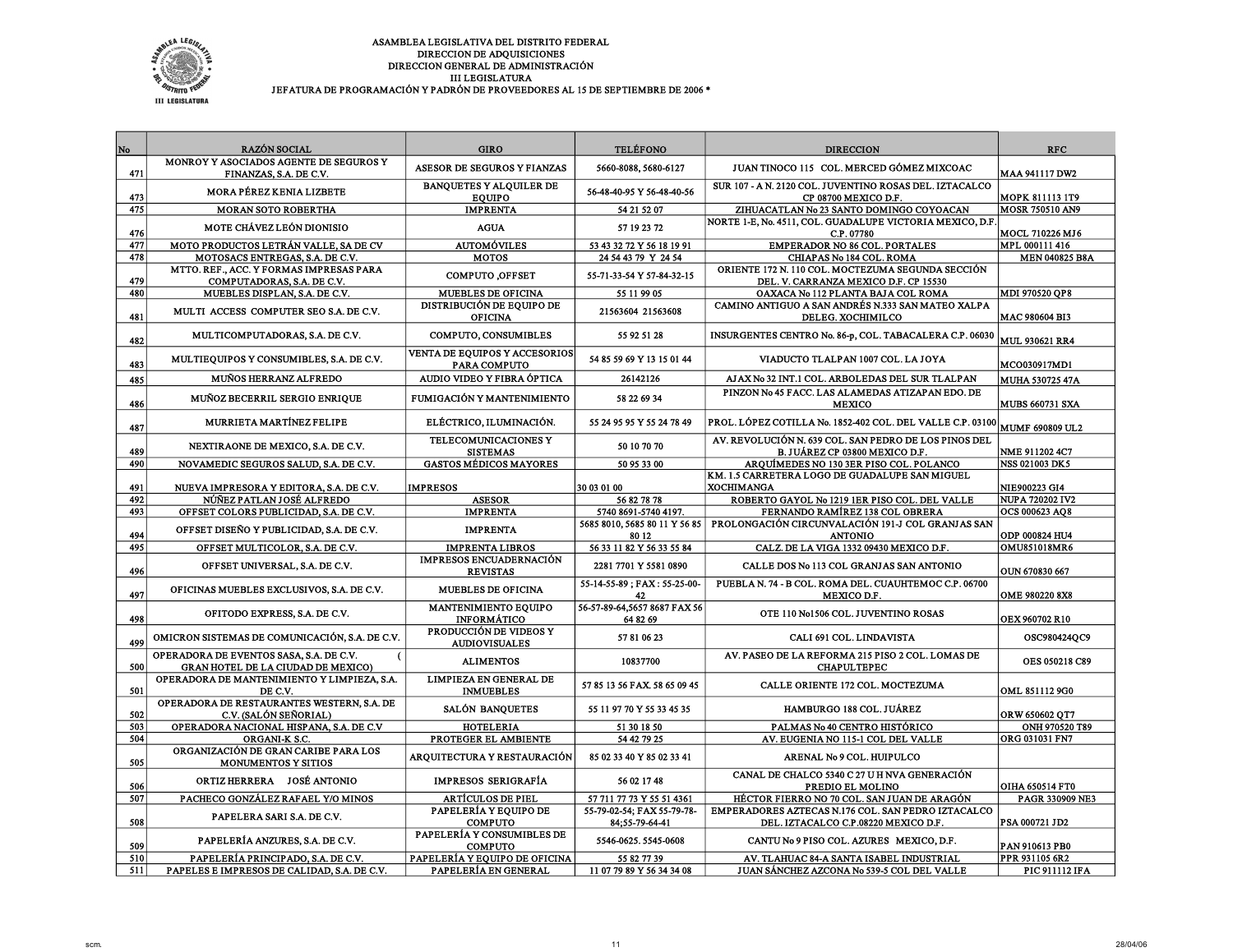

| No         | <b>RAZÓN SOCIAL</b>                                                               | <b>GIRO</b>                                           | <b>TELÉFONO</b>                              | <b>DIRECCION</b>                                                                                      | <b>RFC</b>                       |
|------------|-----------------------------------------------------------------------------------|-------------------------------------------------------|----------------------------------------------|-------------------------------------------------------------------------------------------------------|----------------------------------|
| 471        | MONROY Y ASOCIADOS AGENTE DE SEGUROS Y                                            | ASESOR DE SEGUROS Y FIANZAS                           | 5660-8088, 5680-6127                         | JUAN TINOCO 115 COL. MERCED GÓMEZ MIXCOAC                                                             |                                  |
|            | FINANZAS, S.A. DE C.V.<br>MORA PÉREZ KENIA LIZBETE                                | <b>BANQUETES Y ALQUILER DE</b>                        | 56-48-40-95 Y 56-48-40-56                    | SUR 107 - A N. 2120 COL. JUVENTINO ROSAS DEL. IZTACALCO                                               | <b>MAA 941117 DW2</b>            |
| 473        |                                                                                   | <b>EQUIPO</b>                                         |                                              | CP 08700 MEXICO D.F.                                                                                  | <b>MOPK 811113 1T9</b>           |
| 475        | <b>MORAN SOTO ROBERTHA</b>                                                        | <b>IMPRENTA</b>                                       | 54 21 52 07                                  | ZIHUACATLAN No 23 SANTO DOMINGO COYOACAN<br>NORTE 1-E, No. 4511, COL. GUADALUPE VICTORIA MEXICO, D.F. | MOSR 750510 AN9                  |
| 476        | MOTE CHÁVEZ LEÓN DIONISIO                                                         | <b>AGUA</b>                                           | 57 19 23 72                                  | C.P. 07780                                                                                            | MOCL 710226 MJ6                  |
| 477        | MOTO PRODUCTOS LETRÁN VALLE, SA DE CV                                             | <b>AUTOMÓVILES</b>                                    | 53 43 32 72 Y 56 18 19 91                    | <b>EMPERADOR NO 86 COL. PORTALES</b>                                                                  | MPL 000111 416                   |
| 478        | MOTOSACS ENTREGAS, S.A. DE C.V.                                                   | <b>MOTOS</b>                                          | 24 54 43 79 Y 24 54                          | CHIAPAS No 184 COL. ROMA                                                                              | <b>MEN 040825 B8A</b>            |
| 479        | MTTO. REF., ACC. Y FORMAS IMPRESAS PARA<br>COMPUTADORAS, S.A. DE C.V.             | COMPUTO, OFFSET                                       | 55-71-33-54 Y 57-84-32-15                    | ORIENTE 172 N. 110 COL. MOCTEZUMA SEGUNDA SECCIÓN<br>DEL. V. CARRANZA MEXICO D.F. CP 15530            |                                  |
| 480        | MUEBLES DISPLAN, S.A. DE C.V.                                                     | MUEBLES DE OFICINA                                    | 55 11 99 05                                  | OAXACA No 112 PLANTA BAJA COL ROMA                                                                    | MDI 970520 QP8                   |
| 481        | MULTI ACCESS COMPUTER SEO S.A. DE C.V.                                            | <b>DISTRIBUCIÓN DE EQUIPO DE</b><br><b>OFICINA</b>    | 21563604 21563608                            | CAMINO ANTIGUO A SAN ANDRÉS N.333 SAN MATEO XALPA<br>DELEG. XOCHIMILCO                                | MAC 980604 BI3                   |
| 482        | MULTICOMPUTADORAS, S.A. DE C.V.                                                   | COMPUTO, CONSUMIBLES                                  | 55 92 51 28                                  | INSURGENTES CENTRO No. 86-p, COL. TABACALERA C.P. 06030                                               | <b>MUL 930621 RR4</b>            |
| 483        | MULTIEQUIPOS Y CONSUMIBLES, S.A. DE C.V.                                          | VENTA DE EQUIPOS Y ACCESORIOS<br>PARA COMPUTO         | 54 85 59 69 Y 13 15 01 44                    | VIADUCTO TLALPAN 1007 COL. LA JOYA                                                                    | MCO030917MD1                     |
| 485        | MUÑOS HERRANZ ALFREDO                                                             | AUDIO VIDEO Y FIBRA ÓPTICA                            | 26142126                                     | AJAX No 32 INT.1 COL. ARBOLEDAS DEL SUR TLALPAN                                                       | <b>MUHA 530725 47A</b>           |
| 486        | MUÑOZ BECERRIL SERGIO ENRIQUE                                                     | FUMIGACIÓN Y MANTENIMIENTO                            | 58 22 69 34                                  | PINZON No 45 FACC. LAS ALAMEDAS ATIZAPAN EDO. DE<br><b>MEXICO</b>                                     | <b>MUBS 660731 SXA</b>           |
| 487        | MURRIETA MARTÍNEZ FELIPE                                                          | ELÉCTRICO, ILUMINACIÓN.                               | 55 24 95 95 Y 55 24 78 49                    | PROL. LÓPEZ COTILLA No. 1852-402 COL. DEL VALLE C.P. 03100                                            | MUMF 690809 UL2                  |
| 489        | NEXTIRAONE DE MEXICO, S.A. DE C.V.                                                | TELECOMUNICACIONES Y<br><b>SISTEMAS</b>               | 50 10 70 70                                  | AV. REVOLUCIÓN N. 639 COL. SAN PEDRO DE LOS PINOS DEL<br>B. JUÁREZ CP 03800 MEXICO D.F.               | NME 911202 4C7                   |
| 490        | NOVAMEDIC SEGUROS SALUD, S.A. DE C.V.                                             | <b>GASTOS MÉDICOS MAYORES</b>                         | 50 95 33 00                                  | ARQUÍMEDES NO 130 3ER PISO COL. POLANCO                                                               | <b>NSS 021003 DK5</b>            |
| 491        | NUEVA IMPRESORA Y EDITORA, S.A. DE C.V.                                           | <b>IMPRESOS</b>                                       | 30 03 01 00                                  | KM. 1.5 CARRETERA LOGO DE GUADALUPE SAN MIGUEL<br><b>XOCHIMANGA</b>                                   | NIE900223 GI4                    |
| 492        | NÚÑEZ PATLAN JOSÉ ALFREDO                                                         | <b>ASESOR</b>                                         | 56 82 78 78                                  | ROBERTO GAYOL No 1219 1ER PISO COL. DEL VALLE                                                         | <b>NUPA 720202 IV2</b>           |
|            |                                                                                   |                                                       |                                              |                                                                                                       |                                  |
| 493        | OFFSET COLORS PUBLICIDAD, S.A. DE C.V.                                            | <b>IMPRENTA</b>                                       | 5740 8691-5740 4197.                         | FERNANDO RAMÍREZ 138 COL OBRERA                                                                       | OCS 000623 AQ8                   |
| 494        | OFFSET DISEÑO Y PUBLICIDAD, S.A. DE C.V.                                          | <b>IMPRENTA</b>                                       | 5685 8010, 5685 80 11 Y 56 85<br>80 12       | PROLONGACIÓN CIRCUNVALACIÓN 191-J COL GRANJAS SAN<br><b>ANTONIO</b>                                   | ODP 000824 HU4                   |
| 495        | OFFSET MULTICOLOR, S.A. DE C.V.                                                   | <b>IMPRENTA LIBROS</b>                                | 56 33 11 82 Y 56 33 55 84                    | CALZ. DE LA VIGA 1332 09430 MEXICO D.F.                                                               | <b>OMU851018MR6</b>              |
| 496        | OFFSET UNIVERSAL, S.A. DE C.V.                                                    | <b>IMPRESOS ENCUADERNACIÓN</b><br><b>REVISTAS</b>     | 2281 7701 Y 5581 0890                        | CALLE DOS No 113 COL GRANJAS SAN ANTONIO                                                              | OUN 670830 667                   |
| 497        | OFICINAS MUEBLES EXCLUSIVOS, S.A. DE C.V.                                         | <b>MUEBLES DE OFICINA</b>                             | 55-14-55-89; FAX: 55-25-00-<br>42            | PUEBLA N. 74 - B COL. ROMA DEL. CUAUHTEMOC C.P. 06700<br>MEXICO D.F.                                  | OME 980220 8X8                   |
| 498        | OFITODO EXPRESS, S.A. DE C.V.                                                     | MANTENIMIENTO EQUIPO<br><b>INFORMÁTICO</b>            | 56-57-89-64,5657 8687 FAX 56<br>64 82 69     | OTE 110 No1506 COL. JUVENTINO ROSAS                                                                   | OEX 960702 R10                   |
| 499        | OMICRON SISTEMAS DE COMUNICACIÓN, S.A. DE C.V.                                    | PRODUCCIÓN DE VIDEOS Y<br><b>AUDIOVISUALES</b>        | 57 81 06 23                                  | CALI 691 COL. LINDAVISTA                                                                              | OSC980424QC9                     |
| 500        | OPERADORA DE EVENTOS SASA, S.A. DE C.V.<br>GRAN HOTEL DE LA CIUDAD DE MEXICO)     | <b>ALIMENTOS</b>                                      | 10837700                                     | AV. PASEO DE LA REFORMA 215 PISO 2 COL. LOMAS DE<br><b>CHAPULTEPEC</b>                                | OES 050218 C89                   |
| 501        | OPERADORA DE MANTENIMIENTO Y LIMPIEZA, S.A.<br>DE C.V.                            | LIMPIEZA EN GENERAL DE<br><b>INMUEBLES</b>            | 57 85 13 56 FAX. 58 65 09 45                 | CALLE ORIENTE 172 COL. MOCTEZUMA                                                                      | OML 8511129G0                    |
| 502        | OPERADORA DE RESTAURANTES WESTERN, S.A. DE<br>C.V. (SALÓN SEÑORIAL)               | SALÓN BANQUETES                                       | 55 11 97 70 Y 55 33 45 35                    | HAMBURGO 188 COL. JUÁREZ                                                                              | ORW 650602 OT7                   |
| 503        | OPERADORA NACIONAL HISPANA, S.A. DE C.V                                           | <b>HOTELERIA</b>                                      | 51 30 18 50                                  | PALMAS No 40 CENTRO HISTÓRICO                                                                         | ONH 970520 T89                   |
| 504        | ORGANI-K S.C.                                                                     | PROTEGER EL AMBIENTE                                  | 54 42 79 25                                  | AV. EUGENIA NO 115-1 COL DEL VALLE                                                                    | ORG 031031 FN7                   |
| 505        | ORGANIZACIÓN DE GRAN CARIBE PARA LOS<br><b>MONUMENTOS Y SITIOS</b>                | AROUITECTURA Y RESTAURACIÓN                           | 85 02 33 40 Y 85 02 33 41                    | ARENAL No 9 COL. HUIPULCO                                                                             |                                  |
| 506        | ORTIZ HERRERA JOSÉ ANTONIO                                                        | <b>IMPRESOS SERIGRAFÍA</b>                            | 56 02 17 48                                  | CANAL DE CHALCO 5340 C 27 U H NVA GENERACIÓN<br>PREDIO EL MOLINO                                      | OIHA 650514 FT0                  |
| 507        | PACHECO GONZÁLEZ RAFAEL Y/O MINOS                                                 | <b>ARTÍCULOS DE PIEL</b>                              | 57 711 77 73 Y 55 51 4361                    | HÉCTOR FIERRO NO 70 COL. SAN JUAN DE ARAGÓN                                                           | PAGR 330909 NE3                  |
| 508        | PAPELERA SARI S.A. DE C.V.                                                        | PAPELERÍA Y EQUIPO DE<br><b>COMPUTO</b>               | 55-79-02-54; FAX 55-79-78-<br>84:55-79-64-41 | EMPERADORES AZTECAS N.176 COL. SAN PEDRO IZTACALCO<br>DEL. IZTACALCO C.P.08220 MEXICO D.F.            | PSA 000721 JD2                   |
| 509        | PAPELERÍA ANZURES, S.A. DE C.V.                                                   | PAPELERÍA Y CONSUMIBLES DE<br><b>COMPUTO</b>          | 5546-0625.5545-0608                          | CANTU No 9 PISO COL. AZURES MEXICO, D.F.                                                              | PAN 910613 PB0                   |
| 510<br>511 | PAPELERÍA PRINCIPADO, S.A. DE C.V.<br>PAPELES E IMPRESOS DE CALIDAD, S.A. DE C.V. | PAPELERÍA Y EQUIPO DE OFICINA<br>PAPELERÍA EN GENERAL | 55 82 77 39<br>11 07 79 89 Y 56 34 34 08     | AV. TLAHUAC 84-A SANTA ISABEL INDUSTRIAL<br>JUAN SÁNCHEZ AZCONA Nº 539-5 COL DEL VALLE                | PPR 931105 6R2<br>PIC 911112 IFA |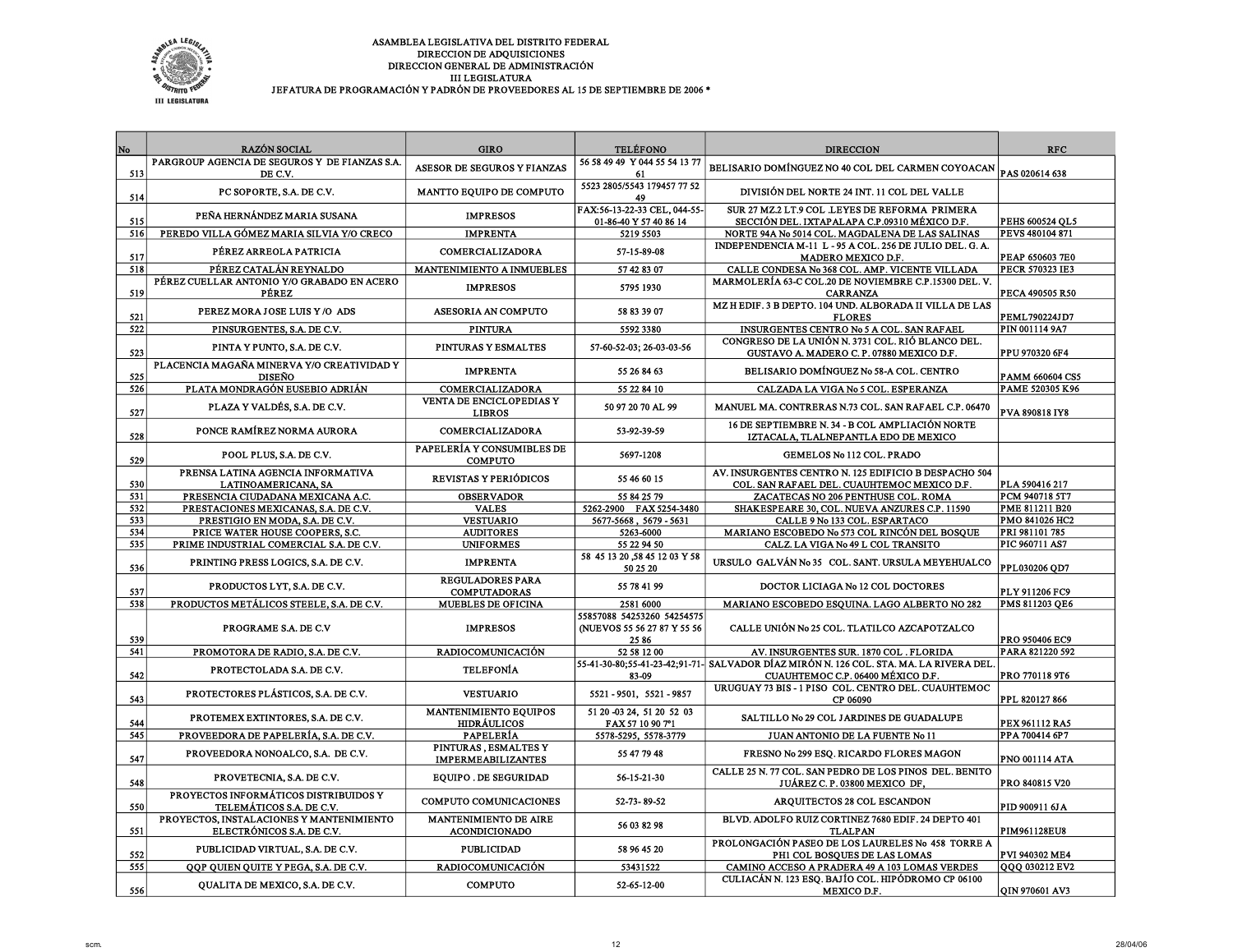

| JEFATURA DE PROGRAMACIÓN Y PADRÓN DE PROVEEDORES AL 15 DE SEPTIEMBRE DE 2006 * |  |
|--------------------------------------------------------------------------------|--|
|--------------------------------------------------------------------------------|--|

| No  | <b>RAZÓN SOCIAL</b>                                                   | <b>GIRO</b>                                        | <b>TELÉFONO</b>                                                   | <b>DIRECCION</b>                                                                                                           | <b>RFC</b>            |
|-----|-----------------------------------------------------------------------|----------------------------------------------------|-------------------------------------------------------------------|----------------------------------------------------------------------------------------------------------------------------|-----------------------|
|     | PARGROUP AGENCIA DE SEGUROS Y DE FIANZAS S.A.                         |                                                    | 56 58 49 49 Y 044 55 54 13 77                                     |                                                                                                                            |                       |
| 513 | DE C.V.                                                               | ASESOR DE SEGUROS Y FIANZAS                        | -61                                                               | BELISARIO DOMÍNGUEZ NO 40 COL DEL CARMEN COYOACAN                                                                          | PAS 020614 638        |
| 514 | PC SOPORTE, S.A. DE C.V.                                              | MANTTO EQUIPO DE COMPUTO                           | 5523 2805/5543 179457 77 52<br>49                                 | DIVISIÓN DEL NORTE 24 INT. 11 COL DEL VALLE                                                                                |                       |
| 515 | PEÑA HERNÁNDEZ MARIA SUSANA                                           | <b>IMPRESOS</b>                                    | FAX:56-13-22-33 CEL, 044-55-<br>01-86-40 Y 57 40 86 14            | SUR 27 MZ.2 LT.9 COL .LEYES DE REFORMA PRIMERA<br>SECCIÓN DEL. IXTAPALAPA C.P.09310 MÉXICO D.F.                            | PEHS 600524 OL5       |
| 516 | PEREDO VILLA GÓMEZ MARIA SILVIA Y/O CRECO                             | <b>IMPRENTA</b>                                    | 5219 5503                                                         | NORTE 94A No 5014 COL. MAGDALENA DE LAS SALINAS                                                                            | PEVS 480104 871       |
| 517 | PÉREZ ARREOLA PATRICIA                                                | COMERCIALIZADORA                                   | 57-15-89-08                                                       | INDEPENDENCIA M-11 L - 95 A COL. 256 DE JULIO DEL. G. A.<br>MADERO MEXICO D.F.                                             | PEAP 650603 7E0       |
| 518 | PÉREZ CATALÁN REYNALDO                                                | MANTENIMIENTO A INMUEBLES                          | 57 42 83 07                                                       | CALLE CONDESA No 368 COL. AMP. VICENTE VILLADA                                                                             | PECR 570323 IE3       |
| 519 | PÉREZ CUELLAR ANTONIO Y/O GRABADO EN ACERO<br><b>PÉREZ</b>            | <b>IMPRESOS</b>                                    | 5795 1930                                                         | MARMOLERÍA 63-C COL.20 DE NOVIEMBRE C.P.15300 DEL.V.<br><b>CARRANZA</b>                                                    | PECA 490505 R50       |
| 521 | PEREZ MORA JOSE LUIS Y/O ADS                                          | ASESORIA AN COMPUTO                                | 58 83 39 07                                                       | MZ H EDIF. 3 B DEPTO. 104 UND. ALBORADA II VILLA DE LAS<br><b>FLORES</b>                                                   | <b>PEML790224JD7</b>  |
| 522 | PINSURGENTES, S.A. DE C.V.                                            | <b>PINTURA</b>                                     | 5592 3380                                                         | INSURGENTES CENTRO No 5 A COL. SAN RAFAEL                                                                                  | PIN 001114 9A7        |
| 523 | PINTA Y PUNTO, S.A. DE C.V.                                           | PINTURAS Y ESMALTES                                | 57-60-52-03; 26-03-03-56                                          | CONGRESO DE LA UNIÓN N. 3731 COL. RIÓ BLANCO DEL.<br>GUSTAVO A. MADERO C. P. 07880 MEXICO D.F.                             | PPU 970320 6F4        |
| 525 | PLACENCIA MAGAÑA MINERVA Y/O CREATIVIDAD Y<br><b>DISEÑO</b>           | <b>IMPRENTA</b>                                    | 55 26 84 63                                                       | BELISARIO DOMÍNGUEZ No 58-A COL. CENTRO                                                                                    | PAMM 660604 CS5       |
| 526 | PLATA MONDRAGÓN EUSEBIO ADRIÁN                                        | COMERCIALIZADORA                                   | 55 22 84 10                                                       | CALZADA LA VIGA No 5 COL. ESPERANZA                                                                                        | PAME 520305 K96       |
| 527 | PLAZA Y VALDÉS, S.A. DE C.V.                                          | VENTA DE ENCICLOPEDIAS Y<br><b>LIBROS</b>          | 50 97 20 70 AL 99                                                 | MANUEL MA. CONTRERAS N.73 COL. SAN RAFAEL C.P. 06470                                                                       | PVA 890818 IY8        |
| 528 | PONCE RAMÍREZ NORMA AURORA                                            | COMERCIALIZADORA                                   | 53-92-39-59                                                       | 16 DE SEPTIEMBRE N. 34 - B COL AMPLIACIÓN NORTE<br>IZTACALA, TLALNEPANTLA EDO DE MEXICO                                    |                       |
| 529 | POOL PLUS, S.A. DE C.V.                                               | PAPELERÍA Y CONSUMIBLES DE<br><b>COMPUTO</b>       | 5697-1208                                                         | GEMELOS No 112 COL. PRADO                                                                                                  |                       |
| 530 | PRENSA LATINA AGENCIA INFORMATIVA<br>LATINOAMERICANA, SA              | REVISTAS Y PERIÓDICOS                              | 55 46 60 15                                                       | AV. INSURGENTES CENTRO N. 125 EDIFICIO B DESPACHO 504<br>COL. SAN RAFAEL DEL. CUAUHTEMOC MEXICO D.F.                       | PLA 590416 217        |
| 531 | PRESENCIA CIUDADANA MEXICANA A.C.                                     | <b>OBSERVADOR</b>                                  | 55 84 25 79                                                       | ZACATECAS NO 206 PENTHUSE COL. ROMA                                                                                        | PCM 940718 5T7        |
| 532 | PRESTACIONES MEXICANAS, S.A. DE C.V.                                  | <b>VALES</b>                                       | 5262-2900 FAX 5254-3480                                           | SHAKESPEARE 30, COL. NUEVA ANZURES C.P. 11590                                                                              | PME 811211 B20        |
| 533 | PRESTIGIO EN MODA, S.A. DE C.V.                                       | <b>VESTUARIO</b>                                   | 5677-5668, 5679-5631                                              | CALLE 9 No 133 COL. ESPARTACO                                                                                              | <b>PMO 841026 HC2</b> |
| 534 | PRICE WATER HOUSE COOPERS, S.C.                                       | <b>AUDITORES</b>                                   | 5263-6000                                                         | MARIANO ESCOBEDO No 573 COL RINCÓN DEL BOSQUE                                                                              | PRI 981101 785        |
| 535 | PRIME INDUSTRIAL COMERCIAL S.A. DE C.V.                               | <b>UNIFORMES</b>                                   | 55 22 94 50                                                       | CALZ. LA VIGA No 49 L COL TRANSITO                                                                                         | PIC 960711 AS7        |
| 536 | PRINTING PRESS LOGICS, S.A. DE C.V.                                   | <b>IMPRENTA</b>                                    | 58 45 13 20 .58 45 12 03 Y 58<br>50 25 20                         | URSULO GALVÁN No 35 COL. SANT. URSULA MEYEHUALCO                                                                           | PPL030206 QD7         |
| 537 | PRODUCTOS LYT, S.A. DE C.V.                                           | <b>REGULADORES PARA</b><br><b>COMPUTADORAS</b>     | 55 78 41 99                                                       | DOCTOR LICIAGA No 12 COL DOCTORES                                                                                          | PLY 911206 FC9        |
| 538 | PRODUCTOS METÁLICOS STEELE, S.A. DE C.V.                              | <b>MUEBLES DE OFICINA</b>                          | 2581 6000                                                         | MARIANO ESCOBEDO ESQUINA. LAGO ALBERTO NO 282                                                                              | PMS 811203 QE6        |
| 539 | PROGRAME S.A. DE C.V                                                  | <b>IMPRESOS</b>                                    | 55857088 54253260 54254575<br>(NUEVOS 55 56 27 87 Y 55 56<br>2586 | CALLE UNIÓN No 25 COL. TLATILCO AZCAPOTZALCO                                                                               | PRO 950406 EC9        |
| 541 | PROMOTORA DE RADIO, S.A. DE C.V.                                      | RADIOCOMUNICACIÓN                                  | 52 58 12 00                                                       | AV. INSURGENTES SUR. 1870 COL. FLORIDA                                                                                     | PARA 821220 592       |
| 542 | PROTECTOLADA S.A. DE C.V.                                             | <b>TELEFONÍA</b>                                   | 83-09                                                             | 55-41-30-80;55-41-23-42;91-71- SALVADOR DÍAZ MIRÓN N. 126 COL. STA. MA. LA RIVERA DEL<br>CUAUHTEMOC C.P. 06400 MÉXICO D.F. | PRO 770118 9T6        |
| 543 | PROTECTORES PLÁSTICOS, S.A. DE C.V.                                   | <b>VESTUARIO</b>                                   | 5521 - 9501, 5521 - 9857                                          | URUGUAY 73 BIS - 1 PISO COL. CENTRO DEL. CUAUHTEMOC<br>CP 06090                                                            | PPL 820127866         |
| 544 | PROTEMEX EXTINTORES, S.A. DE C.V.                                     | <b>MANTENIMIENTO EQUIPOS</b><br><b>HIDRÁULICOS</b> | 51 20 -03 24, 51 20 52 03<br>FAX 57 10 90 7°1                     | SALTILLO No 29 COL JARDINES DE GUADALUPE                                                                                   | PEX 961112 RA5        |
| 545 | PROVEEDORA DE PAPELERÍA, S.A. DE C.V.                                 | PAPELERÍA                                          | 5578-5295, 5578-3779                                              | JUAN ANTONIO DE LA FUENTE No 11                                                                                            | PPA 700414 6P7        |
| 547 | PROVEEDORA NONOALCO, S.A. DE C.V.                                     | PINTURAS, ESMALTES Y<br><b>IMPERMEABILIZANTES</b>  | 55 47 79 48                                                       | FRESNO No 299 ESQ. RICARDO FLORES MAGON                                                                                    | PNO 001114 ATA        |
| 548 | PROVETECNIA, S.A. DE C.V.                                             | <b>EQUIPO. DE SEGURIDAD</b>                        | 56-15-21-30                                                       | CALLE 25 N. 77 COL. SAN PEDRO DE LOS PINOS DEL. BENITO<br>JUÁREZ C. P. 03800 MEXICO DF,                                    | PRO 840815 V20        |
| 550 | PROYECTOS INFORMÁTICOS DISTRIBUIDOS Y<br>TELEMÁTICOS S.A. DE C.V.     | COMPUTO COMUNICACIONES                             | 52-73-89-52                                                       | ARQUITECTOS 28 COL ESCANDON                                                                                                | PID 900911 6JA        |
| 551 | PROYECTOS, INSTALACIONES Y MANTENIMIENTO<br>ELECTRÓNICOS S.A. DE C.V. | MANTENIMIENTO DE AIRE<br><b>ACONDICIONADO</b>      | 56 03 82 98                                                       | BLVD. ADOLFO RUIZ CORTINEZ 7680 EDIF. 24 DEPTO 401<br><b>TLALPAN</b>                                                       | PIM961128EU8          |
| 552 | PUBLICIDAD VIRTUAL, S.A. DE C.V.                                      | <b>PUBLICIDAD</b>                                  | 58 96 45 20                                                       | PROLONGACIÓN PASEO DE LOS LAURELES No 458 TORRE A<br>PH1 COL BOSQUES DE LAS LOMAS                                          | PVI 940302 ME4        |
| 555 | QQP QUIEN QUITE Y PEGA, S.A. DE C.V.                                  | RADIOCOMUNICACIÓN                                  | 53431522                                                          | CAMINO ACCESO A PRADERA 49 A 103 LOMAS VERDES                                                                              | QQQ 030212 EV2        |
| 556 | QUALITA DE MEXICO, S.A. DE C.V.                                       | <b>COMPUTO</b>                                     | 52-65-12-00                                                       | CULIACÁN N. 123 ESQ. BAJÍO COL. HIPÓDROMO CP 06100<br>MEXICO D.F.                                                          | QIN 970601 AV3        |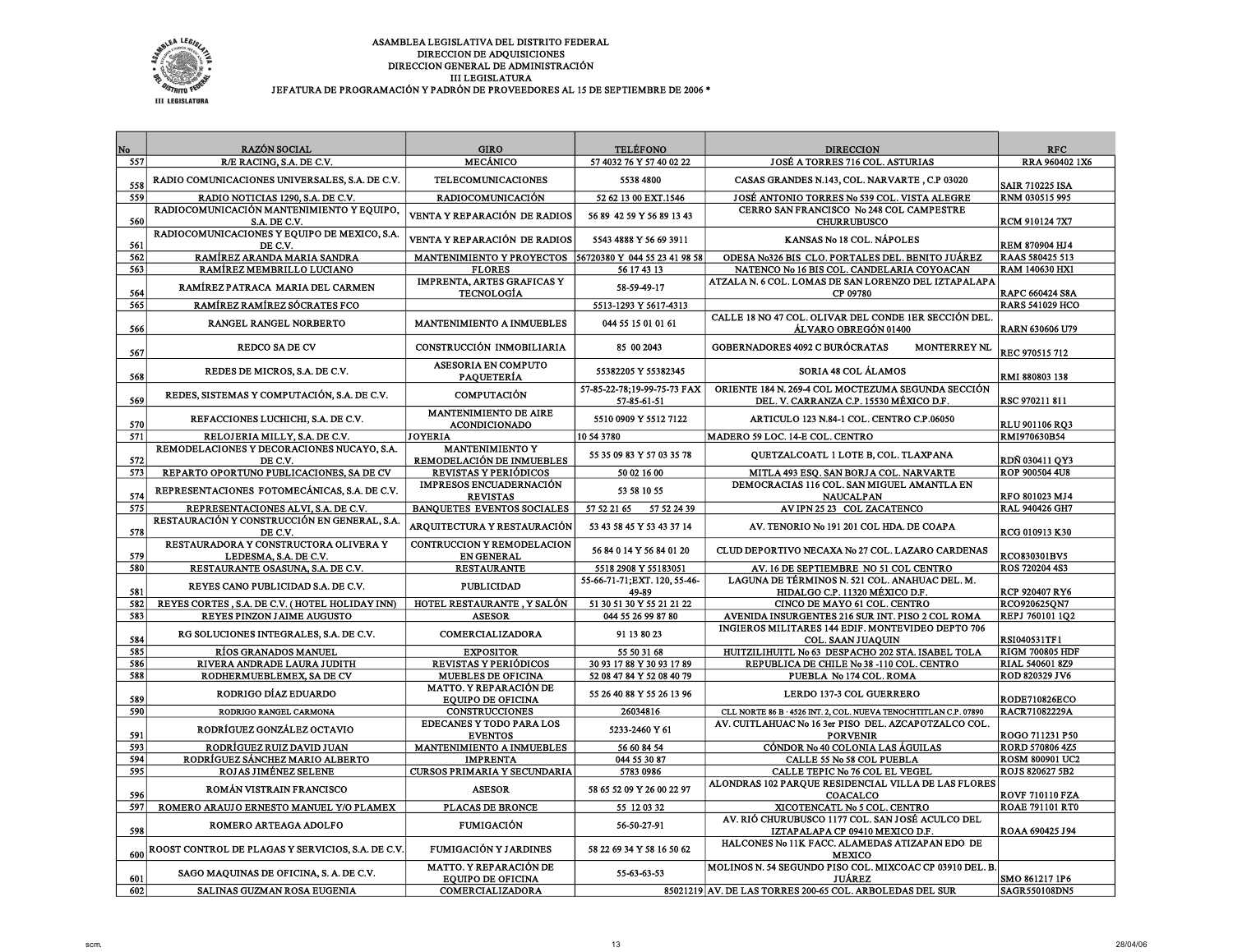

| No  | <b>RAZÓN SOCIAL</b>                                            | <b>GIRO</b>                                                    | <b>TELÉFONO</b>                            | <b>DIRECCION</b>                                                                              | <b>RFC</b>             |
|-----|----------------------------------------------------------------|----------------------------------------------------------------|--------------------------------------------|-----------------------------------------------------------------------------------------------|------------------------|
| 557 | R/E RACING, S.A. DE C.V.                                       | <b>MECÁNICO</b>                                                | 57 4032 76 Y 57 40 02 22                   | JOSÉ A TORRES 716 COL. ASTURIAS                                                               | RRA 960402 1X6         |
| 558 | RADIO COMUNICACIONES UNIVERSALES, S.A. DE C.V.                 | <b>TELECOMUNICACIONES</b>                                      | 5538 4800                                  | CASAS GRANDES N.143, COL. NARVARTE, C.P 03020                                                 | <b>SAIR 710225 ISA</b> |
| 559 | RADIO NOTICIAS 1290, S.A. DE C.V.                              | <b>RADIOCOMUNICACIÓN</b>                                       | 52 62 13 00 EXT.1546                       | JOSÉ ANTONIO TORRES No 539 COL. VISTA ALEGRE                                                  | <b>RNM 030515 995</b>  |
|     | RADIOCOMUNICACIÓN MANTENIMIENTO Y EQUIPO,                      |                                                                |                                            | CERRO SAN FRANCISCO No 248 COL CAMPESTRE                                                      |                        |
| 560 | S.A. DE C.V.                                                   | VENTA Y REPARACIÓN DE RADIOS                                   | 56 89 42 59 Y 56 89 13 43                  | <b>CHURRUBUSCO</b>                                                                            | RCM 910124 7X7         |
| 561 | RADIOCOMUNICACIONES Y EQUIPO DE MEXICO, S.A.<br>DE C.V.        | VENTA Y REPARACIÓN DE RADIOS                                   | 5543 4888 Y 56 69 3911                     | KANSAS No 18 COL. NÁPOLES                                                                     | REM 870904 HJ4         |
| 562 | RAMÍREZ ARANDA MARIA SANDRA                                    | <b>MANTENIMIENTO Y PROYECTOS 56720380 Y 044 55 23 41 98 58</b> |                                            | ODESA No326 BIS CLO. PORTALES DEL. BENITO JUÁREZ                                              | <b>RAAS 580425 513</b> |
| 563 | RAMÍREZ MEMBRILLO LUCIANO                                      | <b>FLORES</b>                                                  | 56 17 43 13                                | NATENCO No 16 BIS COL. CANDELARIA COYOACAN                                                    | <b>RAM 140630 HX1</b>  |
| 564 | RAMÍREZ PATRACA MARIA DEL CARMEN                               | <b>IMPRENTA, ARTES GRAFICAS Y</b><br><b>TECNOLOGÍA</b>         | 58-59-49-17                                | ATZALA N. 6 COL. LOMAS DE SAN LORENZO DEL IZTAPALAPA<br>CP 09780                              | <b>RAPC 660424 S8A</b> |
| 565 | RAMÍREZ RAMÍREZ SÓCRATES FCO                                   |                                                                | 5513-1293 Y 5617-4313                      |                                                                                               | <b>RARS 541029 HCO</b> |
| 566 | RANGEL RANGEL NORBERTO                                         | MANTENIMIENTO A INMUEBLES                                      | 044 55 15 01 01 61                         | CALLE 18 NO 47 COL. OLIVAR DEL CONDE 1ER SECCIÓN DEL.<br>ÁLVARO OBREGÓN 01400                 | RARN 630606 U79        |
| 567 | <b>REDCO SA DE CV</b>                                          | CONSTRUCCIÓN INMOBILIARIA                                      | 85 00 2043                                 | GOBERNADORES 4092 C BURÓCRATAS<br><b>MONTERREY NL</b>                                         | REC 970515 712         |
| 568 | REDES DE MICROS, S.A. DE C.V.                                  | ASESORIA EN COMPUTO<br><b>PAQUETERÍA</b>                       | 55382205 Y 55382345                        | <b>SORIA 48 COL ÁLAMOS</b>                                                                    | RMI 880803 138         |
| 569 | REDES, SISTEMAS Y COMPUTACIÓN, S.A. DE C.V.                    | <b>COMPUTACIÓN</b>                                             | 57-85-22-78;19-99-75-73 FAX<br>57-85-61-51 | ORIENTE 184 N. 269-4 COL MOCTEZUMA SEGUNDA SECCIÓN<br>DEL. V. CARRANZA C.P. 15530 MÉXICO D.F. | RSC 970211 811         |
| 570 | REFACCIONES LUCHICHI, S.A. DE C.V.                             | MANTENIMIENTO DE AIRE<br><b>ACONDICIONADO</b>                  | 5510 0909 Y 5512 7122                      | ARTICULO 123 N.84-1 COL. CENTRO C.P.06050                                                     | RLU 901106 RO3         |
| 571 | RELOJERIA MILLY, S.A. DE C.V.                                  | <b>JOYERIA</b>                                                 | 10 54 3780                                 | MADERO 59 LOC. 14-E COL. CENTRO                                                               | <b>RMI970630B54</b>    |
|     | REMODELACIONES Y DECORACIONES NUCAYO, S.A.                     | <b>MANTENIMIENTO Y</b>                                         | 55 35 09 83 Y 57 03 35 78                  | QUETZALCOATL 1 LOTE B, COL. TLAXPANA                                                          |                        |
| 572 | DE C.V.                                                        | REMODELACIÓN DE INMUEBLES                                      |                                            |                                                                                               | RDÑ 030411 QY3         |
| 573 | REPARTO OPORTUNO PUBLICACIONES, SA DE CV                       | REVISTAS Y PERIÓDICOS                                          | 50 02 16 00                                | MITLA 493 ESO. SAN BORJA COL. NARVARTE                                                        | ROP 900504 4U8         |
| 574 | REPRESENTACIONES FOTOMECÁNICAS, S.A. DE C.V.                   | IMPRESOS ENCUADERNACIÓN<br><b>REVISTAS</b>                     | 53 58 10 55                                | DEMOCRACIAS 116 COL. SAN MIGUEL AMANTLA EN<br><b>NAUCALPAN</b>                                | RFO 801023 MJ4         |
| 575 | REPRESENTACIONES ALVI, S.A. DE C.V.                            | <b>BANQUETES EVENTOS SOCIALES</b>                              | 57 52 21 65<br>57 52 24 39                 | AV IPN 25 23 COL ZACATENCO                                                                    | <b>RAL 940426 GH7</b>  |
| 578 | RESTAURACIÓN Y CONSTRUCCIÓN EN GENERAL, S.A.<br>DE C.V.        | ARQUITECTURA Y RESTAURACIÓN                                    | 53 43 58 45 Y 53 43 37 14                  | AV. TENORIO No 191 201 COL HDA. DE COAPA                                                      | RCG 010913 K30         |
| 579 | RESTAURADORA Y CONSTRUCTORA OLIVERA Y<br>LEDESMA, S.A. DE C.V. | CONTRUCCION Y REMODELACION<br><b>EN GENERAL</b>                | 56 84 0 14 Y 56 84 01 20                   | CLUD DEPORTIVO NECAXA No 27 COL. LAZARO CARDENAS                                              | RCO830301BV5           |
| 580 | RESTAURANTE OSASUNA, S.A. DE C.V.                              | <b>RESTAURANTE</b>                                             | 5518 2908 Y 55183051                       | AV. 16 DE SEPTIEMBRE NO 51 COL CENTRO                                                         | <b>ROS 720204 4S3</b>  |
|     | REYES CANO PUBLICIDAD S.A. DE C.V.                             | <b>PUBLICIDAD</b>                                              | 55-66-71-71; EXT. 120, 55-46-              | LAGUNA DE TÉRMINOS N. 521 COL. ANAHUAC DEL. M.                                                |                        |
| 581 |                                                                |                                                                | 49-89                                      | HIDALGO C.P. 11320 MÉXICO D.F.                                                                | <b>RCP 920407 RY6</b>  |
| 582 | REYES CORTES . S.A. DE C.V. (HOTEL HOLIDAY INN)                | HOTEL RESTAURANTE, Y SALÓN                                     | 51 30 51 30 Y 55 21 21 22                  | CINCO DE MAYO 61 COL. CENTRO                                                                  | <b>RCO920625ON7</b>    |
| 583 | REYES PINZON JAIME AUGUSTO                                     | <b>ASESOR</b>                                                  | 044 55 26 99 87 80                         | AVENIDA INSURGENTES 216 SUR INT. PISO 2 COL ROMA                                              | <b>REPJ 760101 102</b> |
| 584 | RG SOLUCIONES INTEGRALES, S.A. DE C.V.                         | COMERCIALIZADORA                                               | 91 13 80 23                                | INGIEROS MILITARES 144 EDIF. MONTEVIDEO DEPTO 706<br>COL. SAAN JUAOUIN                        | <b>RSI040531TF1</b>    |
| 585 | RÍOS GRANADOS MANUEL                                           | <b>EXPOSITOR</b>                                               | 55 50 31 68                                | HUITZILIHUITL No 63 DESPACHO 202 STA. ISABEL TOLA                                             | <b>RIGM 700805 HDF</b> |
| 586 | RIVERA ANDRADE LAURA JUDITH                                    | REVISTAS Y PERIÓDICOS                                          | 30 93 17 88 Y 30 93 17 89                  | REPUBLICA DE CHILE No 38 -110 COL. CENTRO                                                     | RIAL 540601 8Z9        |
| 588 | RODHERMUEBLEMEX, SA DE CV                                      | <b>MUEBLES DE OFICINA</b>                                      | 52 08 47 84 Y 52 08 40 79                  | PUEBLA No 174 COL. ROMA                                                                       | ROD 820329 JV6         |
| 589 | RODRIGO DÍAZ EDUARDO                                           | <b>MATTO. Y REPARACIÓN DE</b><br><b>EQUIPO DE OFICINA</b>      | 55 26 40 88 Y 55 26 13 96                  | LERDO 137-3 COL GUERRERO                                                                      | <b>RODE710826ECO</b>   |
| 590 | RODRIGO RANGEL CARMONA                                         | <b>CONSTRUCCIONES</b>                                          | 26034816                                   | CLL NORTE 86 B · 4526 INT. 2, COL. NUEVA TENOCHTITLAN C.P. 07890                              | <b>RACR71082229A</b>   |
| 591 | RODRÍGUEZ GONZÁLEZ OCTAVIO                                     | <b>EDECANES Y TODO PARA LOS</b><br><b>EVENTOS</b>              | 5233-2460 Y 61                             | AV. CUITLAHUAC No 16 3er PISO DEL. AZCAPOTZALCO COL.<br><b>PORVENIR</b>                       | ROGO 711231 P50        |
| 593 | RODRÍGUEZ RUIZ DAVID JUAN                                      | <b>MANTENIMIENTO A INMUEBLES</b>                               | 56 60 84 54                                | CÓNDOR No 40 COLONIA LAS ÁGUILAS                                                              | <b>RORD 570806 4Z5</b> |
| 594 | RODRÍGUEZ SÁNCHEZ MARIO ALBERTO                                | <b>IMPRENTA</b>                                                | 044 55 30 87                               | CALLE 55 No 58 COL PUEBLA                                                                     | <b>ROSM 800901 UC2</b> |
| 595 | ROJAS JIMÉNEZ SELENE                                           | CURSOS PRIMARIA Y SECUNDARIA                                   | 5783 0986                                  | CALLE TEPIC No 76 COL EL VEGEL                                                                | ROJS 820627 5B2        |
| 596 | ROMÁN VISTRAIN FRANCISCO                                       | <b>ASESOR</b>                                                  | 58 65 52 09 Y 26 00 22 97                  | ALONDRAS 102 PARQUE RESIDENCIAL VILLA DE LAS FLORES<br><b>COACALCO</b>                        | <b>ROVF 710110 FZA</b> |
| 597 | ROMERO ARAUJO ERNESTO MANUEL Y/O PLAMEX                        | PLACAS DE BRONCE                                               | 55 12 03 32                                | XICOTENCATL No 5 COL. CENTRO                                                                  | <b>ROAE 791101 RT0</b> |
| 598 | ROMERO ARTEAGA ADOLFO                                          | <b>FUMIGACIÓN</b>                                              | 56-50-27-91                                | AV. RIÓ CHURUBUSCO 1177 COL. SAN JOSÉ ACULCO DEL<br>IZTAPALAPA CP 09410 MEXICO D.F.           | ROAA 690425 J94        |
| 600 | ROOST CONTROL DE PLAGAS Y SERVICIOS, S.A. DE C.V.              | <b>FUMIGACIÓN Y JARDINES</b>                                   | 58 22 69 34 Y 58 16 50 62                  | HALCONES No 11K FACC. ALAMEDAS ATIZAPAN EDO DE<br><b>MEXICO</b>                               |                        |
| 601 | SAGO MAQUINAS DE OFICINA, S. A. DE C.V.                        | <b>MATTO. Y REPARACIÓN DE</b><br><b>EQUIPO DE OFICINA</b>      | 55-63-63-53                                | MOLINOS N. 54 SEGUNDO PISO COL. MIXCOAC CP 03910 DEL. B.<br><b>JUÁREZ</b>                     | SMO 861217 1P6         |
| 602 | SALINAS GUZMAN ROSA EUGENIA                                    | <b>COMERCIALIZADORA</b>                                        |                                            | 85021219 AV. DE LAS TORRES 200-65 COL. ARBOLEDAS DEL SUR                                      | SAGR550108DN5          |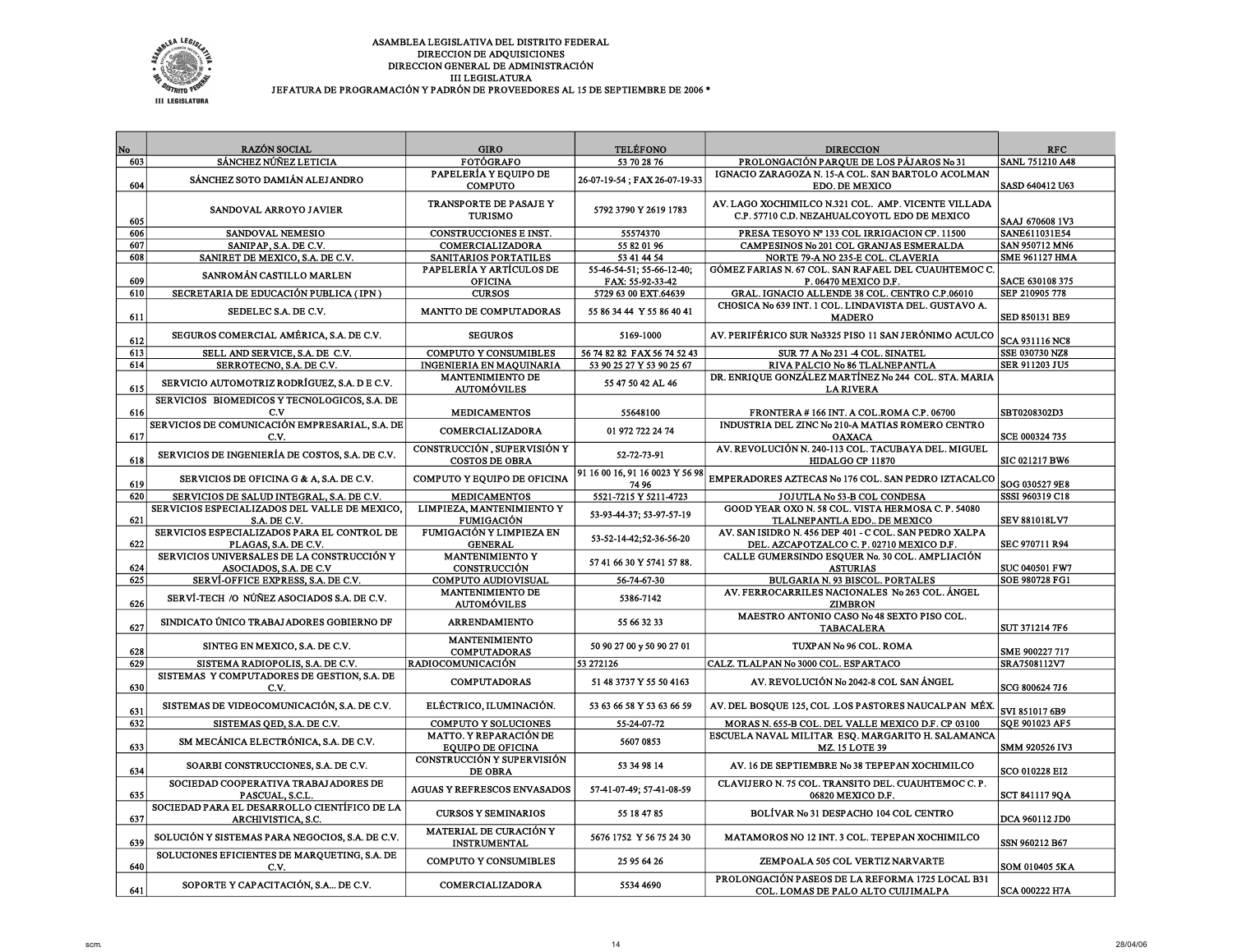

| No         | RAZÓN SOCIAL                                             | <b>GIRO</b>                                                 | <b>TELÉFONO</b>                 | <b>DIRECCION</b>                                                             | <b>RFC</b>                             |
|------------|----------------------------------------------------------|-------------------------------------------------------------|---------------------------------|------------------------------------------------------------------------------|----------------------------------------|
| 603        | SÁNCHEZ NÚÑEZ LETICIA                                    | <b>FOTÓGRAFO</b>                                            | 53 70 28 76                     | PROLONGACIÓN PARQUE DE LOS PÁJAROS No 31                                     | SANL 751210 A48                        |
|            | SÁNCHEZ SOTO DAMIÁN ALEJANDRO                            | PAPELERÍA Y EQUIPO DE                                       | 26-07-19-54; FAX 26-07-19-33    | IGNACIO ZARAGOZA N. 15-A COL. SAN BARTOLO ACOLMAN                            |                                        |
| 604        |                                                          | <b>COMPUTO</b>                                              |                                 | EDO. DE MEXICO                                                               | SASD 640412 U63                        |
|            |                                                          | TRANSPORTE DE PASAJE Y                                      |                                 | AV. LAGO XOCHIMILCO N.321 COL. AMP. VICENTE VILLADA                          |                                        |
|            | SANDOVAL ARROYO JAVIER                                   | <b>TURISMO</b>                                              | 5792 3790 Y 2619 1783           | C.P. 57710 C.D. NEZAHUALCOYOTL EDO DE MEXICO                                 |                                        |
| 605        |                                                          |                                                             |                                 |                                                                              | SAAJ 670608 1V3                        |
| 606<br>607 | SANDOVAL NEMESIO                                         | CONSTRUCCIONES E INST.                                      | 55574370                        | PRESA TESOYO Nº 133 COL IRRIGACION CP. 11500                                 | SANE611031E54<br><b>SAN 950712 MN6</b> |
| 608        | SANIPAP, S.A. DE C.V.<br>SANIRET DE MEXICO, S.A. DE C.V. | COMERCIALIZADORA<br>SANITARIOS PORTATILES                   | 55 82 01 96<br>53 41 44 54      | CAMPESINOS No 201 COL GRANJAS ESMERALDA<br>NORTE 79-A NO 235-E COL. CLAVERIA | <b>SME 961127 HMA</b>                  |
|            |                                                          | PAPELERÍA Y ARTÍCULOS DE                                    | 55-46-54-51; 55-66-12-40;       | GÓMEZ FARIAS N. 67 COL. SAN RAFAEL DEL CUAUHTEMOC C.                         |                                        |
| 609        | SANROMÁN CASTILLO MARLEN                                 | <b>OFICINA</b>                                              | FAX: 55-92-33-42                | P. 06470 MEXICO D.F.                                                         | SACE 630108 375                        |
| 610        | SECRETARIA DE EDUCACIÓN PUBLICA (IPN)                    | <b>CURSOS</b>                                               | 5729 63 00 EXT.64639            | GRAL. IGNACIO ALLENDE 38 COL. CENTRO C.P.06010                               | SEP 210905 778                         |
|            |                                                          |                                                             |                                 | CHOSICA No 639 INT. 1 COL. LINDAVISTA DEL. GUSTAVO A.                        |                                        |
| 611        | SEDELEC S.A. DE C.V.                                     | <b>MANTTO DE COMPUTADORAS</b>                               | 55 86 34 44 Y 55 86 40 41       | <b>MADERO</b>                                                                | SED 850131 BE9                         |
|            |                                                          |                                                             |                                 |                                                                              |                                        |
| 612        | SEGUROS COMERCIAL AMÉRICA, S.A. DE C.V.                  | <b>SEGUROS</b>                                              | 5169-1000                       | AV. PERIFÉRICO SUR N03325 PISO 11 SAN JERÓNIMO ACULCO                        | <b>SCA 931116 NC8</b>                  |
| 613        | SELL AND SERVICE, S.A. DE C.V.                           | <b>COMPUTO Y CONSUMIBLES</b>                                | 56 74 82 82 FAX 56 74 52 43     | SUR 77 A No 231 -4 COL. SINATEL                                              | <b>SSE 030730 NZ8</b>                  |
| 614        | SERROTECNO, S.A. DE C.V.                                 | <b>INGENIERIA EN MAOUINARIA</b>                             | 53 90 25 27 Y 53 90 25 67       | RIVA PALCIO No 86 TLALNEPANTLA                                               | SER 911203 JU5                         |
|            | SERVICIO AUTOMOTRIZ RODRÍGUEZ, S.A. D E C.V.             | MANTENIMIENTO DE                                            | 55 47 50 42 AL 46               | DR. ENRIQUE GONZÁLEZ MARTÍNEZ Nº 244 COL. STA. MARIA                         |                                        |
| 615        |                                                          | <b>AUTOMÓVILES</b>                                          |                                 | <b>LARIVERA</b>                                                              |                                        |
|            | SERVICIOS BIOMEDICOS Y TECNOLOGICOS, S.A. DE             |                                                             |                                 |                                                                              |                                        |
| 616        | c.v                                                      | <b>MEDICAMENTOS</b>                                         | 55648100                        | FRONTERA #166 INT. A COL.ROMA C.P. 06700                                     | SBT0208302D3                           |
|            | SERVICIOS DE COMUNICACIÓN EMPRESARIAL, S.A. DE           | COMERCIALIZADORA                                            | 01 972 722 24 74                | INDUSTRIA DEL ZINC No 210-A MATIAS ROMERO CENTRO                             |                                        |
| 617        | C.V.                                                     |                                                             |                                 | <b>OAXACA</b>                                                                | SCE 000324 735                         |
| 618        | SERVICIOS DE INGENIERÍA DE COSTOS, S.A. DE C.V.          | <b>CONSTRUCCIÓN, SUPERVISIÓN Y</b><br><b>COSTOS DE OBRA</b> | 52-72-73-91                     | AV. REVOLUCIÓN N. 240-113 COL. TACUBAYA DEL. MIGUEL                          | SIC 021217 BW6                         |
|            |                                                          |                                                             | 91 16 00 16, 91 16 0023 Y 56 98 | HIDALGO CP 11870                                                             |                                        |
| 619        | SERVICIOS DE OFICINA G & A, S.A. DE C.V.                 | COMPUTO Y EQUIPO DE OFICINA                                 | 74 96                           | EMPERADORES AZTECAS No 176 COL. SAN PEDRO IZTACALCO                          | SOG 030527 9E8                         |
| 620        | SERVICIOS DE SALUD INTEGRAL, S.A. DE C.V.                | <b>MEDICAMENTOS</b>                                         | 5521-7215 Y 5211-4723           | JOJUTLA No 53-B COL CONDESA                                                  | SSSI 960319 C18                        |
|            | SERVICIOS ESPECIALIZADOS DEL VALLE DE MEXICO,            | LIMPIEZA, MANTENIMIENTO Y                                   |                                 | GOOD YEAR OXO N. 58 COL. VISTA HERMOSA C. P. 54080                           |                                        |
| 621        | S.A. DE C.V.                                             | <b>FUMIGACIÓN</b>                                           | 53-93-44-37; 53-97-57-19        | TLALNEPANTLA EDO DE MEXICO                                                   | <b>SEV 881018LV7</b>                   |
|            | SERVICIOS ESPECIALIZADOS PARA EL CONTROL DE              | <b>FUMIGACIÓN Y LIMPIEZA EN</b>                             |                                 | AV. SAN ISIDRO N. 456 DEP 401 - C COL. SAN PEDRO XALPA                       |                                        |
| 622        | PLAGAS, S.A. DE C.V.                                     | <b>GENERAL</b>                                              | 53-52-14-42;52-36-56-20         | DEL. AZCAPOTZALCO C.P. 02710 MEXICO D.F.                                     | SEC 970711 R94                         |
|            | SERVICIOS UNIVERSALES DE LA CONSTRUCCIÓN Y               | <b>MANTENIMIENTO Y</b>                                      | 57 41 66 30 Y 5741 57 88.       | CALLE GUMERSINDO ESQUER No. 30 COL. AMPLIACIÓN                               |                                        |
| 624        | ASOCIADOS, S.A. DE C.V                                   | <b>CONSTRUCCIÓN</b>                                         |                                 | <b>ASTURIAS</b>                                                              | SUC 040501 FW7                         |
| 625        | SERVI-OFFICE EXPRESS, S.A. DE C.V.                       | <b>COMPUTO AUDIOVISUAL</b>                                  | 56-74-67-30                     | BULGARIA N. 93 BISCOL. PORTALES                                              | SOE 980728 FG1                         |
|            | SERVÍ-TECH /O NÚÑEZ ASOCIADOS S.A. DE C.V.               | MANTENIMIENTO DE                                            | 5386-7142                       | AV. FERROCARRILES NACIONALES No 263 COL. ÁNGEL                               |                                        |
| 626        |                                                          | <b>AUTOMÓVILES</b>                                          |                                 | <b>ZIMBRON</b>                                                               |                                        |
|            | SINDICATO ÚNICO TRABAJ ADORES GOBIERNO DF                | <b>ARRENDAMIENTO</b>                                        | 55 66 32 33                     | MAESTRO ANTONIO CASO No 48 SEXTO PISO COL.                                   |                                        |
| 627        |                                                          | <b>MANTENIMIENTO</b>                                        |                                 | <b>TABACALERA</b>                                                            | SUT 371214 7F6                         |
| 628        | SINTEG EN MEXICO, S.A. DE C.V.                           |                                                             | 50 90 27 00 y 50 90 27 01       | TUXPAN No 96 COL. ROMA                                                       | SME 900227 717                         |
| 629        | SISTEMA RADIOPOLIS, S.A. DE C.V.                         | <b>COMPUTADORAS</b><br><b>RADIOCOMUNICACIÓN</b>             | 53 272126                       | CALZ. TLALPAN No 3000 COL. ESPARTACO                                         | SRA7508112V7                           |
|            | SISTEMAS Y COMPUTADORES DE GESTION, S.A. DE              |                                                             |                                 |                                                                              |                                        |
| 630        | C.V.                                                     | <b>COMPUTADORAS</b>                                         | 51 48 3737 Y 55 50 4163         | AV. REVOLUCIÓN No 2042-8 COL SAN ÁNGEL                                       | SCG 800624 7J6                         |
|            |                                                          |                                                             |                                 |                                                                              |                                        |
| 631        | SISTEMAS DE VIDEOCOMUNICACIÓN, S.A. DE C.V.              | ELÉCTRICO, ILUMINACIÓN.                                     | 53 63 66 58 Y 53 63 66 59       | AV. DEL BOSQUE 125, COL .LOS PASTORES NAUCALPAN MÉX.                         | SVI 851017 6B9                         |
| 632        | SISTEMAS QED, S.A. DE C.V.                               | <b>COMPUTO Y SOLUCIONES</b>                                 | 55-24-07-72                     | MORAS N. 655-B COL. DEL VALLE MEXICO D.F. CP 03100                           | SQE 901023 AF5                         |
|            |                                                          | <b>MATTO. Y REPARACIÓN DE</b>                               |                                 | ESCUELA NAVAL MILITAR ESQ. MARGARITO H. SALAMANCA                            |                                        |
| 633        | SM MECÁNICA ELECTRÓNICA, S.A. DE C.V.                    | <b>EQUIPO DE OFICINA</b>                                    | 5607 0853                       | <b>MZ. 15 LOTE 39</b>                                                        | SMM 920526 IV3                         |
|            | SOARBI CONSTRUCCIONES, S.A. DE C.V.                      | CONSTRUCCIÓN Y SUPERVISIÓN                                  | 53 34 98 14                     | AV. 16 DE SEPTIEMBRE No 38 TEPEPAN XOCHIMILCO                                |                                        |
| 634        |                                                          | <b>DE OBRA</b>                                              |                                 |                                                                              | SCO 010228 EI2                         |
|            | SOCIEDAD COOPERATIVA TRABAJADORES DE                     | <b>AGUAS Y REFRESCOS ENVASADOS</b>                          | 57-41-07-49; 57-41-08-59        | CLAVIJERO N. 75 COL. TRANSITO DEL. CUAUHTEMOC C. P.                          |                                        |
| 635        | PASCUAL, S.C.L.                                          |                                                             |                                 | 06820 MEXICO D.F.                                                            | SCT 8411179QA                          |
|            | SOCIEDAD PARA EL DESARROLLO CIENTÍFICO DE LA             | <b>CURSOS Y SEMINARIOS</b>                                  | 55 18 47 85                     | BOLÍVAR No 31 DESPACHO 104 COL CENTRO                                        |                                        |
| 637        | ARCHIVISTICA, S.C.                                       |                                                             |                                 |                                                                              | DCA 960112 JD0                         |
| 639        | SOLUCIÓN Y SISTEMAS PARA NEGOCIOS, S.A. DE C.V.          | MATERIAL DE CURACIÓN Y                                      | 5676 1752 Y 56 75 24 30         | MATAMOROS NO 12 INT. 3 COL. TEPEPAN XOCHIMILCO                               | SSN 960212 B67                         |
|            | SOLUCIONES EFICIENTES DE MARQUETING, S.A. DE             | <b>INSTRUMENTAL</b>                                         |                                 |                                                                              |                                        |
| 640        | C.V.                                                     | <b>COMPUTO Y CONSUMIBLES</b>                                | 25 95 64 26                     | ZEMPOALA 505 COL VERTIZ NARVARTE                                             | SOM 010405 5KA                         |
|            |                                                          |                                                             |                                 | PROLONGACIÓN PASEOS DE LA REFORMA 1725 LOCAL B31                             |                                        |
| 641        | SOPORTE Y CAPACITACIÓN, S.A DE C.V.                      | COMERCIALIZADORA                                            | 5534 4690                       | COL. LOMAS DE PALO ALTO CUIJIMALPA                                           | <b>SCA 000222 H7A</b>                  |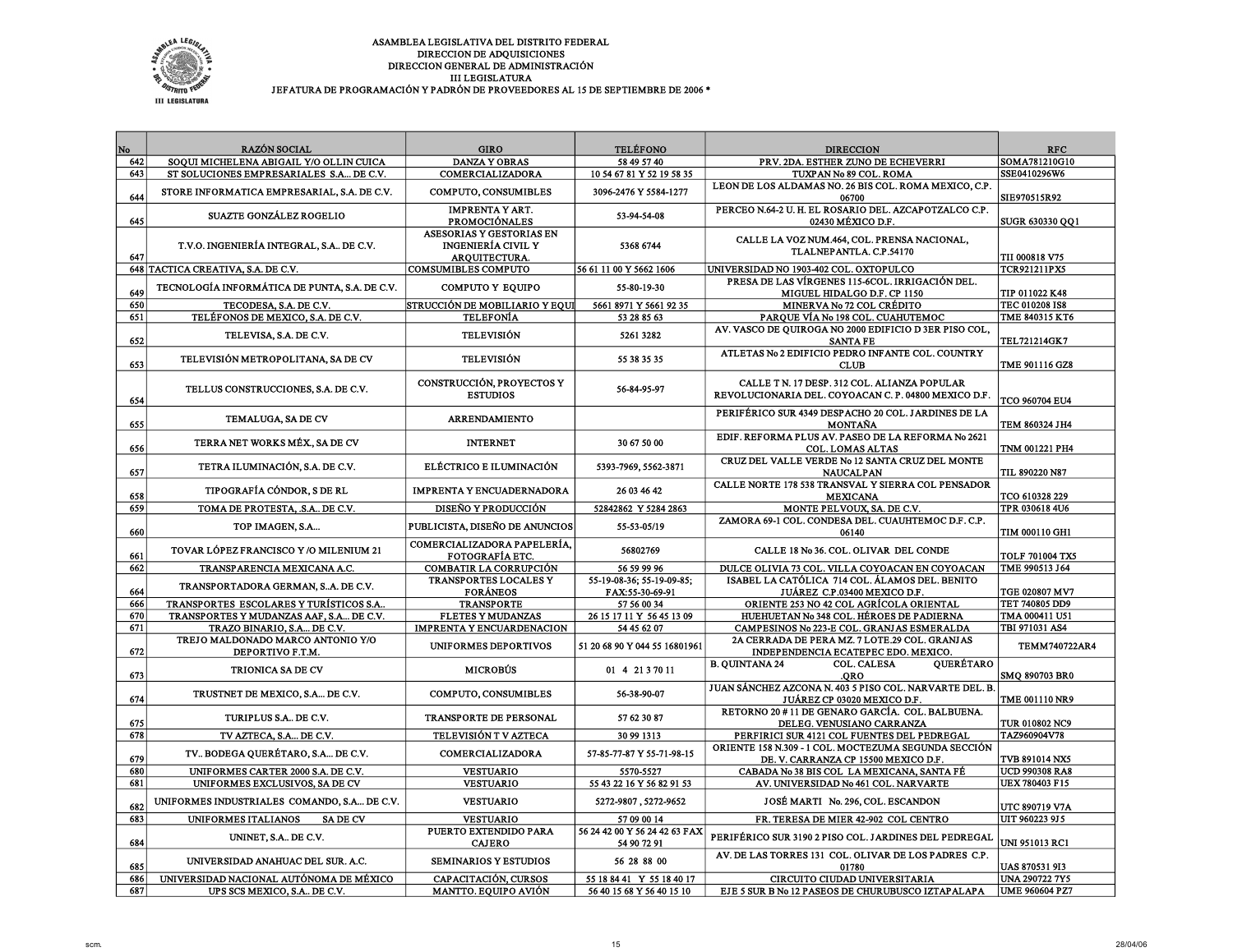

| No         | <b>RAZÓN SOCIAL</b>                                                           | <b>GIRO</b>                                                                   | <b>TELÉFONO</b>                                        | <b>DIRECCION</b>                                                                                              | <b>RFC</b>                                     |
|------------|-------------------------------------------------------------------------------|-------------------------------------------------------------------------------|--------------------------------------------------------|---------------------------------------------------------------------------------------------------------------|------------------------------------------------|
| 642        | SOQUI MICHELENA ABIGAIL Y/O OLLIN CUICA                                       | <b>DANZA Y OBRAS</b>                                                          | 58 49 57 40                                            | PRV. 2DA. ESTHER ZUNO DE ECHEVERRI                                                                            | SOMA781210G10                                  |
| 643        | ST SOLUCIONES EMPRESARIALES S.A DE C.V.                                       | COMERCIALIZADORA                                                              | 10 54 67 81 Y 52 19 58 35                              | TUXPAN No 89 COL. ROMA                                                                                        | SSE0410296W6                                   |
| 644        | STORE INFORMATICA EMPRESARIAL, S.A. DE C.V.                                   | COMPUTO, CONSUMIBLES                                                          | 3096-2476 Y 5584-1277                                  | LEON DE LOS ALDAMAS NO. 26 BIS COL. ROMA MEXICO, C.P.<br>06700                                                | SIE970515R92                                   |
| 645        | <b>SUAZTE GONZÁLEZ ROGELIO</b>                                                | <b>IMPRENTA Y ART.</b><br><b>PROMOCIÓNALES</b>                                | 53-94-54-08                                            | PERCEO N.64-2 U. H. EL ROSARIO DEL. AZCAPOTZALCO C.P.<br>02430 MÉXICO D.F.                                    | SUGR 630330 QQ1                                |
| 647        | T.V.O. INGENIERÍA INTEGRAL, S.A DE C.V.                                       | ASESORIAS Y GESTORIAS EN<br><b>INGENIERÍA CIVIL Y</b><br><b>AROUITECTURA.</b> | 5368 6744                                              | CALLE LA VOZ NUM.464, COL. PRENSA NACIONAL,<br>TLALNEPANTLA. C.P.54170                                        | <b>TII 000818 V75</b>                          |
|            | 648 TACTICA CREATIVA, S.A. DE C.V.                                            | <b>COMSUMIBLES COMPUTO</b>                                                    | 56 61 11 00 Y 5662 1606                                | UNIVERSIDAD NO 1903-402 COL. OXTOPULCO                                                                        | <b>TCR921211PX5</b>                            |
| 649        | TECNOLOGÍA INFORMÁTICA DE PUNTA, S.A. DE C.V.                                 | <b>COMPUTO Y EQUIPO</b>                                                       | 55-80-19-30                                            | PRESA DE LAS VÍRGENES 115-6COL. IRRIGACIÓN DEL.<br>MIGUEL HIDALGO D.F. CP 1150                                | TIP 011022 K48                                 |
| 650        | TECODESA, S.A. DE C.V.                                                        | <b>STRUCCIÓN DE MOBILIARIO Y EQUI</b>                                         | 5661 8971 Y 5661 92 35                                 | MINERVA No 72 COL CRÉDITO                                                                                     | TEC 010208 IS8                                 |
| 651        | TELÉFONOS DE MEXICO, S.A. DE C.V.                                             | <b>TELEFONÍA</b>                                                              | 53 28 85 63                                            | PARQUE VÍA No 198 COL. CUAHUTEMOC                                                                             | TME 840315 KT6                                 |
| 652        | TELEVISA, S.A. DE C.V.                                                        | <b>TELEVISIÓN</b>                                                             | 5261 3282                                              | AV. VASCO DE QUIROGA NO 2000 EDIFICIO D 3ER PISO COL.<br><b>SANTA FE</b>                                      | <b>TEL721214GK7</b>                            |
| 653        | TELEVISIÓN METROPOLITANA, SA DE CV                                            | <b>TELEVISIÓN</b>                                                             | 55 38 35 35                                            | ATLETAS No 2 EDIFICIO PEDRO INFANTE COL. COUNTRY<br><b>CLUB</b>                                               | TME 901116 GZ8                                 |
| 654        | TELLUS CONSTRUCCIONES, S.A. DE C.V.                                           | CONSTRUCCIÓN, PROYECTOS Y<br><b>ESTUDIOS</b>                                  | 56-84-95-97                                            | CALLE T N. 17 DESP. 312 COL. ALIANZA POPULAR<br>REVOLUCIONARIA DEL. COYOACAN C. P. 04800 MEXICO D.F.          | TCO 960704 EU4                                 |
| 655        | TEMALUGA, SA DE CV                                                            | <b>ARRENDAMIENTO</b>                                                          |                                                        | PERIFÉRICO SUR 4349 DESPACHO 20 COL. JARDINES DE LA<br>MONTAÑA                                                | TEM 860324 JH4                                 |
| 656        | TERRA NET WORKS MÉX., SA DE CV                                                | <b>INTERNET</b>                                                               | 30 67 50 00                                            | EDIF. REFORMA PLUS AV. PASEO DE LA REFORMA No 2621<br><b>COL. LOMAS ALTAS</b>                                 | TNM 001221 PH4                                 |
| 657        | TETRA ILUMINACIÓN, S.A. DE C.V.                                               | ELÉCTRICO E ILUMINACIÓN                                                       | 5393-7969, 5562-3871                                   | CRUZ DEL VALLE VERDE No 12 SANTA CRUZ DEL MONTE<br><b>NAUCALPAN</b>                                           | <b>TIL 890220 N87</b>                          |
| 658        | TIPOGRAFÍA CÓNDOR, S DE RL                                                    | <b>IMPRENTA Y ENCUADERNADORA</b>                                              | 26 03 46 42                                            | CALLE NORTE 178 538 TRANSVAL Y SIERRA COL PENSADOR<br><b>MEXICANA</b>                                         | TCO 610328 229                                 |
| 659        | TOMA DE PROTESTA, .S.A DE C.V.                                                | DISEÑO Y PRODUCCIÓN                                                           | 52842862 Y 5284 2863                                   | MONTE PELVOUX, SA. DE C.V.                                                                                    | TPR 030618 4U6                                 |
| 660        | TOP IMAGEN, S.A                                                               | PUBLICISTA, DISEÑO DE ANUNCIOS                                                | 55-53-05/19                                            | ZAMORA 69-1 COL. CONDESA DEL. CUAUHTEMOC D.F. C.P.<br>06140                                                   | <b>TIM 000110 GH1</b>                          |
| 661        | TOVAR LÓPEZ FRANCISCO Y /O MILENIUM 21                                        | COMERCIALIZADORA PAPELERÍA,<br><b>FOTOGRAFÍA ETC.</b>                         | 56802769                                               | CALLE 18 No 36. COL. OLIVAR DEL CONDE                                                                         | <b>TOLF 701004 TX5</b>                         |
| 662        | TRANSPARENCIA MEXICANA A.C.                                                   | <b>COMBATIR LA CORRUPCIÓN</b>                                                 | 56 59 99 96                                            | DULCE OLIVIA 73 COL. VILLA COYOACAN EN COYOACAN                                                               | TME 990513 J64                                 |
| 664        | TRANSPORTADORA GERMAN, SA. DE C.V.                                            | TRANSPORTES LOCALES Y<br><b>FORÁNEOS</b>                                      | 55-19-08-36; 55-19-09-85;<br>FAX:55-30-69-91           | ISABEL LA CATÓLICA 714 COL. ÁLAMOS DEL. BENITO<br>JUÁREZ C.P.03400 MEXICO D.F.                                | TGE 020807 MV7                                 |
| 666        | TRANSPORTES ESCOLARES Y TURÍSTICOS S.A.,                                      | <b>TRANSPORTE</b>                                                             | 57 56 00 34                                            | ORIENTE 253 NO 42 COL AGRÍCOLA ORIENTAL                                                                       | TET 740805 DD9                                 |
| 670        | TRANSPORTES Y MUDANZAS AAF, S.A DE C.V.                                       | <b>FLETES Y MUDANZAS</b>                                                      | 26 15 17 11 Y 56 45 13 09                              | HUEHUETAN No 348 COL. HÉROES DE PADIERNA                                                                      | TMA 000411 U51                                 |
| 671        | TRAZO BINARIO, S.A DE C.V.<br>TREJO MALDONADO MARCO ANTONIO Y/O               | <b>IMPRENTA Y ENCUARDENACION</b>                                              | 54 45 62 07                                            | CAMPESINOS No 223-E COL. GRANJAS ESMERALDA<br>2A CERRADA DE PERA MZ. 7 LOTE.29 COL. GRANJAS                   | TBI 971031 AS4                                 |
| 672        | DEPORTIVO F.T.M.                                                              | UNIFORMES DEPORTIVOS                                                          | 51 20 68 90 Y 044 55 16801961                          | INDEPENDENCIA ECATEPEC EDO. MEXICO.                                                                           | <b>TEMM740722AR4</b>                           |
| 673        | <b>TRIONICA SA DE CV</b>                                                      | <b>MICROBUS</b>                                                               | 01 4 21 3 70 11                                        | <b>B. QUINTANA 24</b><br><b>COL. CALESA</b><br><b>QUERÉTARO</b><br>.ORO                                       | SMQ 890703 BR0                                 |
| 674        | TRUSTNET DE MEXICO, S.A DE C.V.                                               | COMPUTO, CONSUMIBLES                                                          | 56-38-90-07                                            | JUAN SÁNCHEZ AZCONA N. 403 5 PISO COL. NARVARTE DEL. B.<br>JUÁREZ CP 03020 MEXICO D.F.                        | TME 001110 NR9                                 |
| 675        | TURIPLUS S.A., DE C.V.                                                        | TRANSPORTE DE PERSONAL                                                        | 57 62 30 87                                            | RETORNO 20 # 11 DE GENARO GARCÍA. COL. BALBUENA.<br>DELEG. VENUSIANO CARRANZA                                 | <b>TUR 010802 NC9</b>                          |
| 678        | TV AZTECA, S.A DE C.V.                                                        | TELEVISIÓN T V AZTECA                                                         | 30 99 1313                                             | PERFIRICI SUR 4121 COL FUENTES DEL PEDREGAL                                                                   | TAZ960904V78                                   |
| 679        | TV BODEGA QUERÉTARO, S.A DE C.V.                                              | COMERCIALIZADORA                                                              | 57-85-77-87 Y 55-71-98-15                              | ORIENTE 158 N.309 - 1 COL. MOCTEZUMA SEGUNDA SECCIÓN<br>DE. V. CARRANZA CP 15500 MEXICO D.F.                  | TVB 891014 NX5                                 |
| 680        | UNIFORMES CARTER 2000 S.A. DE C.V.                                            | <b>VESTUARIO</b>                                                              | 5570-5527                                              | CABADA No 38 BIS COL LA MEXICANA, SANTA FÉ                                                                    | <b>UCD 990308 RA8</b>                          |
| 681        | UNIFORMES EXCLUSIVOS, SA DE CV<br>UNIFORMES INDUSTRIALES COMANDO, S.A DE C.V. | <b>VESTUARIO</b><br><b>VESTUARIO</b>                                          | 55 43 22 16 Y 56 82 91 53<br>5272-9807, 5272-9652      | AV. UNIVERSIDAD No 461 COL. NARVARTE<br>JOSÉ MARTI No. 296, COL. ESCANDON                                     | <b>UEX 780403 F15</b>                          |
| 682<br>683 | UNIFORMES ITALIANOS<br><b>SADE CV</b>                                         | <b>VESTUARIO</b>                                                              | 57 09 00 14                                            | FR. TERESA DE MIER 42-902 COL CENTRO                                                                          | <b>UTC 890719 V7A</b><br>UIT 960223 9J 5       |
|            |                                                                               | PUERTO EXTENDIDO PARA                                                         | 56 24 42 00 Y 56 24 42 63 FAX                          |                                                                                                               |                                                |
| 684        | UNINET, S.A DE C.V.                                                           | <b>CAJERO</b>                                                                 | 54 90 72 91                                            | PERIFÉRICO SUR 3190 2 PISO COL. JARDINES DEL PEDREGAL<br>AV. DE LAS TORRES 131 COL. OLIVAR DE LOS PADRES C.P. | UNI 951013 RC1                                 |
| 685<br>686 | UNIVERSIDAD ANAHUAC DEL SUR. A.C.<br>UNIVERSIDAD NACIONAL AUTÓNOMA DE MÉXICO  | <b>SEMINARIOS Y ESTUDIOS</b><br>CAPACITACIÓN, CURSOS                          | 56 28 88 00                                            | 01780                                                                                                         | <b>UAS 870531 913</b><br><b>UNA 290722 7Y5</b> |
| 687        | UPS SCS MEXICO, S.A., DE C.V.                                                 | <b>MANTTO. EQUIPO AVIÓN</b>                                                   | 55 18 84 41 Y 55 18 40 17<br>56 40 15 68 Y 56 40 15 10 | CIRCUITO CIUDAD UNIVERSITARIA<br>EJE 5 SUR B No 12 PASEOS DE CHURUBUSCO IZTAPALAPA                            | UME 960604 PZ7                                 |
|            |                                                                               |                                                                               |                                                        |                                                                                                               |                                                |